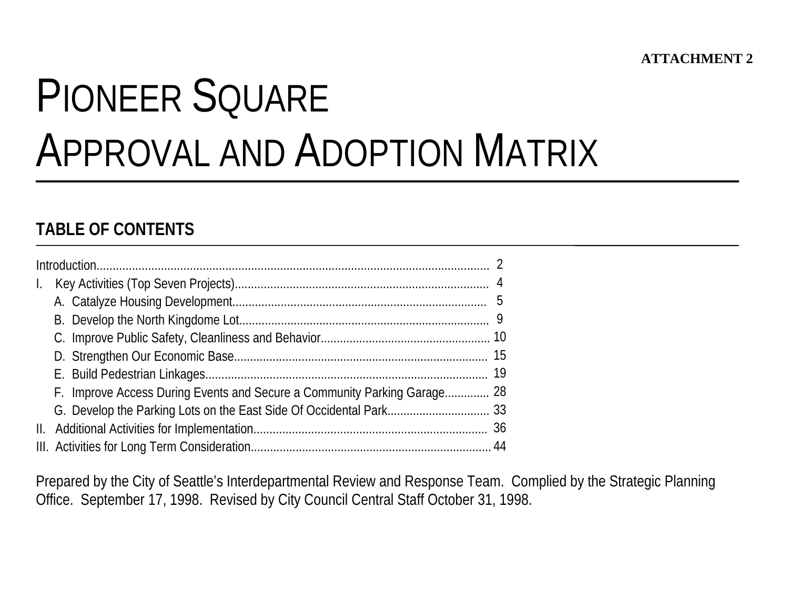# PIONEER SQUAREAPPROVAL AND ADOPTION MATRIX

# **TABLE OF CONTENTS**

|  | F. Improve Access During Events and Secure a Community Parking Garage 28 |  |  |  |  |  |  |  |
|--|--------------------------------------------------------------------------|--|--|--|--|--|--|--|
|  |                                                                          |  |  |  |  |  |  |  |
|  |                                                                          |  |  |  |  |  |  |  |
|  |                                                                          |  |  |  |  |  |  |  |

Prepared by the City of Seattle's Interdepartmental Review and Response Team. Complied by the Strategic Planning Office. September 17, 1998. Revised by City Council Central Staff October 31, 1998.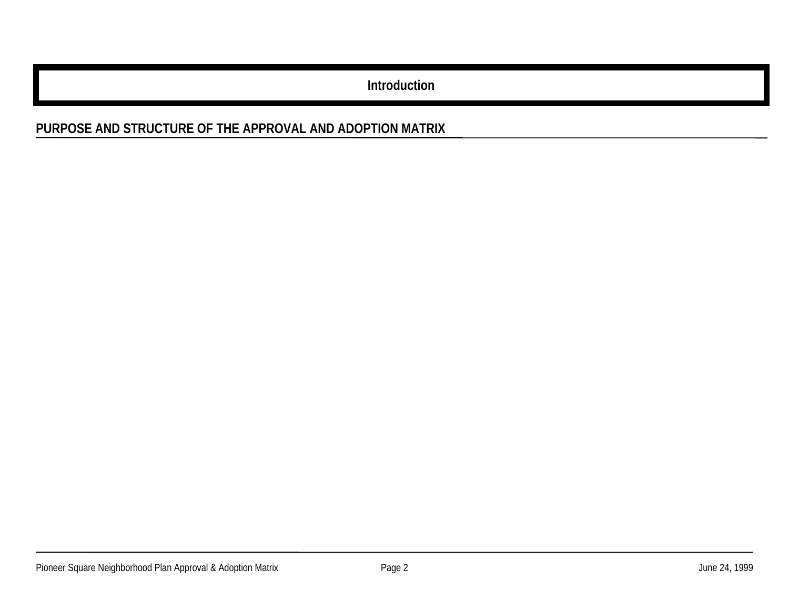**Introduction**

# **PURPOSE AND STRUCTURE OF THE APPROVAL AND ADOPTION MATRIX**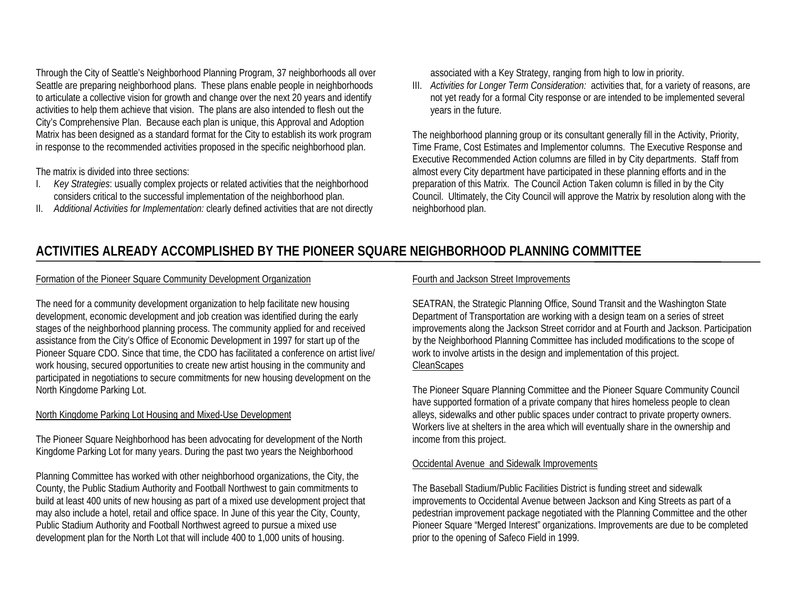Through the City of Seattle's Neighborhood Planning Program, 37 neighborhoods all over Seattle are preparing neighborhood plans. These plans enable people in neighborhoods to articulate a collective vision for growth and change over the next 20 years and identify activities to help them achieve that vision. The plans are also intended to flesh out the City's Comprehensive Plan. Because each plan is unique, this Approval and Adoption Matrix has been designed as a standard format for the City to establish its work program in response to the recommended activities proposed in the specific neighborhood plan.

The matrix is divided into three sections:

- I. *Key Strategies*: usually complex projects or related activities that the neighborhood considers critical to the successful implementation of the neighborhood plan.
- II. *Additional Activities for Implementation:* clearly defined activities that are not directly

associated with a Key Strategy, ranging from high to low in priority.

III. *Activities for Longer Term Consideration:* activities that, for a variety of reasons, are not yet ready for a formal City response or are intended to be implemented several years in the future.

The neighborhood planning group or its consultant generally fill in the Activity, Priority, Time Frame, Cost Estimates and Implementor columns. The Executive Response and Executive Recommended Action columns are filled in by City departments. Staff from almost every City department have participated in these planning efforts and in the preparation of this Matrix. The Council Action Taken column is filled in by the City Council. Ultimately, the City Council will approve the Matrix by resolution along with the neighborhood plan.

# **ACTIVITIES ALREADY ACCOMPLISHED BY THE PIONEER SQUARE NEIGHBORHOOD PLANNING COMMITTEE**

#### Formation of the Pioneer Square Community Development Organization

The need for a community development organization to help facilitate new housing development, economic development and job creation was identified during the early stages of the neighborhood planning process. The community applied for and received assistance from the City's Office of Economic Development in 1997 for start up of the Pioneer Square CDO. Since that time, the CDO has facilitated a conference on artist live/ work housing, secured opportunities to create new artist housing in the community and participated in negotiations to secure commitments for new housing development on the North Kingdome Parking Lot.

#### North Kingdome Parking Lot Housing and Mixed-Use Development

The Pioneer Square Neighborhood has been advocating for development of the North Kingdome Parking Lot for many years. During the past two years the Neighborhood

Planning Committee has worked with other neighborhood organizations, the City, the County, the Public Stadium Authority and Football Northwest to gain commitments to build at least 400 units of new housing as part of a mixed use development project that may also include a hotel, retail and office space. In June of this year the City, County, Public Stadium Authority and Football Northwest agreed to pursue a mixed use development plan for the North Lot that will include 400 to 1,000 units of housing.

#### Fourth and Jackson Street Improvements

SEATRAN, the Strategic Planning Office, Sound Transit and the Washington State Department of Transportation are working with a design team on a series of street improvements along the Jackson Street corridor and at Fourth and Jackson. Participation by the Neighborhood Planning Committee has included modifications to the scope of work to involve artists in the design and implementation of this project. **CleanScapes** 

The Pioneer Square Planning Committee and the Pioneer Square Community Council have supported formation of a private company that hires homeless people to clean alleys, sidewalks and other public spaces under contract to private property owners. Workers live at shelters in the area which will eventually share in the ownership and income from this project.

#### Occidental Avenue and Sidewalk Improvements

The Baseball Stadium/Public Facilities District is funding street and sidewalk improvements to Occidental Avenue between Jackson and King Streets as part of a pedestrian improvement package negotiated with the Planning Committee and the other Pioneer Square "Merged Interest" organizations. Improvements are due to be completed prior to the opening of Safeco Field in 1999.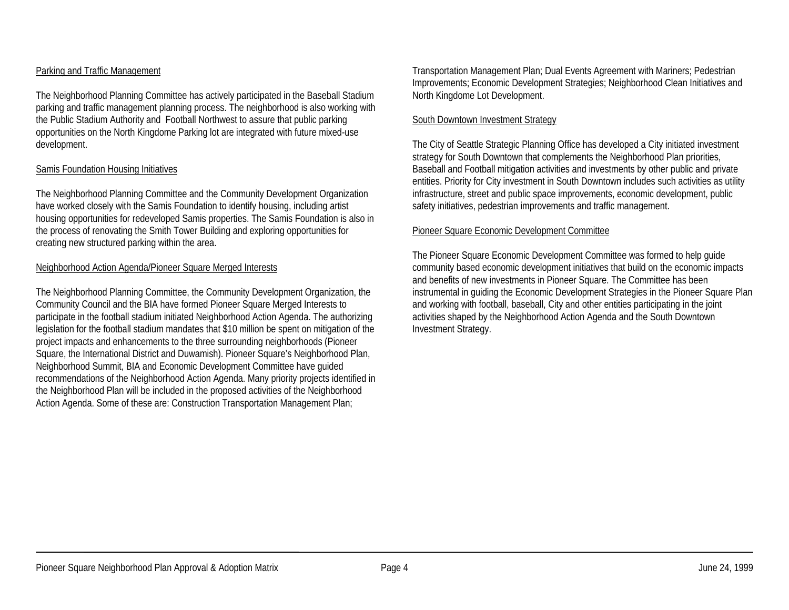## Parking and Traffic Management

The Neighborhood Planning Committee has actively participated in the Baseball Stadium parking and traffic management planning process. The neighborhood is also working with the Public Stadium Authority and Football Northwest to assure that public parking opportunities on the North Kingdome Parking lot are integrated with future mixed-use development.

## Samis Foundation Housing Initiatives

The Neighborhood Planning Committee and the Community Development Organization have worked closely with the Samis Foundation to identify housing, including artist housing opportunities for redeveloped Samis properties. The Samis Foundation is also in the process of renovating the Smith Tower Building and exploring opportunities for creating new structured parking within the area.

## Neighborhood Action Agenda/Pioneer Square Merged Interests

The Neighborhood Planning Committee, the Community Development Organization, the Community Council and the BIA have formed Pioneer Square Merged Interests to participate in the football stadium initiated Neighborhood Action Agenda. The authorizing legislation for the football stadium mandates that \$10 million be spent on mitigation of the project impacts and enhancements to the three surrounding neighborhoods (Pioneer Square, the International District and Duwamish). Pioneer Square's Neighborhood Plan, Neighborhood Summit, BIA and Economic Development Committee have guided recommendations of the Neighborhood Action Agenda. Many priority projects identified in the Neighborhood Plan will be included in the proposed activities of the Neighborhood Action Agenda. Some of these are: Construction Transportation Management Plan;

Transportation Management Plan; Dual Events Agreement with Mariners; Pedestrian Improvements; Economic Development Strategies; Neighborhood Clean Initiatives and North Kingdome Lot Development.

#### South Downtown Investment Strategy

The City of Seattle Strategic Planning Office has developed a City initiated investment strategy for South Downtown that complements the Neighborhood Plan priorities, Baseball and Football mitigation activities and investments by other public and private entities. Priority for City investment in South Downtown includes such activities as utility infrastructure, street and public space improvements, economic development, public safety initiatives, pedestrian improvements and traffic management.

## Pioneer Square Economic Development Committee

The Pioneer Square Economic Development Committee was formed to help guide community based economic development initiatives that build on the economic impacts and benefits of new investments in Pioneer Square. The Committee has been instrumental in guiding the Economic Development Strategies in the Pioneer Square Plan and working with football, baseball, City and other entities participating in the joint activities shaped by the Neighborhood Action Agenda and the South Downtown Investment Strategy.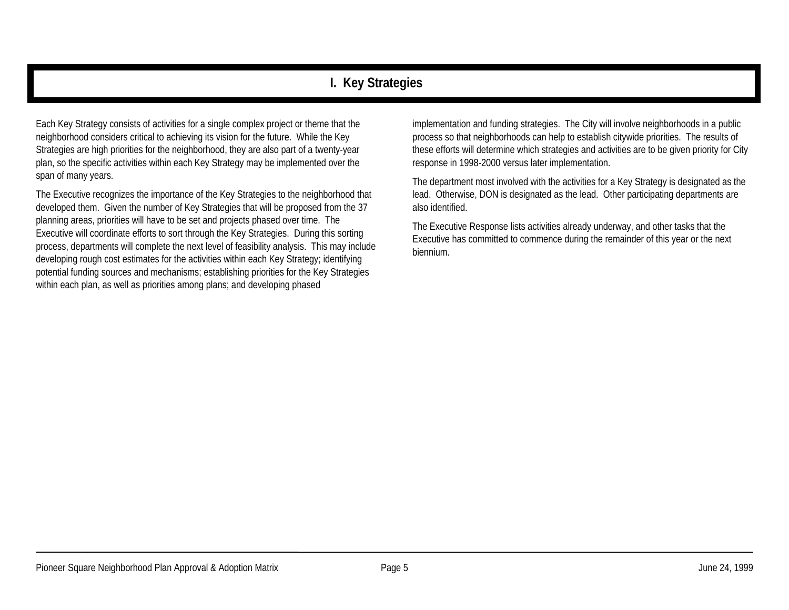# **I. Key Strategies**

Each Key Strategy consists of activities for a single complex project or theme that the neighborhood considers critical to achieving its vision for the future. While the Key Strategies are high priorities for the neighborhood, they are also part of a twenty-year plan, so the specific activities within each Key Strategy may be implemented over the span of many years.

The Executive recognizes the importance of the Key Strategies to the neighborhood that developed them. Given the number of Key Strategies that will be proposed from the 37 planning areas, priorities will have to be set and projects phased over time. The Executive will coordinate efforts to sort through the Key Strategies. During this sorting process, departments will complete the next level of feasibility analysis. This may include developing rough cost estimates for the activities within each Key Strategy; identifying potential funding sources and mechanisms; establishing priorities for the Key Strategies within each plan, as well as priorities among plans; and developing phased

implementation and funding strategies. The City will involve neighborhoods in a public process so that neighborhoods can help to establish citywide priorities. The results of these efforts will determine which strategies and activities are to be given priority for City response in 1998-2000 versus later implementation.

The department most involved with the activities for a Key Strategy is designated as the lead. Otherwise, DON is designated as the lead. Other participating departments are also identified.

The Executive Response lists activities already underway, and other tasks that the Executive has committed to commence during the remainder of this year or the next biennium.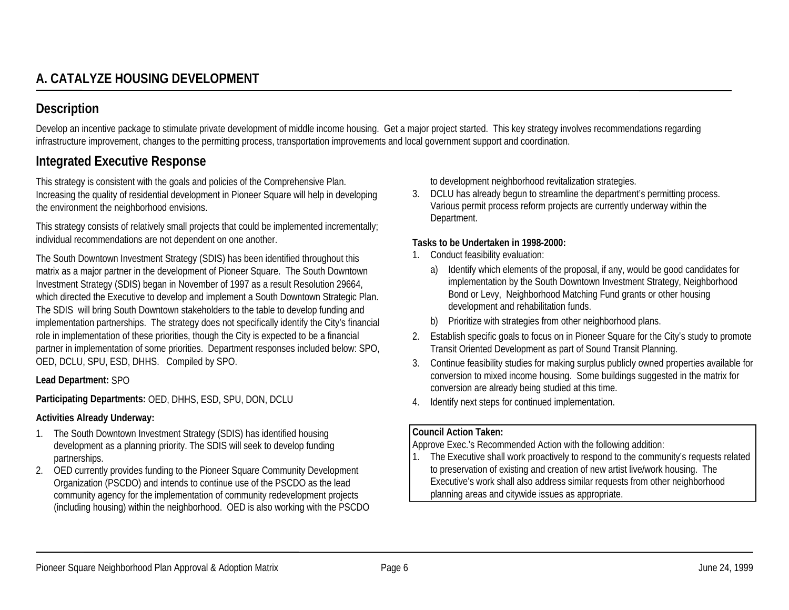# **A. CATALYZE HOUSING DEVELOPMENT**

## **Description**

Develop an incentive package to stimulate private development of middle income housing. Get a major project started. This key strategy involves recommendations regarding infrastructure improvement, changes to the permitting process, transportation improvements and local government support and coordination.

## **Integrated Executive Response**

This strategy is consistent with the goals and policies of the Comprehensive Plan. Increasing the quality of residential development in Pioneer Square will help in developing the environment the neighborhood envisions.

This strategy consists of relatively small projects that could be implemented incrementally; individual recommendations are not dependent on one another.

The South Downtown Investment Strategy (SDIS) has been identified throughout this matrix as a major partner in the development of Pioneer Square. The South Downtown Investment Strategy (SDIS) began in November of 1997 as a result Resolution 29664, which directed the Executive to develop and implement a South Downtown Strategic Plan. The SDIS will bring South Downtown stakeholders to the table to develop funding and implementation partnerships. The strategy does not specifically identify the City's financial role in implementation of these priorities, though the City is expected to be a financial partner in implementation of some priorities. Department responses included below: SPO, OED, DCLU, SPU, ESD, DHHS. Compiled by SPO.

#### **Lead Department:** SPO

**Participating Departments:** OED, DHHS, ESD, SPU, DON, DCLU

#### **Activities Already Underway:**

- 1. The South Downtown Investment Strategy (SDIS) has identified housing development as a planning priority. The SDIS will seek to develop funding partnerships.
- 2. OED currently provides funding to the Pioneer Square Community Development Organization (PSCDO) and intends to continue use of the PSCDO as the lead community agency for the implementation of community redevelopment projects (including housing) within the neighborhood. OED is also working with the PSCDO

to development neighborhood revitalization strategies.

3. DCLU has already begun to streamline the department's permitting process. Various permit process reform projects are currently underway within the Department.

#### **Tasks to be Undertaken in 1998-2000:**

- 1. Conduct feasibility evaluation:
	- a) Identify which elements of the proposal, if any, would be good candidates for implementation by the South Downtown Investment Strategy, Neighborhood Bond or Levy, Neighborhood Matching Fund grants or other housing development and rehabilitation funds.
	- b) Prioritize with strategies from other neighborhood plans.
- 2. Establish specific goals to focus on in Pioneer Square for the City's study to promote Transit Oriented Development as part of Sound Transit Planning.
- 3. Continue feasibility studies for making surplus publicly owned properties available for conversion to mixed income housing. Some buildings suggested in the matrix for conversion are already being studied at this time.
- 4. Identify next steps for continued implementation.

#### **Council Action Taken:**

Approve Exec.'s Recommended Action with the following addition:

1. The Executive shall work proactively to respond to the community's requests related to preservation of existing and creation of new artist live/work housing. The Executive's work shall also address similar requests from other neighborhood planning areas and citywide issues as appropriate.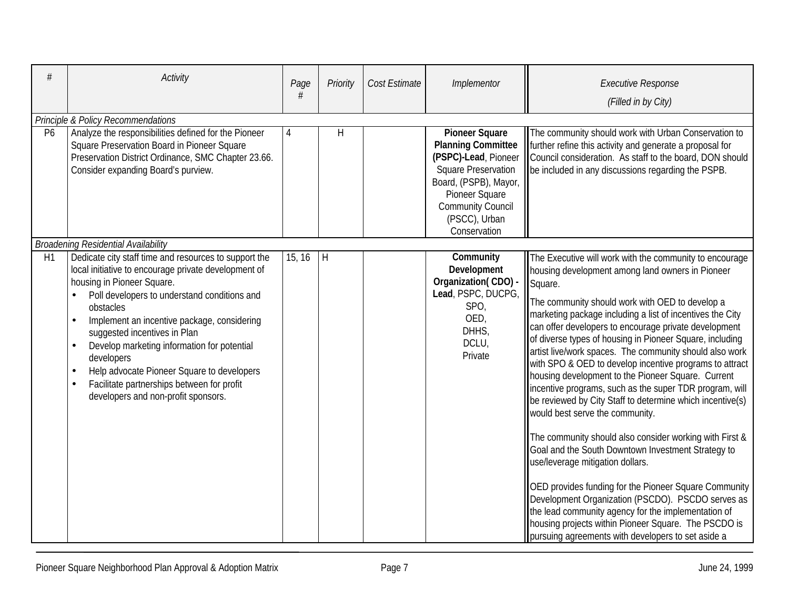| #              | Activity                                                                                                                                                                                                                                                                                                                                                                                                                                                                                                          | Page<br># | Priority     | Cost Estimate | Implementor                                                                                                                                                                                                      | <b>Executive Response</b><br>(Filled in by City)                                                                                                                                                                                                                                                                                                                                                                                                                                                                                                                                                                                                                                                                                                                                                                                                                                                                                                                                                                                                                                                                                           |
|----------------|-------------------------------------------------------------------------------------------------------------------------------------------------------------------------------------------------------------------------------------------------------------------------------------------------------------------------------------------------------------------------------------------------------------------------------------------------------------------------------------------------------------------|-----------|--------------|---------------|------------------------------------------------------------------------------------------------------------------------------------------------------------------------------------------------------------------|--------------------------------------------------------------------------------------------------------------------------------------------------------------------------------------------------------------------------------------------------------------------------------------------------------------------------------------------------------------------------------------------------------------------------------------------------------------------------------------------------------------------------------------------------------------------------------------------------------------------------------------------------------------------------------------------------------------------------------------------------------------------------------------------------------------------------------------------------------------------------------------------------------------------------------------------------------------------------------------------------------------------------------------------------------------------------------------------------------------------------------------------|
|                | Principle & Policy Recommendations                                                                                                                                                                                                                                                                                                                                                                                                                                                                                |           |              |               |                                                                                                                                                                                                                  |                                                                                                                                                                                                                                                                                                                                                                                                                                                                                                                                                                                                                                                                                                                                                                                                                                                                                                                                                                                                                                                                                                                                            |
| P <sub>6</sub> | Analyze the responsibilities defined for the Pioneer<br>Square Preservation Board in Pioneer Square<br>Preservation District Ordinance, SMC Chapter 23.66.<br>Consider expanding Board's purview.                                                                                                                                                                                                                                                                                                                 | 4         | Η            |               | <b>Pioneer Square</b><br><b>Planning Committee</b><br>(PSPC)-Lead, Pioneer<br><b>Square Preservation</b><br>Board, (PSPB), Mayor,<br>Pioneer Square<br><b>Community Council</b><br>(PSCC), Urban<br>Conservation | The community should work with Urban Conservation to<br>further refine this activity and generate a proposal for<br>Council consideration. As staff to the board, DON should<br>be included in any discussions regarding the PSPB.                                                                                                                                                                                                                                                                                                                                                                                                                                                                                                                                                                                                                                                                                                                                                                                                                                                                                                         |
|                | <b>Broadening Residential Availability</b>                                                                                                                                                                                                                                                                                                                                                                                                                                                                        |           |              |               |                                                                                                                                                                                                                  |                                                                                                                                                                                                                                                                                                                                                                                                                                                                                                                                                                                                                                                                                                                                                                                                                                                                                                                                                                                                                                                                                                                                            |
| H1             | Dedicate city staff time and resources to support the<br>local initiative to encourage private development of<br>housing in Pioneer Square.<br>Poll developers to understand conditions and<br>obstacles<br>Implement an incentive package, considering<br>$\bullet$<br>suggested incentives in Plan<br>Develop marketing information for potential<br>developers<br>Help advocate Pioneer Square to developers<br>Facilitate partnerships between for profit<br>$\bullet$<br>developers and non-profit sponsors. | 15, 16    | $\mathsf{H}$ |               | Community<br>Development<br>Organization(CDO) -<br>Lead, PSPC, DUCPG,<br>SPO,<br>OED,<br>DHHS,<br>DCLU,<br>Private                                                                                               | The Executive will work with the community to encourage<br>housing development among land owners in Pioneer<br>Square.<br>The community should work with OED to develop a<br>marketing package including a list of incentives the City<br>can offer developers to encourage private development<br>of diverse types of housing in Pioneer Square, including<br>artist live/work spaces. The community should also work<br>with SPO & OED to develop incentive programs to attract<br>housing development to the Pioneer Square. Current<br>incentive programs, such as the super TDR program, will<br>be reviewed by City Staff to determine which incentive(s)<br>would best serve the community.<br>The community should also consider working with First &<br>Goal and the South Downtown Investment Strategy to<br>use/leverage mitigation dollars.<br>OED provides funding for the Pioneer Square Community<br>Development Organization (PSCDO). PSCDO serves as<br>the lead community agency for the implementation of<br>housing projects within Pioneer Square. The PSCDO is<br>pursuing agreements with developers to set aside a |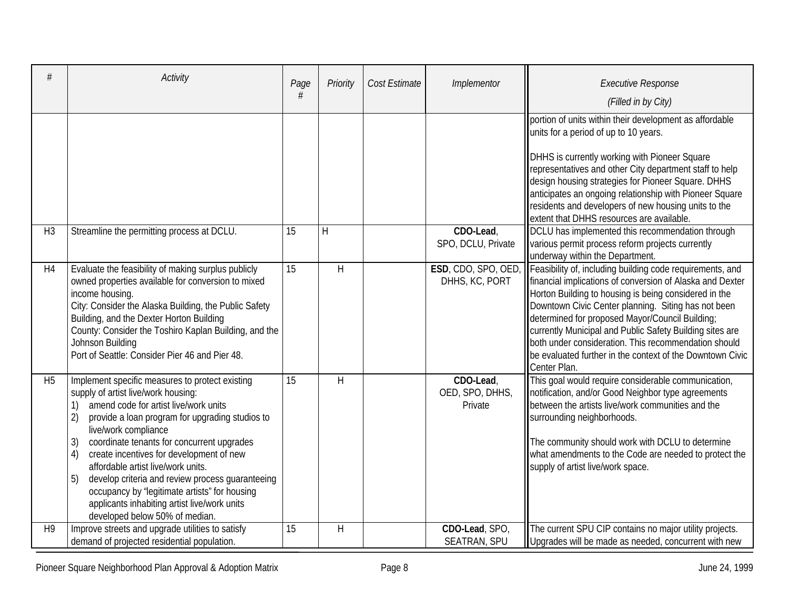|                | Activity                                                                                                                                                                                                                                                                                                                                                                                                                                                                                                                                                        | Page<br># | Priority     | Cost Estimate | Implementor                             | <b>Executive Response</b><br>(Filled in by City)                                                                                                                                                                                                                                                                                                                                                                                                                                                               |
|----------------|-----------------------------------------------------------------------------------------------------------------------------------------------------------------------------------------------------------------------------------------------------------------------------------------------------------------------------------------------------------------------------------------------------------------------------------------------------------------------------------------------------------------------------------------------------------------|-----------|--------------|---------------|-----------------------------------------|----------------------------------------------------------------------------------------------------------------------------------------------------------------------------------------------------------------------------------------------------------------------------------------------------------------------------------------------------------------------------------------------------------------------------------------------------------------------------------------------------------------|
|                |                                                                                                                                                                                                                                                                                                                                                                                                                                                                                                                                                                 |           |              |               |                                         | portion of units within their development as affordable<br>units for a period of up to 10 years.<br>DHHS is currently working with Pioneer Square<br>representatives and other City department staff to help<br>design housing strategies for Pioneer Square. DHHS<br>anticipates an ongoing relationship with Pioneer Square<br>residents and developers of new housing units to the<br>extent that DHHS resources are available.                                                                             |
| H <sub>3</sub> | Streamline the permitting process at DCLU.                                                                                                                                                                                                                                                                                                                                                                                                                                                                                                                      | 15        | H            |               | CDO-Lead,<br>SPO, DCLU, Private         | DCLU has implemented this recommendation through<br>various permit process reform projects currently<br>underway within the Department.                                                                                                                                                                                                                                                                                                                                                                        |
| H4             | Evaluate the feasibility of making surplus publicly<br>owned properties available for conversion to mixed<br>income housing.<br>City: Consider the Alaska Building, the Public Safety<br>Building, and the Dexter Horton Building<br>County: Consider the Toshiro Kaplan Building, and the<br>Johnson Building<br>Port of Seattle: Consider Pier 46 and Pier 48.                                                                                                                                                                                                | 15        | $\mathsf{H}$ |               | DHHS, KC, PORT                          | ESD, CDO, SPO, OED, Feasibility of, including building code requirements, and<br>financial implications of conversion of Alaska and Dexter<br>Horton Building to housing is being considered in the<br>Downtown Civic Center planning. Siting has not been<br>determined for proposed Mayor/Council Building;<br>currently Municipal and Public Safety Building sites are<br>both under consideration. This recommendation should<br>be evaluated further in the context of the Downtown Civic<br>Center Plan. |
| H <sub>5</sub> | Implement specific measures to protect existing<br>supply of artist live/work housing:<br>amend code for artist live/work units<br>1)<br>2)<br>provide a loan program for upgrading studios to<br>live/work compliance<br>coordinate tenants for concurrent upgrades<br>3)<br>create incentives for development of new<br>4)<br>affordable artist live/work units.<br>5)<br>develop criteria and review process guaranteeing<br>occupancy by "legitimate artists" for housing<br>applicants inhabiting artist live/work units<br>developed below 50% of median. | 15        | H            |               | CDO-Lead,<br>OED, SPO, DHHS,<br>Private | This goal would require considerable communication,<br>notification, and/or Good Neighbor type agreements<br>between the artists live/work communities and the<br>surrounding neighborhoods.<br>The community should work with DCLU to determine<br>what amendments to the Code are needed to protect the<br>supply of artist live/work space.                                                                                                                                                                 |
| H <sub>9</sub> | Improve streets and upgrade utilities to satisfy<br>demand of projected residential population.                                                                                                                                                                                                                                                                                                                                                                                                                                                                 | 15        | H            |               | CDO-Lead, SPO,<br><b>SEATRAN, SPU</b>   | The current SPU CIP contains no major utility projects.<br>Upgrades will be made as needed, concurrent with new                                                                                                                                                                                                                                                                                                                                                                                                |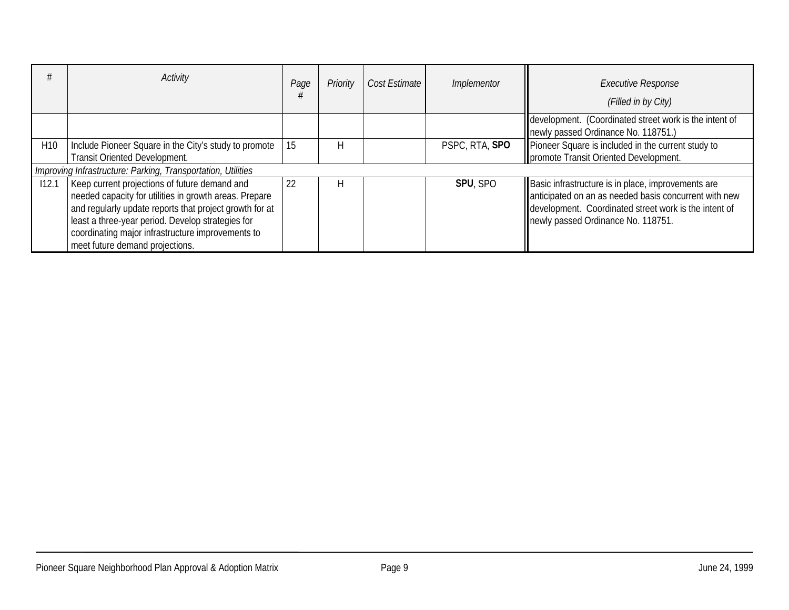|                 | Activity                                                                                                                                                                                                                                                                                                        | Page | Priority | Cost Estimate | Implementor    | <b>Executive Response</b><br>(Filled in by City)                                                                                                                                                           |
|-----------------|-----------------------------------------------------------------------------------------------------------------------------------------------------------------------------------------------------------------------------------------------------------------------------------------------------------------|------|----------|---------------|----------------|------------------------------------------------------------------------------------------------------------------------------------------------------------------------------------------------------------|
|                 |                                                                                                                                                                                                                                                                                                                 |      |          |               |                | development. (Coordinated street work is the intent of<br>newly passed Ordinance No. 118751.)                                                                                                              |
| H <sub>10</sub> | Include Pioneer Square in the City's study to promote<br>Transit Oriented Development.                                                                                                                                                                                                                          | 15   | H        |               | PSPC, RTA, SPO | Pioneer Square is included in the current study to<br>promote Transit Oriented Development.                                                                                                                |
|                 | Improving Infrastructure: Parking, Transportation, Utilities                                                                                                                                                                                                                                                    |      |          |               |                |                                                                                                                                                                                                            |
| 112.1           | Keep current projections of future demand and<br>needed capacity for utilities in growth areas. Prepare<br>and regularly update reports that project growth for at<br>least a three-year period. Develop strategies for<br>coordinating major infrastructure improvements to<br>meet future demand projections. | 22   | Н        |               | SPU, SPO       | Basic infrastructure is in place, improvements are<br>anticipated on an as needed basis concurrent with new<br>development. Coordinated street work is the intent of<br>newly passed Ordinance No. 118751. |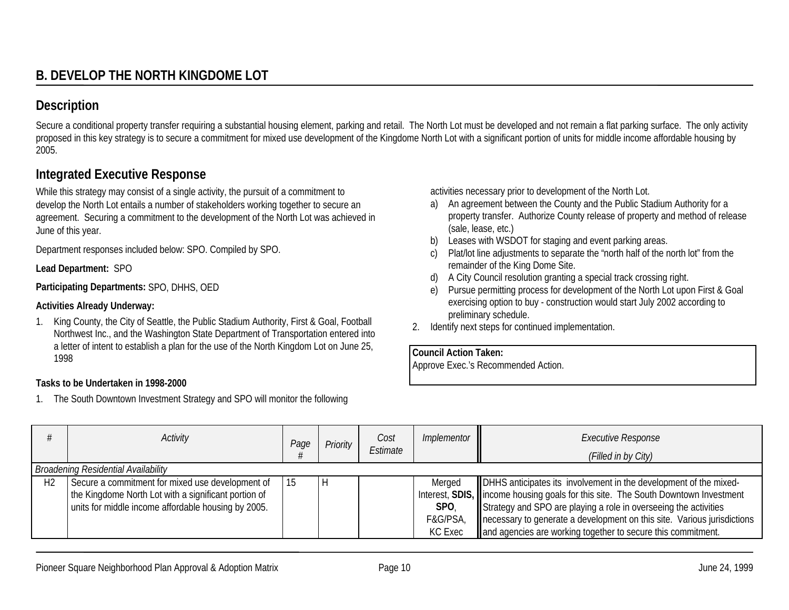Secure a conditional property transfer requiring a substantial housing element, parking and retail. The North Lot must be developed and not remain a flat parking surface. The only activity proposed in this key strategy is to secure a commitment for mixed use development of the Kingdome North Lot with a significant portion of units for middle income affordable housing by 2005.

## **Integrated Executive Response**

While this strategy may consist of a single activity, the pursuit of a commitment to develop the North Lot entails a number of stakeholders working together to secure an agreement. Securing a commitment to the development of the North Lot was achieved in June of this year.

Department responses included below: SPO. Compiled by SPO.

**Lead Department:** SPO

**Participating Departments:** SPO, DHHS, OED

## **Activities Already Underway:**

1. King County, the City of Seattle, the Public Stadium Authority, First & Goal, Football Northwest Inc., and the Washington State Department of Transportation entered into a letter of intent to establish a plan for the use of the North Kingdom Lot on June 25, 1998

## **Tasks to be Undertaken in 1998-2000**

1. The South Downtown Investment Strategy and SPO will monitor the following

activities necessary prior to development of the North Lot.

- a) An agreement between the County and the Public Stadium Authority for a property transfer. Authorize County release of property and method of release (sale, lease, etc.)
- b) Leases with WSDOT for staging and event parking areas.
- c) Plat/lot line adjustments to separate the "north half of the north lot" from the remainder of the King Dome Site.
- d) A City Council resolution granting a special track crossing right.
- e) Pursue permitting process for development of the North Lot upon First & Goal exercising option to buy - construction would start July 2002 according to preliminary schedule.
- 2. Identify next steps for continued implementation.

**Council Action Taken:**

Approve Exec.'s Recommended Action.

|                | <b>Activity</b>                                      | Page | Priority | Cost<br>Estimate | Implementor    | <b>Executive Response</b><br>(Filled in by City)                                   |
|----------------|------------------------------------------------------|------|----------|------------------|----------------|------------------------------------------------------------------------------------|
|                | <b>Broadening Residential Availability</b>           |      |          |                  |                |                                                                                    |
| H <sub>2</sub> | Secure a commitment for mixed use development of     |      |          |                  | Merged         | DHHS anticipates its involvement in the development of the mixed-                  |
|                | the Kingdome North Lot with a significant portion of |      |          |                  |                | Interest, SDIS, lincome housing goals for this site. The South Downtown Investment |
|                | units for middle income affordable housing by 2005.  |      |          |                  | SPO,           | Strategy and SPO are playing a role in overseeing the activities                   |
|                |                                                      |      |          |                  | F&G/PSA,       | necessary to generate a development on this site. Various jurisdictions            |
|                |                                                      |      |          |                  | <b>KC Exec</b> | and agencies are working together to secure this commitment.                       |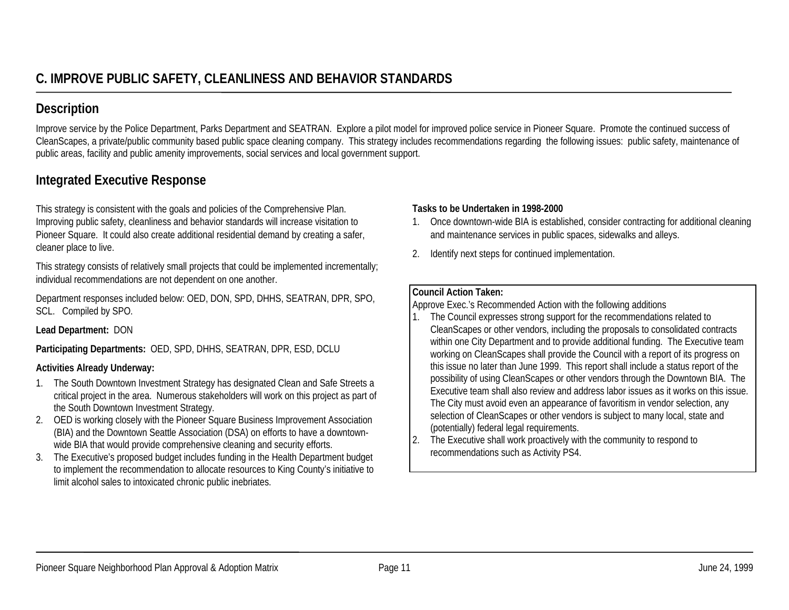Improve service by the Police Department, Parks Department and SEATRAN. Explore a pilot model for improved police service in Pioneer Square. Promote the continued success of CleanScapes, a private/public community based public space cleaning company. This strategy includes recommendations regarding the following issues: public safety, maintenance of public areas, facility and public amenity improvements, social services and local government support.

## **Integrated Executive Response**

This strategy is consistent with the goals and policies of the Comprehensive Plan. Improving public safety, cleanliness and behavior standards will increase visitation to Pioneer Square. It could also create additional residential demand by creating a safer, cleaner place to live.

This strategy consists of relatively small projects that could be implemented incrementally; individual recommendations are not dependent on one another.

Department responses included below: OED, DON, SPD, DHHS, SEATRAN, DPR, SPO, SCL. Compiled by SPO.

## **Lead Department:** DON

**Participating Departments:** OED, SPD, DHHS, SEATRAN, DPR, ESD, DCLU

## **Activities Already Underway:**

- 1. The South Downtown Investment Strategy has designated Clean and Safe Streets a critical project in the area. Numerous stakeholders will work on this project as part of the South Downtown Investment Strategy.
- 2. OED is working closely with the Pioneer Square Business Improvement Association (BIA) and the Downtown Seattle Association (DSA) on efforts to have a downtownwide BIA that would provide comprehensive cleaning and security efforts.
- 3. The Executive's proposed budget includes funding in the Health Department budget to implement the recommendation to allocate resources to King County's initiative to limit alcohol sales to intoxicated chronic public inebriates.

## **Tasks to be Undertaken in 1998-2000**

- 1. Once downtown-wide BIA is established, consider contracting for additional cleaning and maintenance services in public spaces, sidewalks and alleys.
- 2. Identify next steps for continued implementation.

#### **Council Action Taken:**

Approve Exec.'s Recommended Action with the following additions

- 1. The Council expresses strong support for the recommendations related to CleanScapes or other vendors, including the proposals to consolidated contracts within one City Department and to provide additional funding. The Executive team working on CleanScapes shall provide the Council with a report of its progress on this issue no later than June 1999. This report shall include a status report of the possibility of using CleanScapes or other vendors through the Downtown BIA. The Executive team shall also review and address labor issues as it works on this issue.The City must avoid even an appearance of favoritism in vendor selection, any selection of CleanScapes or other vendors is subject to many local, state and (potentially) federal legal requirements.
- 2. The Executive shall work proactively with the community to respond to recommendations such as Activity PS4.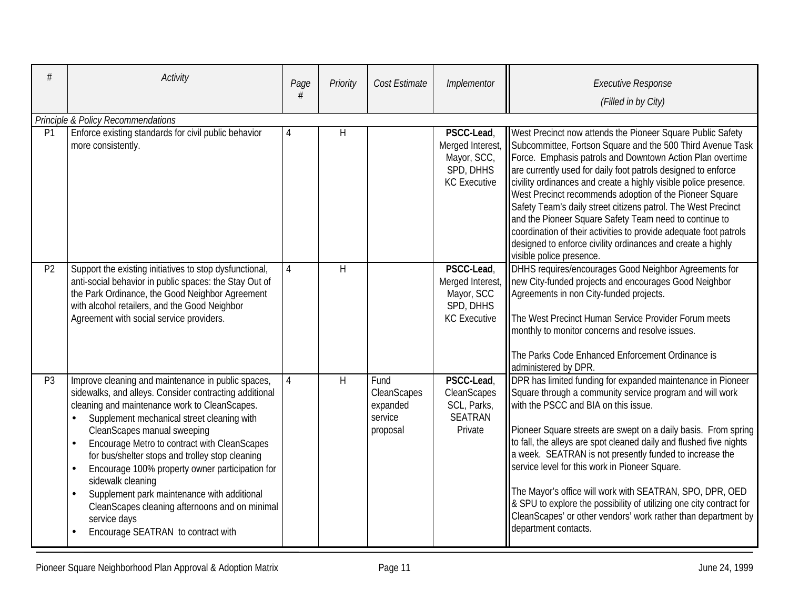| #              | <b>Activity</b>                                                                                                                                                                                                                                                                                                                                                                                                                                                                                                                                                              | Page<br># | Priority | Cost Estimate                                          | Implementor                                                                       | <b>Executive Response</b><br>(Filled in by City)                                                                                                                                                                                                                                                                                                                                                                                                                                                                                                                                                                                                                                 |  |  |  |  |  |
|----------------|------------------------------------------------------------------------------------------------------------------------------------------------------------------------------------------------------------------------------------------------------------------------------------------------------------------------------------------------------------------------------------------------------------------------------------------------------------------------------------------------------------------------------------------------------------------------------|-----------|----------|--------------------------------------------------------|-----------------------------------------------------------------------------------|----------------------------------------------------------------------------------------------------------------------------------------------------------------------------------------------------------------------------------------------------------------------------------------------------------------------------------------------------------------------------------------------------------------------------------------------------------------------------------------------------------------------------------------------------------------------------------------------------------------------------------------------------------------------------------|--|--|--|--|--|
|                | Principle & Policy Recommendations                                                                                                                                                                                                                                                                                                                                                                                                                                                                                                                                           |           |          |                                                        |                                                                                   |                                                                                                                                                                                                                                                                                                                                                                                                                                                                                                                                                                                                                                                                                  |  |  |  |  |  |
| P1             | Enforce existing standards for civil public behavior<br>more consistently.                                                                                                                                                                                                                                                                                                                                                                                                                                                                                                   | 4         | H        |                                                        | PSCC-Lead,<br>Merged Interest,<br>Mayor, SCC,<br>SPD, DHHS<br><b>KC</b> Executive | West Precinct now attends the Pioneer Square Public Safety<br>Subcommittee, Fortson Square and the 500 Third Avenue Task<br>Force. Emphasis patrols and Downtown Action Plan overtime<br>are currently used for daily foot patrols designed to enforce<br>civility ordinances and create a highly visible police presence.<br>West Precinct recommends adoption of the Pioneer Square<br>Safety Team's daily street citizens patrol. The West Precinct<br>and the Pioneer Square Safety Team need to continue to<br>coordination of their activities to provide adequate foot patrols<br>designed to enforce civility ordinances and create a highly<br>visible police presence. |  |  |  |  |  |
| P <sub>2</sub> | Support the existing initiatives to stop dysfunctional,<br>anti-social behavior in public spaces: the Stay Out of<br>the Park Ordinance, the Good Neighbor Agreement<br>with alcohol retailers, and the Good Neighbor<br>Agreement with social service providers.                                                                                                                                                                                                                                                                                                            | 4         | H        |                                                        | PSCC-Lead,<br>Merged Interest,<br>Mayor, SCC<br>SPD, DHHS<br><b>KC</b> Executive  | DHHS requires/encourages Good Neighbor Agreements for<br>new City-funded projects and encourages Good Neighbor<br>Agreements in non City-funded projects.<br>The West Precinct Human Service Provider Forum meets<br>monthly to monitor concerns and resolve issues.<br>The Parks Code Enhanced Enforcement Ordinance is<br>administered by DPR.                                                                                                                                                                                                                                                                                                                                 |  |  |  |  |  |
| P <sub>3</sub> | Improve cleaning and maintenance in public spaces,<br>sidewalks, and alleys. Consider contracting additional<br>cleaning and maintenance work to CleanScapes.<br>Supplement mechanical street cleaning with<br>CleanScapes manual sweeping<br>Encourage Metro to contract with CleanScapes<br>for bus/shelter stops and trolley stop cleaning<br>Encourage 100% property owner participation for<br>sidewalk cleaning<br>Supplement park maintenance with additional<br>CleanScapes cleaning afternoons and on minimal<br>service days<br>Encourage SEATRAN to contract with | 4         | H        | Fund<br>CleanScapes<br>expanded<br>service<br>proposal | PSCC-Lead,<br>CleanScapes<br>SCL, Parks,<br><b>SEATRAN</b><br>Private             | DPR has limited funding for expanded maintenance in Pioneer<br>Square through a community service program and will work<br>with the PSCC and BIA on this issue.<br>Pioneer Square streets are swept on a daily basis. From spring<br>to fall, the alleys are spot cleaned daily and flushed five nights<br>a week. SEATRAN is not presently funded to increase the<br>service level for this work in Pioneer Square.<br>The Mayor's office will work with SEATRAN, SPO, DPR, OED<br>& SPU to explore the possibility of utilizing one city contract for<br>CleanScapes' or other vendors' work rather than department by<br>department contacts.                                 |  |  |  |  |  |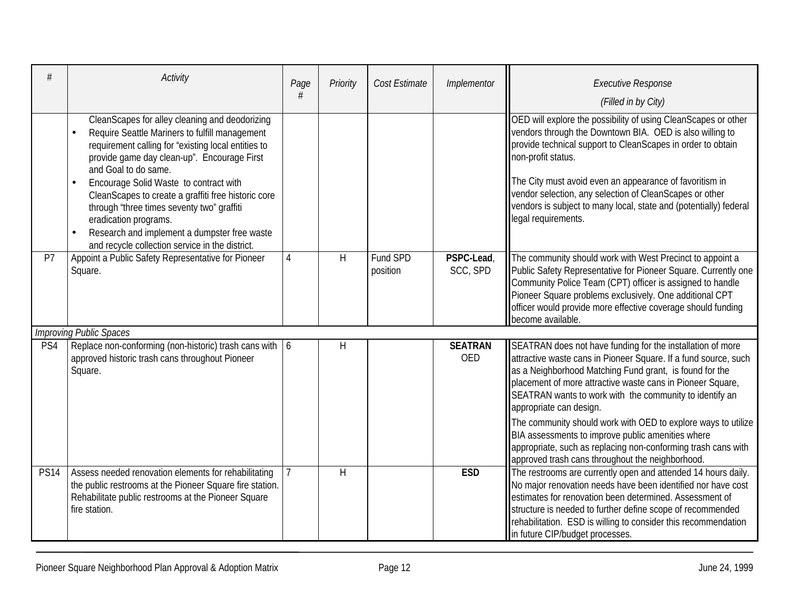|             | Activity                                                                                                                                                                                                                                                                                                                                                                                                                                                                                                               | Page<br># | Priority | Cost Estimate        | Implementor                  | <b>Executive Response</b><br>(Filled in by City)                                                                                                                                                                                                                                                                                                                                                                                  |
|-------------|------------------------------------------------------------------------------------------------------------------------------------------------------------------------------------------------------------------------------------------------------------------------------------------------------------------------------------------------------------------------------------------------------------------------------------------------------------------------------------------------------------------------|-----------|----------|----------------------|------------------------------|-----------------------------------------------------------------------------------------------------------------------------------------------------------------------------------------------------------------------------------------------------------------------------------------------------------------------------------------------------------------------------------------------------------------------------------|
|             | CleanScapes for alley cleaning and deodorizing<br>Require Seattle Mariners to fulfill management<br>requirement calling for "existing local entities to<br>provide game day clean-up". Encourage First<br>and Goal to do same.<br>Encourage Solid Waste to contract with<br>$\bullet$<br>CleanScapes to create a graffiti free historic core<br>through "three times seventy two" graffiti<br>eradication programs.<br>Research and implement a dumpster free waste<br>and recycle collection service in the district. |           |          |                      |                              | OED will explore the possibility of using CleanScapes or other<br>vendors through the Downtown BIA. OED is also willing to<br>provide technical support to CleanScapes in order to obtain<br>non-profit status.<br>The City must avoid even an appearance of favoritism in<br>vendor selection, any selection of CleanScapes or other<br>vendors is subject to many local, state and (potentially) federal<br>legal requirements. |
| P7          | Appoint a Public Safety Representative for Pioneer<br>Square.                                                                                                                                                                                                                                                                                                                                                                                                                                                          | 4         | H        | Fund SPD<br>position | PSPC-Lead,<br>SCC, SPD       | The community should work with West Precinct to appoint a<br>Public Safety Representative for Pioneer Square. Currently one<br>Community Police Team (CPT) officer is assigned to handle<br>Pioneer Square problems exclusively. One additional CPT<br>officer would provide more effective coverage should funding<br>become available.                                                                                          |
|             | <b>Improving Public Spaces</b>                                                                                                                                                                                                                                                                                                                                                                                                                                                                                         |           |          |                      |                              |                                                                                                                                                                                                                                                                                                                                                                                                                                   |
| PS4         | Replace non-conforming (non-historic) trash cans with $\vert 6 \rangle$<br>approved historic trash cans throughout Pioneer<br>Square.                                                                                                                                                                                                                                                                                                                                                                                  |           | H        |                      | <b>SEATRAN</b><br><b>OED</b> | SEATRAN does not have funding for the installation of more<br>attractive waste cans in Pioneer Square. If a fund source, such<br>as a Neighborhood Matching Fund grant, is found for the<br>placement of more attractive waste cans in Pioneer Square,<br>SEATRAN wants to work with the community to identify an<br>appropriate can design.<br>The community should work with OED to explore ways to utilize                     |
|             |                                                                                                                                                                                                                                                                                                                                                                                                                                                                                                                        |           |          |                      |                              | BIA assessments to improve public amenities where<br>appropriate, such as replacing non-conforming trash cans with<br>approved trash cans throughout the neighborhood.                                                                                                                                                                                                                                                            |
| <b>PS14</b> | Assess needed renovation elements for rehabilitating<br>the public restrooms at the Pioneer Square fire station.<br>Rehabilitate public restrooms at the Pioneer Square<br>fire station.                                                                                                                                                                                                                                                                                                                               |           | H        |                      | <b>ESD</b>                   | The restrooms are currently open and attended 14 hours daily.<br>No major renovation needs have been identified nor have cost<br>estimates for renovation been determined. Assessment of<br>structure is needed to further define scope of recommended<br>rehabilitation. ESD is willing to consider this recommendation<br>in future CIP/budget processes.                                                                       |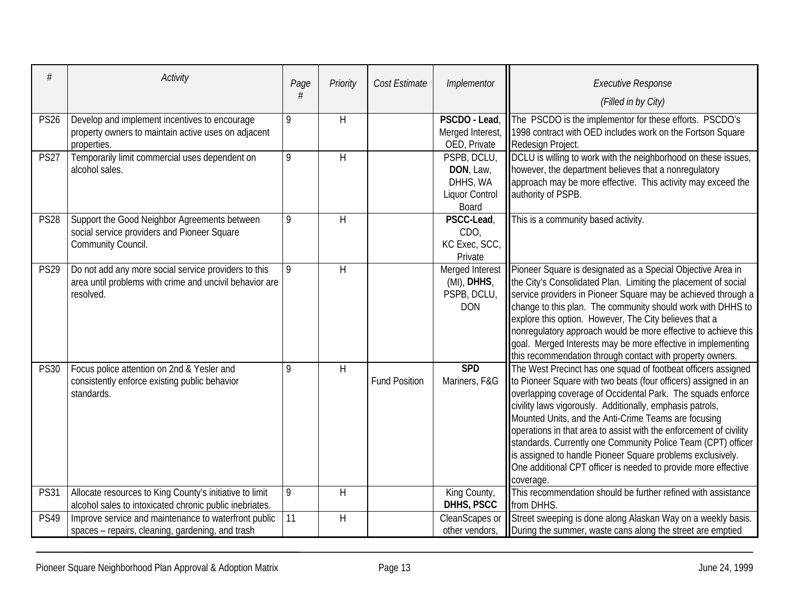| #           | Activity                                                                                                                     | Page | Priority | Cost Estimate        | Implementor                                                            | <b>Executive Response</b><br>(Filled in by City)                                                                                                                                                                                                                                                                                                                                                                                                                                                                                                                                                        |
|-------------|------------------------------------------------------------------------------------------------------------------------------|------|----------|----------------------|------------------------------------------------------------------------|---------------------------------------------------------------------------------------------------------------------------------------------------------------------------------------------------------------------------------------------------------------------------------------------------------------------------------------------------------------------------------------------------------------------------------------------------------------------------------------------------------------------------------------------------------------------------------------------------------|
| <b>PS26</b> | Develop and implement incentives to encourage<br>property owners to maintain active uses on adjacent<br>properties.          | 9    | H        |                      | PSCDO - Lead,<br>Merged Interest,<br>OED, Private                      | The PSCDO is the implementor for these efforts. PSCDO's<br>1998 contract with OED includes work on the Fortson Square<br>Redesign Project.                                                                                                                                                                                                                                                                                                                                                                                                                                                              |
| <b>PS27</b> | Temporarily limit commercial uses dependent on<br>alcohol sales.                                                             | 9    | H        |                      | PSPB, DCLU,<br>DON, Law,<br>DHHS, WA<br><b>Liquor Control</b><br>Board | DCLU is willing to work with the neighborhood on these issues,<br>however, the department believes that a nonregulatory<br>approach may be more effective. This activity may exceed the<br>authority of PSPB.                                                                                                                                                                                                                                                                                                                                                                                           |
| <b>PS28</b> | Support the Good Neighbor Agreements between<br>social service providers and Pioneer Square<br>Community Council.            | 9    | H        |                      | PSCC-Lead,<br>CDO,<br>KC Exec, SCC,<br>Private                         | This is a community based activity.                                                                                                                                                                                                                                                                                                                                                                                                                                                                                                                                                                     |
| <b>PS29</b> | Do not add any more social service providers to this<br>area until problems with crime and uncivil behavior are<br>resolved. | 9    | H        |                      | Merged Interest<br>(MI), DHHS,<br>PSPB, DCLU,<br><b>DON</b>            | Pioneer Square is designated as a Special Objective Area in<br>the City's Consolidated Plan. Limiting the placement of social<br>service providers in Pioneer Square may be achieved through a<br>change to this plan. The community should work with DHHS to<br>explore this option. However, The City believes that a<br>nonregulatory approach would be more effective to achieve this<br>goal. Merged Interests may be more effective in implementing<br>this recommendation through contact with property owners.                                                                                  |
| <b>PS30</b> | Focus police attention on 2nd & Yesler and<br>consistently enforce existing public behavior<br>standards.                    | 9    | $\sf H$  | <b>Fund Position</b> | <b>SPD</b><br>Mariners, F&G                                            | The West Precinct has one squad of footbeat officers assigned<br>to Pioneer Square with two beats (four officers) assigned in an<br>overlapping coverage of Occidental Park. The squads enforce<br>civility laws vigorously. Additionally, emphasis patrols,<br>Mounted Units, and the Anti-Crime Teams are focusing<br>operations in that area to assist with the enforcement of civility<br>standards. Currently one Community Police Team (CPT) officer<br>is assigned to handle Pioneer Square problems exclusively.<br>One additional CPT officer is needed to provide more effective<br>coverage. |
| <b>PS31</b> | Allocate resources to King County's initiative to limit<br>alcohol sales to intoxicated chronic public inebriates.           | 9    | H        |                      | King County,<br>DHHS, PSCC                                             | This recommendation should be further refined with assistance<br>from DHHS.                                                                                                                                                                                                                                                                                                                                                                                                                                                                                                                             |
| <b>PS49</b> | Improve service and maintenance to waterfront public<br>spaces - repairs, cleaning, gardening, and trash                     | 11   | H        |                      | CleanScapes or<br>other vendors,                                       | Street sweeping is done along Alaskan Way on a weekly basis.<br>During the summer, waste cans along the street are emptied                                                                                                                                                                                                                                                                                                                                                                                                                                                                              |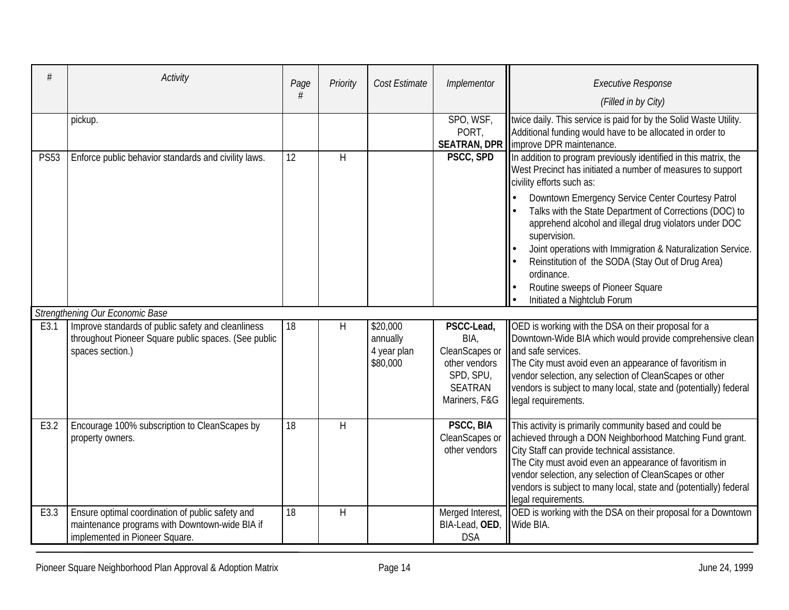|             | Activity                                                                                                                             | Page<br># | Priority | Cost Estimate                                   | Implementor                                                                                           | <b>Executive Response</b><br>(Filled in by City)                                                                                                                                                                                                                                                                                                                                                                                                                                         |
|-------------|--------------------------------------------------------------------------------------------------------------------------------------|-----------|----------|-------------------------------------------------|-------------------------------------------------------------------------------------------------------|------------------------------------------------------------------------------------------------------------------------------------------------------------------------------------------------------------------------------------------------------------------------------------------------------------------------------------------------------------------------------------------------------------------------------------------------------------------------------------------|
|             | pickup.                                                                                                                              |           |          |                                                 | SPO, WSF,<br>PORT,                                                                                    | twice daily. This service is paid for by the Solid Waste Utility.<br>Additional funding would have to be allocated in order to<br><b>SEATRAN, DPR limprove DPR maintenance.</b>                                                                                                                                                                                                                                                                                                          |
| <b>PS53</b> | Enforce public behavior standards and civility laws.                                                                                 | 12        | H        |                                                 | PSCC, SPD                                                                                             | In addition to program previously identified in this matrix, the<br>West Precinct has initiated a number of measures to support<br>civility efforts such as:<br>Downtown Emergency Service Center Courtesy Patrol<br>Talks with the State Department of Corrections (DOC) to<br>apprehend alcohol and illegal drug violators under DOC<br>supervision.<br>Joint operations with Immigration & Naturalization Service.<br>Reinstitution of the SODA (Stay Out of Drug Area)<br>ordinance. |
|             |                                                                                                                                      |           |          |                                                 |                                                                                                       | Routine sweeps of Pioneer Square<br>Initiated a Nightclub Forum                                                                                                                                                                                                                                                                                                                                                                                                                          |
|             | Strengthening Our Economic Base                                                                                                      |           |          |                                                 |                                                                                                       |                                                                                                                                                                                                                                                                                                                                                                                                                                                                                          |
| E3.1        | Improve standards of public safety and cleanliness<br>throughout Pioneer Square public spaces. (See public<br>spaces section.)       | 18        | H        | \$20,000<br>annually<br>4 year plan<br>\$80,000 | PSCC-Lead,<br>BIA,<br>CleanScapes or<br>other vendors<br>SPD, SPU,<br><b>SEATRAN</b><br>Mariners, F&G | OED is working with the DSA on their proposal for a<br>Downtown-Wide BIA which would provide comprehensive clean<br>and safe services.<br>The City must avoid even an appearance of favoritism in<br>vendor selection, any selection of CleanScapes or other<br>vendors is subject to many local, state and (potentially) federal<br>legal requirements.                                                                                                                                 |
| E3.2        | Encourage 100% subscription to CleanScapes by<br>property owners.                                                                    | 18        | H        |                                                 | <b>PSCC, BIA</b><br>CleanScapes or<br>other vendors                                                   | This activity is primarily community based and could be<br>achieved through a DON Neighborhood Matching Fund grant.<br>City Staff can provide technical assistance.<br>The City must avoid even an appearance of favoritism in<br>vendor selection, any selection of CleanScapes or other<br>vendors is subject to many local, state and (potentially) federal<br>legal requirements.                                                                                                    |
| E3.3        | Ensure optimal coordination of public safety and<br>maintenance programs with Downtown-wide BIA if<br>implemented in Pioneer Square. | 18        | H        |                                                 | Merged Interest,<br>BIA-Lead, OED,<br><b>DSA</b>                                                      | <b>OED</b> is working with the DSA on their proposal for a Downtown<br>Wide BIA.                                                                                                                                                                                                                                                                                                                                                                                                         |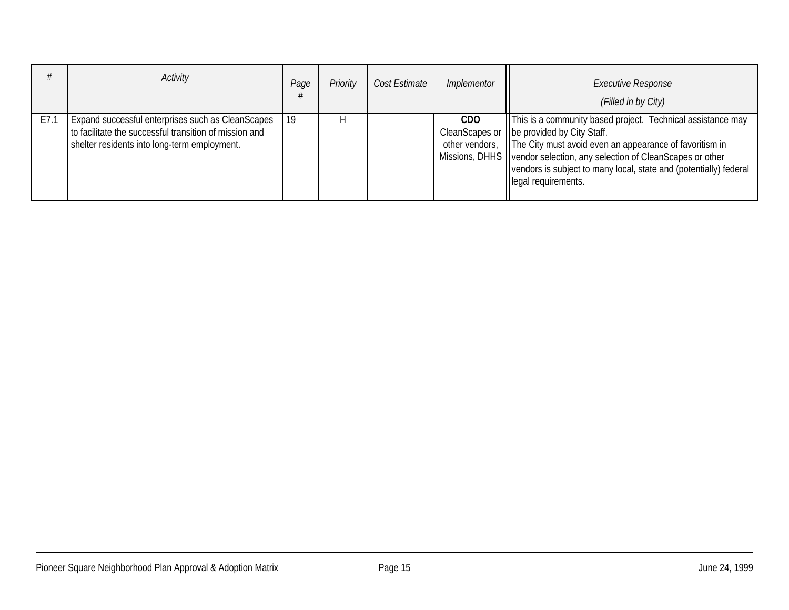|      | Activity                                                                                                                                                    | Page | Priority | Cost Estimate | Implementor | <b>Executive Response</b><br>(Filled in by City)                                                                                                                                                                                                                                                                                                             |
|------|-------------------------------------------------------------------------------------------------------------------------------------------------------------|------|----------|---------------|-------------|--------------------------------------------------------------------------------------------------------------------------------------------------------------------------------------------------------------------------------------------------------------------------------------------------------------------------------------------------------------|
| E7.1 | Expand successful enterprises such as CleanScapes<br>to facilitate the successful transition of mission and<br>shelter residents into long-term employment. | 19   |          |               | CDO.        | This is a community based project. Technical assistance may<br>CleanScapes or lobe provided by City Staff.<br>other vendors, The City must avoid even an appearance of favoritism in<br>Missions, DHHS   vendor selection, any selection of CleanScapes or other<br>vendors is subject to many local, state and (potentially) federal<br>legal requirements. |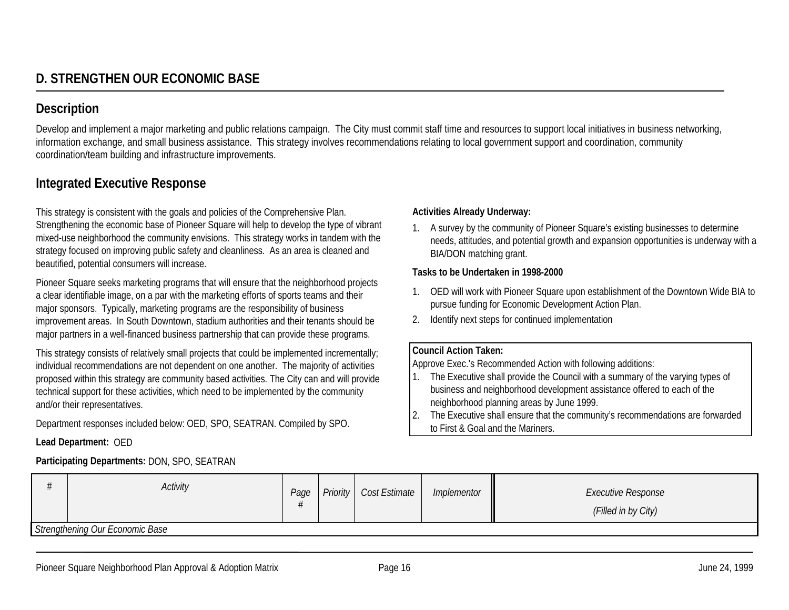Develop and implement a major marketing and public relations campaign. The City must commit staff time and resources to support local initiatives in business networking, information exchange, and small business assistance. This strategy involves recommendations relating to local government support and coordination, community coordination/team building and infrastructure improvements.

## **Integrated Executive Response**

This strategy is consistent with the goals and policies of the Comprehensive Plan. Strengthening the economic base of Pioneer Square will help to develop the type of vibrant mixed-use neighborhood the community envisions. This strategy works in tandem with the strategy focused on improving public safety and cleanliness. As an area is cleaned and beautified, potential consumers will increase.

Pioneer Square seeks marketing programs that will ensure that the neighborhood projects a clear identifiable image, on a par with the marketing efforts of sports teams and their major sponsors. Typically, marketing programs are the responsibility of business improvement areas. In South Downtown, stadium authorities and their tenants should be major partners in a well-financed business partnership that can provide these programs.

This strategy consists of relatively small projects that could be implemented incrementally; individual recommendations are not dependent on one another. The majority of activities proposed within this strategy are community based activities. The City can and will provide technical support for these activities, which need to be implemented by the community and/or their representatives.

Department responses included below: OED, SPO, SEATRAN. Compiled by SPO.

## **Lead Department:** OED

## **Participating Departments:** DON, SPO, SEATRAN

## **Activities Already Underway:**

1. A survey by the community of Pioneer Square's existing businesses to determine needs, attitudes, and potential growth and expansion opportunities is underway with a BIA/DON matching grant.

#### **Tasks to be Undertaken in 1998-2000**

- 1. OED will work with Pioneer Square upon establishment of the Downtown Wide BIA to pursue funding for Economic Development Action Plan.
- 2. Identify next steps for continued implementation

## **Council Action Taken:**

Approve Exec.'s Recommended Action with following additions:

- 1. The Executive shall provide the Council with a summary of the varying types of business and neighborhood development assistance offered to each of the neighborhood planning areas by June 1999.
- 2. The Executive shall ensure that the community's recommendations are forwarded to First & Goal and the Mariners.

| Activity                        | Page |  | Priority   Cost Estimate | Implementor | <b>Executive Response</b><br>(Filled in by City) |  |  |
|---------------------------------|------|--|--------------------------|-------------|--------------------------------------------------|--|--|
| Strengthening Our Economic Base |      |  |                          |             |                                                  |  |  |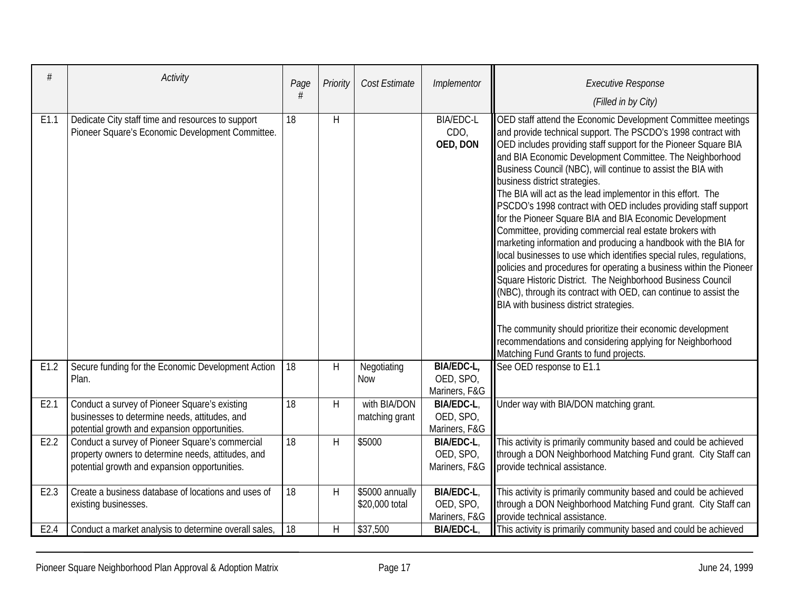| #    | Activity                                                                                                                                               | Page            | Priority | Cost Estimate                     | Implementor                                     | <b>Executive Response</b><br>(Filled in by City)                                                                                                                                                                                                                                                                                                                                                                                                                                                                                                                                                                                                                                                                                                                                                                                                                                                                                                                                                                                                                                                                                                                                            |
|------|--------------------------------------------------------------------------------------------------------------------------------------------------------|-----------------|----------|-----------------------------------|-------------------------------------------------|---------------------------------------------------------------------------------------------------------------------------------------------------------------------------------------------------------------------------------------------------------------------------------------------------------------------------------------------------------------------------------------------------------------------------------------------------------------------------------------------------------------------------------------------------------------------------------------------------------------------------------------------------------------------------------------------------------------------------------------------------------------------------------------------------------------------------------------------------------------------------------------------------------------------------------------------------------------------------------------------------------------------------------------------------------------------------------------------------------------------------------------------------------------------------------------------|
| E1.1 | Dedicate City staff time and resources to support<br>Pioneer Square's Economic Development Committee.                                                  | 18              | H        |                                   | <b>BIA/EDC-L</b><br>CDO,<br>OED, DON            | OED staff attend the Economic Development Committee meetings<br>and provide technical support. The PSCDO's 1998 contract with<br>OED includes providing staff support for the Pioneer Square BIA<br>and BIA Economic Development Committee. The Neighborhood<br>Business Council (NBC), will continue to assist the BIA with<br>business district strategies.<br>The BIA will act as the lead implementor in this effort. The<br>PSCDO's 1998 contract with OED includes providing staff support<br>for the Pioneer Square BIA and BIA Economic Development<br>Committee, providing commercial real estate brokers with<br>marketing information and producing a handbook with the BIA for<br>local businesses to use which identifies special rules, regulations,<br>policies and procedures for operating a business within the Pioneer<br>Square Historic District. The Neighborhood Business Council<br>(NBC), through its contract with OED, can continue to assist the<br>BIA with business district strategies.<br>The community should prioritize their economic development<br>recommendations and considering applying for Neighborhood<br>Matching Fund Grants to fund projects. |
| E1.2 | Secure funding for the Economic Development Action<br>Plan.                                                                                            | 18              | H        | Negotiating<br><b>Now</b>         | BIA/EDC-L,<br>OED, SPO,<br>Mariners, F&G        | See OED response to E1.1                                                                                                                                                                                                                                                                                                                                                                                                                                                                                                                                                                                                                                                                                                                                                                                                                                                                                                                                                                                                                                                                                                                                                                    |
| E2.1 | Conduct a survey of Pioneer Square's existing<br>businesses to determine needs, attitudes, and<br>potential growth and expansion opportunities.        | $\overline{18}$ | H        | with BIA/DON<br>matching grant    | <b>BIA/EDC-L.</b><br>OED, SPO,<br>Mariners, F&G | Under way with BIA/DON matching grant.                                                                                                                                                                                                                                                                                                                                                                                                                                                                                                                                                                                                                                                                                                                                                                                                                                                                                                                                                                                                                                                                                                                                                      |
| E2.2 | Conduct a survey of Pioneer Square's commercial<br>property owners to determine needs, attitudes, and<br>potential growth and expansion opportunities. | 18              | H        | \$5000                            | BIA/EDC-L,<br>OED, SPO,<br>Mariners, F&G        | This activity is primarily community based and could be achieved<br>through a DON Neighborhood Matching Fund grant. City Staff can<br>provide technical assistance.                                                                                                                                                                                                                                                                                                                                                                                                                                                                                                                                                                                                                                                                                                                                                                                                                                                                                                                                                                                                                         |
| E2.3 | Create a business database of locations and uses of<br>existing businesses.                                                                            | 18              | H        | \$5000 annually<br>\$20,000 total | <b>BIA/EDC-L,</b><br>OED, SPO,<br>Mariners, F&G | This activity is primarily community based and could be achieved<br>through a DON Neighborhood Matching Fund grant. City Staff can<br>provide technical assistance.                                                                                                                                                                                                                                                                                                                                                                                                                                                                                                                                                                                                                                                                                                                                                                                                                                                                                                                                                                                                                         |
| E2.4 | Conduct a market analysis to determine overall sales,                                                                                                  | 18              | $\sf H$  | \$37,500                          | <b>BIA/EDC-L</b>                                | This activity is primarily community based and could be achieved                                                                                                                                                                                                                                                                                                                                                                                                                                                                                                                                                                                                                                                                                                                                                                                                                                                                                                                                                                                                                                                                                                                            |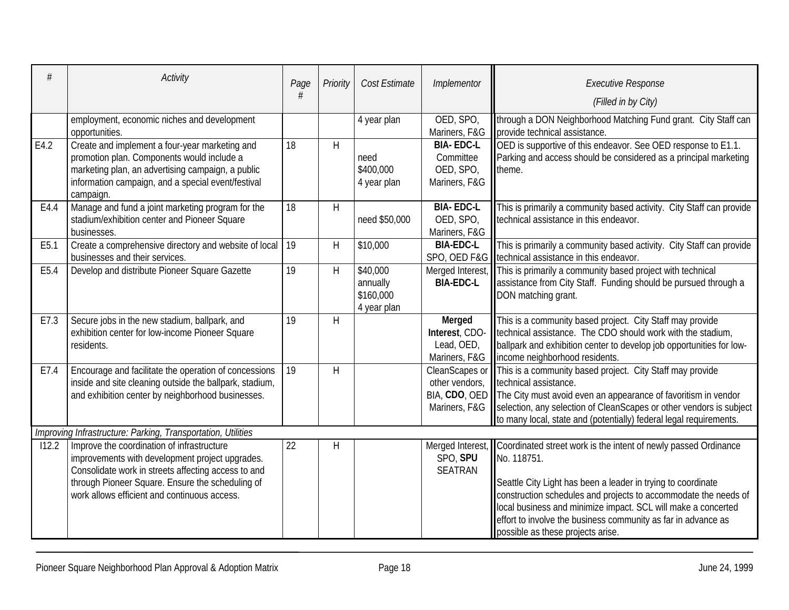|       | Activity                                                                                                                                                                                                                                                 | Page | Priority     | Cost Estimate                                    | Implementor                                                 | <b>Executive Response</b><br>(Filled in by City)                                                                                                                                                                                                                                                                                                                                                          |
|-------|----------------------------------------------------------------------------------------------------------------------------------------------------------------------------------------------------------------------------------------------------------|------|--------------|--------------------------------------------------|-------------------------------------------------------------|-----------------------------------------------------------------------------------------------------------------------------------------------------------------------------------------------------------------------------------------------------------------------------------------------------------------------------------------------------------------------------------------------------------|
|       | employment, economic niches and development<br>opportunities.                                                                                                                                                                                            |      |              | 4 year plan                                      | OED, SPO,<br>Mariners, F&G                                  | through a DON Neighborhood Matching Fund grant. City Staff can<br>provide technical assistance.                                                                                                                                                                                                                                                                                                           |
| E4.2  | Create and implement a four-year marketing and<br>promotion plan. Components would include a<br>marketing plan, an advertising campaign, a public<br>information campaign, and a special event/festival<br>campaign.                                     | 18   | H            | need<br>\$400,000<br>4 year plan                 | <b>BIA-EDC-L</b><br>Committee<br>OED, SPO,<br>Mariners, F&G | OED is supportive of this endeavor. See OED response to E1.1.<br>Parking and access should be considered as a principal marketing<br>theme.                                                                                                                                                                                                                                                               |
| E4.4  | Manage and fund a joint marketing program for the<br>stadium/exhibition center and Pioneer Square<br>businesses.                                                                                                                                         | 18   | H            | need \$50,000                                    | <b>BIA-EDC-L</b><br>OED, SPO,<br>Mariners, F&G              | This is primarily a community based activity. City Staff can provide<br>technical assistance in this endeavor.                                                                                                                                                                                                                                                                                            |
| E5.1  | Create a comprehensive directory and website of local<br>businesses and their services.                                                                                                                                                                  | 19   | H            | \$10,000                                         | <b>BIA-EDC-L</b>                                            | This is primarily a community based activity. City Staff can provide<br>SPO, OED F&G   technical assistance in this endeavor.                                                                                                                                                                                                                                                                             |
| E5.4  | Develop and distribute Pioneer Square Gazette                                                                                                                                                                                                            | 19   | H            | \$40,000<br>annually<br>\$160,000<br>4 year plan | Merged Interest,<br><b>BIA-EDC-L</b>                        | This is primarily a community based project with technical<br>assistance from City Staff. Funding should be pursued through a<br>DON matching grant.                                                                                                                                                                                                                                                      |
| E7.3  | Secure jobs in the new stadium, ballpark, and<br>exhibition center for low-income Pioneer Square<br>residents.                                                                                                                                           | 19   | H            |                                                  | Merged<br>Interest, CDO-<br>Lead, OED,<br>Mariners, F&G     | This is a community based project. City Staff may provide<br>technical assistance. The CDO should work with the stadium,<br>ballpark and exhibition center to develop job opportunities for low-<br>income neighborhood residents.                                                                                                                                                                        |
| E7.4  | Encourage and facilitate the operation of concessions<br>inside and site cleaning outside the ballpark, stadium,<br>and exhibition center by neighborhood businesses.                                                                                    | 19   | $\mathsf{H}$ |                                                  | CleanScapes or<br>other vendors,                            | This is a community based project. City Staff may provide<br>technical assistance.<br>BIA, CDO, OED The City must avoid even an appearance of favoritism in vendor<br>Mariners, F&G Selection, any selection of CleanScapes or other vendors is subject<br>to many local, state and (potentially) federal legal requirements.                                                                             |
|       | Improving Infrastructure: Parking, Transportation, Utilities                                                                                                                                                                                             |      |              |                                                  |                                                             |                                                                                                                                                                                                                                                                                                                                                                                                           |
| 112.2 | Improve the coordination of infrastructure<br>improvements with development project upgrades.<br>Consolidate work in streets affecting access to and<br>through Pioneer Square. Ensure the scheduling of<br>work allows efficient and continuous access. | 22   | Н            |                                                  | SPO, SPU<br><b>SEATRAN</b>                                  | Merged Interest, Coordinated street work is the intent of newly passed Ordinance<br>No. 118751.<br>Seattle City Light has been a leader in trying to coordinate<br>construction schedules and projects to accommodate the needs of<br>local business and minimize impact. SCL will make a concerted<br>effort to involve the business community as far in advance as<br>possible as these projects arise. |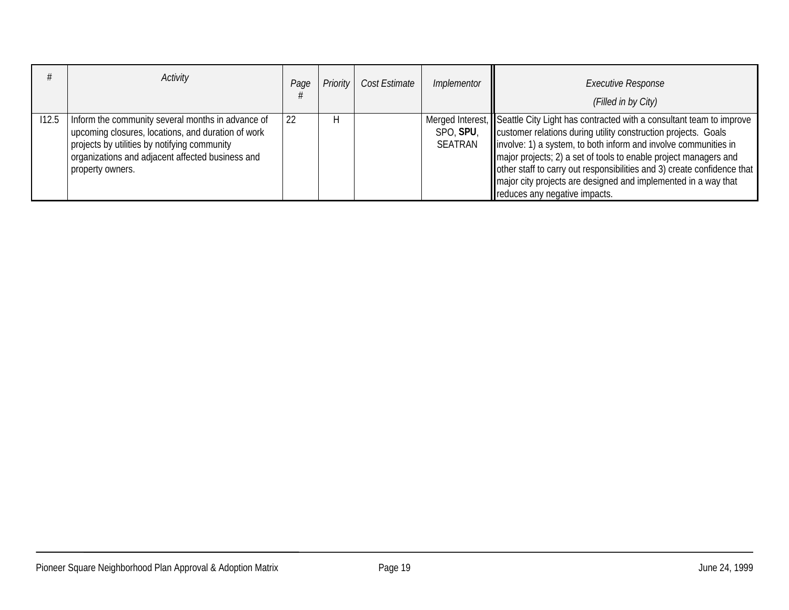|       | Activity                                                                                                                                                                                                                        | Page | Priority | Cost Estimate | Implementor                 | <b>Executive Response</b><br>(Filled in by City)                                                                                                                                                                                                                                                                                                                                                                                                                             |
|-------|---------------------------------------------------------------------------------------------------------------------------------------------------------------------------------------------------------------------------------|------|----------|---------------|-----------------------------|------------------------------------------------------------------------------------------------------------------------------------------------------------------------------------------------------------------------------------------------------------------------------------------------------------------------------------------------------------------------------------------------------------------------------------------------------------------------------|
| 112.5 | Inform the community several months in advance of<br>upcoming closures, locations, and duration of work<br>projects by utilities by notifying community<br>organizations and adjacent affected business and<br>property owners. | 22   |          |               | SPO, SPU,<br><b>SEATRAN</b> | Merged Interest, Seattle City Light has contracted with a consultant team to improve<br>customer relations during utility construction projects. Goals<br>linvolve: 1) a system, to both inform and involve communities in<br>major projects; 2) a set of tools to enable project managers and<br>other staff to carry out responsibilities and 3) create confidence that<br>major city projects are designed and implemented in a way that<br>reduces any negative impacts. |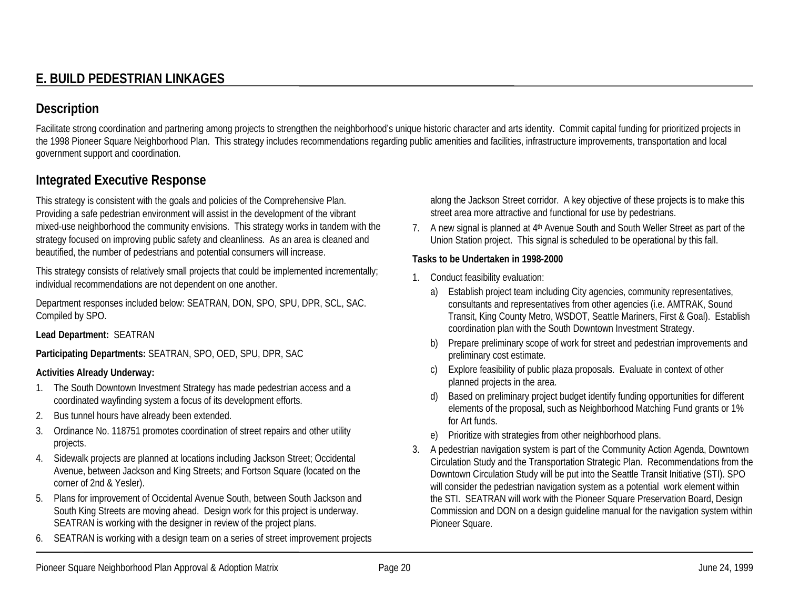Facilitate strong coordination and partnering among projects to strengthen the neighborhood's unique historic character and arts identity. Commit capital funding for prioritized projects in the 1998 Pioneer Square Neighborhood Plan. This strategy includes recommendations regarding public amenities and facilities, infrastructure improvements, transportation and local government support and coordination.

## **Integrated Executive Response**

This strategy is consistent with the goals and policies of the Comprehensive Plan. Providing a safe pedestrian environment will assist in the development of the vibrant mixed-use neighborhood the community envisions. This strategy works in tandem with the strategy focused on improving public safety and cleanliness. As an area is cleaned and beautified, the number of pedestrians and potential consumers will increase.

This strategy consists of relatively small projects that could be implemented incrementally; individual recommendations are not dependent on one another.

Department responses included below: SEATRAN, DON, SPO, SPU, DPR, SCL, SAC. Compiled by SPO.

**Lead Department:** SEATRAN

**Participating Departments:** SEATRAN, SPO, OED, SPU, DPR, SAC

## **Activities Already Underway:**

- 1. The South Downtown Investment Strategy has made pedestrian access and a coordinated wayfinding system a focus of its development efforts.
- 2.Bus tunnel hours have already been extended.
- 3. Ordinance No. 118751 promotes coordination of street repairs and other utility projects.
- 4. Sidewalk projects are planned at locations including Jackson Street; Occidental Avenue, between Jackson and King Streets; and Fortson Square (located on the corner of 2nd & Yesler).
- 5. Plans for improvement of Occidental Avenue South, between South Jackson and South King Streets are moving ahead. Design work for this project is underway. SEATRAN is working with the designer in review of the project plans.
- 6.SEATRAN is working with a design team on a series of street improvement projects

along the Jackson Street corridor. A key objective of these projects is to make this street area more attractive and functional for use by pedestrians.

7. A new signal is planned at 4th Avenue South and South Weller Street as part of the Union Station project. This signal is scheduled to be operational by this fall.

## **Tasks to be Undertaken in 1998-2000**

- 1. Conduct feasibility evaluation:
	- a) Establish project team including City agencies, community representatives, consultants and representatives from other agencies (i.e. AMTRAK, Sound Transit, King County Metro, WSDOT, Seattle Mariners, First & Goal). Establish coordination plan with the South Downtown Investment Strategy.
	- b) Prepare preliminary scope of work for street and pedestrian improvements and preliminary cost estimate.
	- c) Explore feasibility of public plaza proposals. Evaluate in context of other planned projects in the area.
	- d) Based on preliminary project budget identify funding opportunities for different elements of the proposal, such as Neighborhood Matching Fund grants or 1% for Art funds.
	- e) Prioritize with strategies from other neighborhood plans.
- 3. A pedestrian navigation system is part of the Community Action Agenda, Downtown Circulation Study and the Transportation Strategic Plan. Recommendations from the Downtown Circulation Study will be put into the Seattle Transit Initiative (STI). SPO will consider the pedestrian navigation system as a potential work element within the STI. SEATRAN will work with the Pioneer Square Preservation Board, Design Commission and DON on a design guideline manual for the navigation system within Pioneer Square.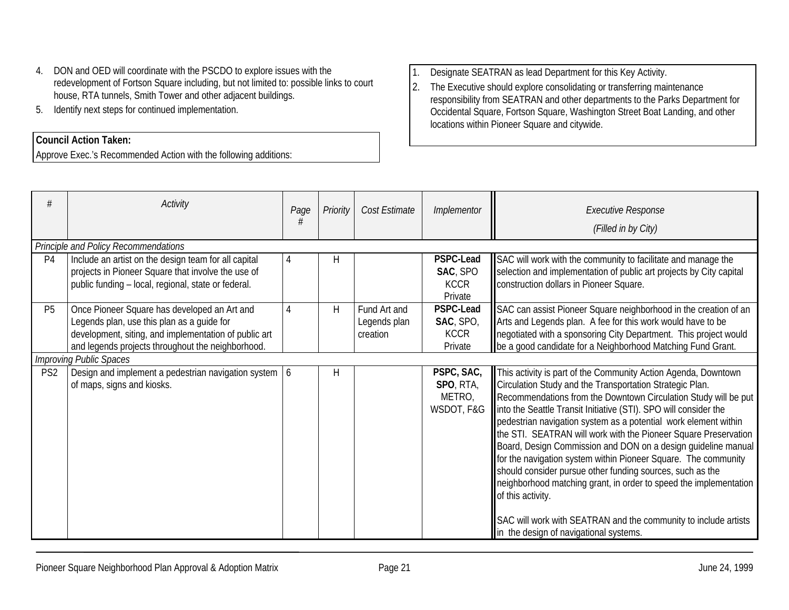- 4. DON and OED will coordinate with the PSCDO to explore issues with the redevelopment of Fortson Square including, but not limited to: possible links to court house, RTA tunnels, Smith Tower and other adjacent buildings.
- 5. Identify next steps for continued implementation.

## **Council Action Taken:**

Approve Exec.'s Recommended Action with the following additions:

1.Designate SEATRAN as lead Department for this Key Activity.

2. The Executive should explore consolidating or transferring maintenance responsibility from SEATRAN and other departments to the Parks Department for Occidental Square, Fortson Square, Washington Street Boat Landing, and other locations within Pioneer Square and citywide.

|                 | Activity                                                                                                                                                                                                                                   | Page | Priority | Cost Estimate                            | Implementor                                             | <b>Executive Response</b><br>(Filled in by City)                                                                                                                                                                                                                                                                                                                                                                                                                                                                                                                                                                                                                                                                                                                                                               |  |  |  |  |
|-----------------|--------------------------------------------------------------------------------------------------------------------------------------------------------------------------------------------------------------------------------------------|------|----------|------------------------------------------|---------------------------------------------------------|----------------------------------------------------------------------------------------------------------------------------------------------------------------------------------------------------------------------------------------------------------------------------------------------------------------------------------------------------------------------------------------------------------------------------------------------------------------------------------------------------------------------------------------------------------------------------------------------------------------------------------------------------------------------------------------------------------------------------------------------------------------------------------------------------------------|--|--|--|--|
|                 | Principle and Policy Recommendations                                                                                                                                                                                                       |      |          |                                          |                                                         |                                                                                                                                                                                                                                                                                                                                                                                                                                                                                                                                                                                                                                                                                                                                                                                                                |  |  |  |  |
| P <sub>4</sub>  | Include an artist on the design team for all capital<br>projects in Pioneer Square that involve the use of<br>public funding - local, regional, state or federal.                                                                          | 4    | Η        |                                          | <b>PSPC-Lead</b><br>SAC, SPO<br><b>KCCR</b><br>Private  | SAC will work with the community to facilitate and manage the<br>selection and implementation of public art projects by City capital<br>construction dollars in Pioneer Square.                                                                                                                                                                                                                                                                                                                                                                                                                                                                                                                                                                                                                                |  |  |  |  |
| P <sub>5</sub>  | Once Pioneer Square has developed an Art and<br>Legends plan, use this plan as a guide for<br>development, siting, and implementation of public art<br>and legends projects throughout the neighborhood.<br><b>Improving Public Spaces</b> | 4    | Н        | Fund Art and<br>Legends plan<br>creation | <b>PSPC-Lead</b><br>SAC, SPO,<br><b>KCCR</b><br>Private | SAC can assist Pioneer Square neighborhood in the creation of an<br>Arts and Legends plan. A fee for this work would have to be<br>negotiated with a sponsoring City Department. This project would<br>be a good candidate for a Neighborhood Matching Fund Grant.                                                                                                                                                                                                                                                                                                                                                                                                                                                                                                                                             |  |  |  |  |
| PS <sub>2</sub> | Design and implement a pedestrian navigation system 6<br>of maps, signs and kiosks.                                                                                                                                                        |      | Η        |                                          | PSPC, SAC,<br>SPO, RTA,<br>METRO,<br>WSDOT, F&G         | This activity is part of the Community Action Agenda, Downtown<br>Circulation Study and the Transportation Strategic Plan.<br>Recommendations from the Downtown Circulation Study will be put<br>Into the Seattle Transit Initiative (STI). SPO will consider the<br>pedestrian navigation system as a potential work element within<br>the STI. SEATRAN will work with the Pioneer Square Preservation<br>Board, Design Commission and DON on a design guideline manual<br>for the navigation system within Pioneer Square. The community<br>should consider pursue other funding sources, such as the<br>neighborhood matching grant, in order to speed the implementation<br>of this activity.<br>SAC will work with SEATRAN and the community to include artists<br>in the design of navigational systems. |  |  |  |  |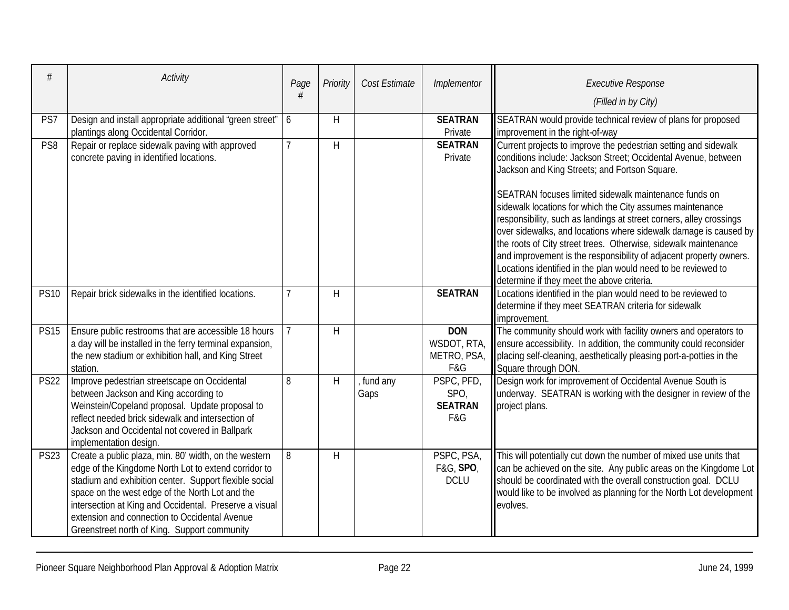| #               | Activity                                                                                                                                                                                                                                                                                                                                                                              | Page           | Priority | Cost Estimate      | Implementor                                     | <b>Executive Response</b><br>(Filled in by City)                                                                                                                                                                                                                                                                                                                                                                                                                                                                                                                                                                                                                                                            |
|-----------------|---------------------------------------------------------------------------------------------------------------------------------------------------------------------------------------------------------------------------------------------------------------------------------------------------------------------------------------------------------------------------------------|----------------|----------|--------------------|-------------------------------------------------|-------------------------------------------------------------------------------------------------------------------------------------------------------------------------------------------------------------------------------------------------------------------------------------------------------------------------------------------------------------------------------------------------------------------------------------------------------------------------------------------------------------------------------------------------------------------------------------------------------------------------------------------------------------------------------------------------------------|
| PS7             | Design and install appropriate additional "green street"   6<br>plantings along Occidental Corridor.                                                                                                                                                                                                                                                                                  |                | H        |                    | <b>SEATRAN</b><br>Private                       | SEATRAN would provide technical review of plans for proposed<br>improvement in the right-of-way                                                                                                                                                                                                                                                                                                                                                                                                                                                                                                                                                                                                             |
| PS <sub>8</sub> | Repair or replace sidewalk paving with approved<br>concrete paving in identified locations.                                                                                                                                                                                                                                                                                           | $\overline{7}$ | H        |                    | <b>SEATRAN</b><br>Private                       | Current projects to improve the pedestrian setting and sidewalk<br>conditions include: Jackson Street; Occidental Avenue, between<br>Jackson and King Streets; and Fortson Square.<br>SEATRAN focuses limited sidewalk maintenance funds on<br>sidewalk locations for which the City assumes maintenance<br>responsibility, such as landings at street corners, alley crossings<br>over sidewalks, and locations where sidewalk damage is caused by<br>the roots of City street trees. Otherwise, sidewalk maintenance<br>and improvement is the responsibility of adjacent property owners.<br>Locations identified in the plan would need to be reviewed to<br>determine if they meet the above criteria. |
| <b>PS10</b>     | Repair brick sidewalks in the identified locations.                                                                                                                                                                                                                                                                                                                                   | 7              | H        |                    | <b>SEATRAN</b>                                  | Locations identified in the plan would need to be reviewed to<br>determine if they meet SEATRAN criteria for sidewalk<br>improvement.                                                                                                                                                                                                                                                                                                                                                                                                                                                                                                                                                                       |
| <b>PS15</b>     | Ensure public restrooms that are accessible 18 hours<br>a day will be installed in the ferry terminal expansion,<br>the new stadium or exhibition hall, and King Street<br>station.                                                                                                                                                                                                   |                | H        |                    | <b>DON</b><br>WSDOT, RTA,<br>METRO, PSA,<br>F&G | The community should work with facility owners and operators to<br>ensure accessibility. In addition, the community could reconsider<br>placing self-cleaning, aesthetically pleasing port-a-potties in the<br>Square through DON.                                                                                                                                                                                                                                                                                                                                                                                                                                                                          |
| <b>PS22</b>     | Improve pedestrian streetscape on Occidental<br>between Jackson and King according to<br>Weinstein/Copeland proposal. Update proposal to<br>reflect needed brick sidewalk and intersection of<br>Jackson and Occidental not covered in Ballpark<br>implementation design.                                                                                                             | 8              | H        | , fund any<br>Gaps | PSPC, PFD,<br>SPO,<br><b>SEATRAN</b><br>F&G     | Design work for improvement of Occidental Avenue South is<br>underway. SEATRAN is working with the designer in review of the<br>project plans.                                                                                                                                                                                                                                                                                                                                                                                                                                                                                                                                                              |
| <b>PS23</b>     | Create a public plaza, min. 80' width, on the western<br>edge of the Kingdome North Lot to extend corridor to<br>stadium and exhibition center. Support flexible social<br>space on the west edge of the North Lot and the<br>intersection at King and Occidental. Preserve a visual<br>extension and connection to Occidental Avenue<br>Greenstreet north of King. Support community | 8              | H        |                    | PSPC, PSA,<br>F&G, SPO,<br><b>DCLU</b>          | This will potentially cut down the number of mixed use units that<br>can be achieved on the site. Any public areas on the Kingdome Lot<br>should be coordinated with the overall construction goal. DCLU<br>would like to be involved as planning for the North Lot development<br>evolves.                                                                                                                                                                                                                                                                                                                                                                                                                 |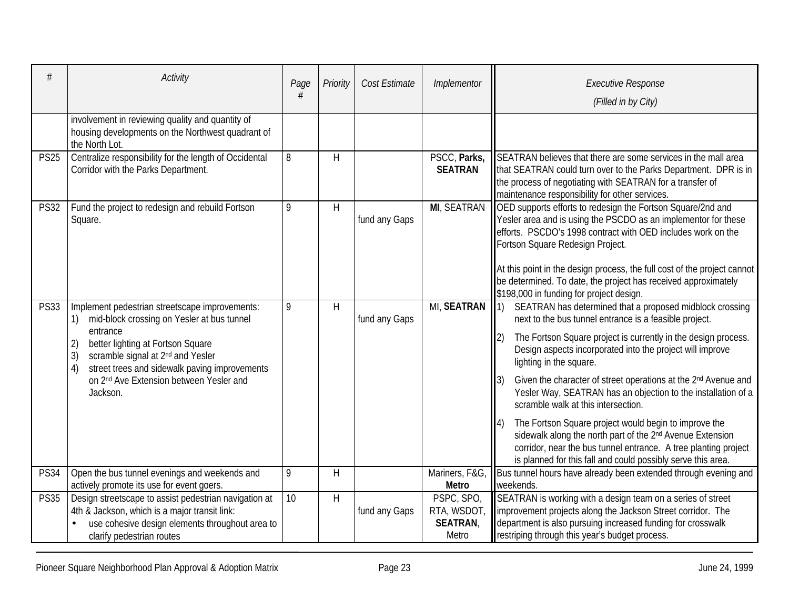|             | Activity                                                                                                                                                                                                                                                                                                                                   | Page<br>#       | Priority     | Cost Estimate | Implementor                                           | <b>Executive Response</b><br>(Filled in by City)                                                                                                                                                                                                                                                                                                                                                                                                                                                                                                                                                                                                                                                                                                           |
|-------------|--------------------------------------------------------------------------------------------------------------------------------------------------------------------------------------------------------------------------------------------------------------------------------------------------------------------------------------------|-----------------|--------------|---------------|-------------------------------------------------------|------------------------------------------------------------------------------------------------------------------------------------------------------------------------------------------------------------------------------------------------------------------------------------------------------------------------------------------------------------------------------------------------------------------------------------------------------------------------------------------------------------------------------------------------------------------------------------------------------------------------------------------------------------------------------------------------------------------------------------------------------------|
|             | involvement in reviewing quality and quantity of<br>housing developments on the Northwest quadrant of<br>the North Lot.                                                                                                                                                                                                                    |                 |              |               |                                                       |                                                                                                                                                                                                                                                                                                                                                                                                                                                                                                                                                                                                                                                                                                                                                            |
| <b>PS25</b> | Centralize responsibility for the length of Occidental<br>Corridor with the Parks Department.                                                                                                                                                                                                                                              | 8               | H            |               | PSCC, Parks,<br><b>SEATRAN</b>                        | SEATRAN believes that there are some services in the mall area<br>that SEATRAN could turn over to the Parks Department. DPR is in<br>the process of negotiating with SEATRAN for a transfer of<br>maintenance responsibility for other services.                                                                                                                                                                                                                                                                                                                                                                                                                                                                                                           |
| <b>PS32</b> | Fund the project to redesign and rebuild Fortson<br>Square.                                                                                                                                                                                                                                                                                | 9               | $\mathsf{H}$ | fund any Gaps | <b>MI, SEATRAN</b>                                    | OED supports efforts to redesign the Fortson Square/2nd and<br>Yesler area and is using the PSCDO as an implementor for these<br>efforts. PSCDO's 1998 contract with OED includes work on the<br>Fortson Square Redesign Project.<br>At this point in the design process, the full cost of the project cannot<br>be determined. To date, the project has received approximately<br>\$198,000 in funding for project design.                                                                                                                                                                                                                                                                                                                                |
| <b>PS33</b> | Implement pedestrian streetscape improvements:<br>mid-block crossing on Yesler at bus tunnel<br>1)<br>entrance<br>better lighting at Fortson Square<br>2)<br>3)<br>scramble signal at 2 <sup>nd</sup> and Yesler<br>4)<br>street trees and sidewalk paving improvements<br>on 2 <sup>nd</sup> Ave Extension between Yesler and<br>Jackson. | 9               | H            | fund any Gaps | <b>MI, SEATRAN</b>                                    | SEATRAN has determined that a proposed midblock crossing<br> 1)<br>next to the bus tunnel entrance is a feasible project.<br>The Fortson Square project is currently in the design process.<br>2)<br>Design aspects incorporated into the project will improve<br>lighting in the square.<br>Given the character of street operations at the 2 <sup>nd</sup> Avenue and<br>3)<br>Yesler Way, SEATRAN has an objection to the installation of a<br>scramble walk at this intersection.<br>The Fortson Square project would begin to improve the<br>sidewalk along the north part of the 2 <sup>nd</sup> Avenue Extension<br>corridor, near the bus tunnel entrance. A tree planting project<br>is planned for this fall and could possibly serve this area. |
| <b>PS34</b> | Open the bus tunnel evenings and weekends and<br>actively promote its use for event goers.                                                                                                                                                                                                                                                 | 9               | H            |               | Mariners, F&G,<br><b>Metro</b>                        | Bus tunnel hours have already been extended through evening and<br>weekends.                                                                                                                                                                                                                                                                                                                                                                                                                                                                                                                                                                                                                                                                               |
| <b>PS35</b> | Design streetscape to assist pedestrian navigation at<br>4th & Jackson, which is a major transit link:<br>use cohesive design elements throughout area to<br>clarify pedestrian routes                                                                                                                                                     | $\overline{10}$ | H            | fund any Gaps | PSPC, SPO,<br>RTA, WSDOT,<br><b>SEATRAN,</b><br>Metro | SEATRAN is working with a design team on a series of street<br>Improvement projects along the Jackson Street corridor. The<br>department is also pursuing increased funding for crosswalk<br>restriping through this year's budget process.                                                                                                                                                                                                                                                                                                                                                                                                                                                                                                                |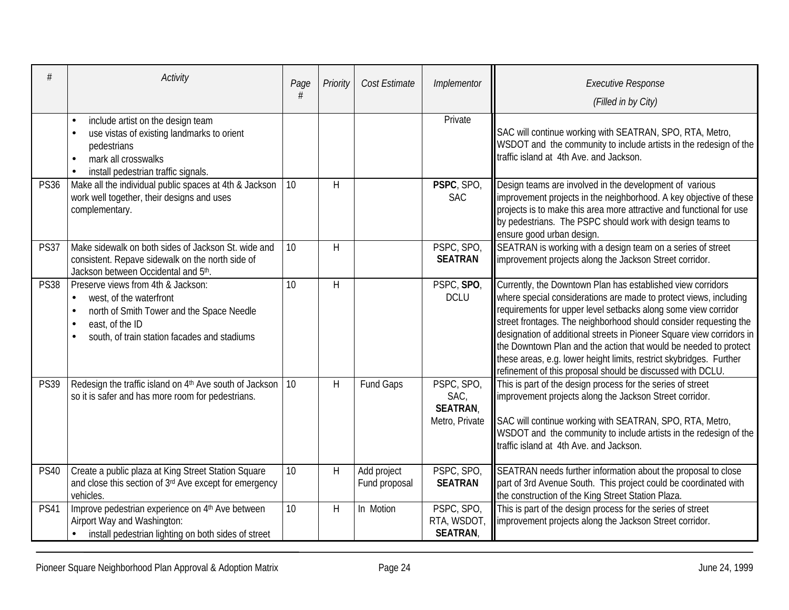| #           | Activity                                                                                                                                                                                   | Page            | Priority       | Cost Estimate                | Implementor                                             | <b>Executive Response</b><br>(Filled in by City)                                                                                                                                                                                                                                                                                                                                                                                                                                                                                                          |
|-------------|--------------------------------------------------------------------------------------------------------------------------------------------------------------------------------------------|-----------------|----------------|------------------------------|---------------------------------------------------------|-----------------------------------------------------------------------------------------------------------------------------------------------------------------------------------------------------------------------------------------------------------------------------------------------------------------------------------------------------------------------------------------------------------------------------------------------------------------------------------------------------------------------------------------------------------|
|             | include artist on the design team<br>use vistas of existing landmarks to orient<br>pedestrians<br>mark all crosswalks<br>install pedestrian traffic signals.                               |                 |                |                              | Private                                                 | SAC will continue working with SEATRAN, SPO, RTA, Metro,<br>WSDOT and the community to include artists in the redesign of the<br>traffic island at 4th Ave. and Jackson.                                                                                                                                                                                                                                                                                                                                                                                  |
| <b>PS36</b> | Make all the individual public spaces at 4th & Jackson<br>work well together, their designs and uses<br>complementary.                                                                     | 10              | $\overline{H}$ |                              | PSPC, SPO,<br><b>SAC</b>                                | Design teams are involved in the development of various<br>improvement projects in the neighborhood. A key objective of these<br>projects is to make this area more attractive and functional for use<br>by pedestrians. The PSPC should work with design teams to<br>ensure good urban design.                                                                                                                                                                                                                                                           |
| <b>PS37</b> | Make sidewalk on both sides of Jackson St. wide and<br>consistent. Repave sidewalk on the north side of<br>Jackson between Occidental and 5th.                                             | 10 <sup>1</sup> | H              |                              | PSPC, SPO,<br><b>SEATRAN</b>                            | SEATRAN is working with a design team on a series of street<br>improvement projects along the Jackson Street corridor.                                                                                                                                                                                                                                                                                                                                                                                                                                    |
| <b>PS38</b> | Preserve views from 4th & Jackson:<br>west, of the waterfront<br>$\bullet$<br>north of Smith Tower and the Space Needle<br>east, of the ID<br>south, of train station facades and stadiums | 10              | $\mathsf{H}$   |                              | PSPC, SPO,<br><b>DCLU</b>                               | Currently, the Downtown Plan has established view corridors<br>where special considerations are made to protect views, including<br>requirements for upper level setbacks along some view corridor<br>street frontages. The neighborhood should consider requesting the<br>designation of additional streets in Pioneer Square view corridors in<br>the Downtown Plan and the action that would be needed to protect<br>these areas, e.g. lower height limits, restrict skybridges. Further<br>refinement of this proposal should be discussed with DCLU. |
| <b>PS39</b> | Redesign the traffic island on $4th$ Ave south of Jackson   10<br>so it is safer and has more room for pedestrians.                                                                        |                 | $\mathsf{H}$   | Fund Gaps                    | PSPC, SPO,<br>SAC,<br><b>SEATRAN,</b><br>Metro, Private | This is part of the design process for the series of street<br>improvement projects along the Jackson Street corridor.<br>SAC will continue working with SEATRAN, SPO, RTA, Metro,<br>WSDOT and the community to include artists in the redesign of the<br>traffic island at 4th Ave. and Jackson.                                                                                                                                                                                                                                                        |
| <b>PS40</b> | Create a public plaza at King Street Station Square<br>and close this section of 3rd Ave except for emergency<br>vehicles.                                                                 | 10              | $\mathsf{H}$   | Add project<br>Fund proposal | PSPC, SPO,<br><b>SEATRAN</b>                            | SEATRAN needs further information about the proposal to close<br>part of 3rd Avenue South. This project could be coordinated with<br>the construction of the King Street Station Plaza.                                                                                                                                                                                                                                                                                                                                                                   |
| PS41        | Improve pedestrian experience on 4th Ave between<br>Airport Way and Washington:<br>install pedestrian lighting on both sides of street                                                     | 10              | $\overline{H}$ | In Motion                    | PSPC, SPO,<br>RTA, WSDOT,<br><b>SEATRAN</b>             | This is part of the design process for the series of street<br>improvement projects along the Jackson Street corridor.                                                                                                                                                                                                                                                                                                                                                                                                                                    |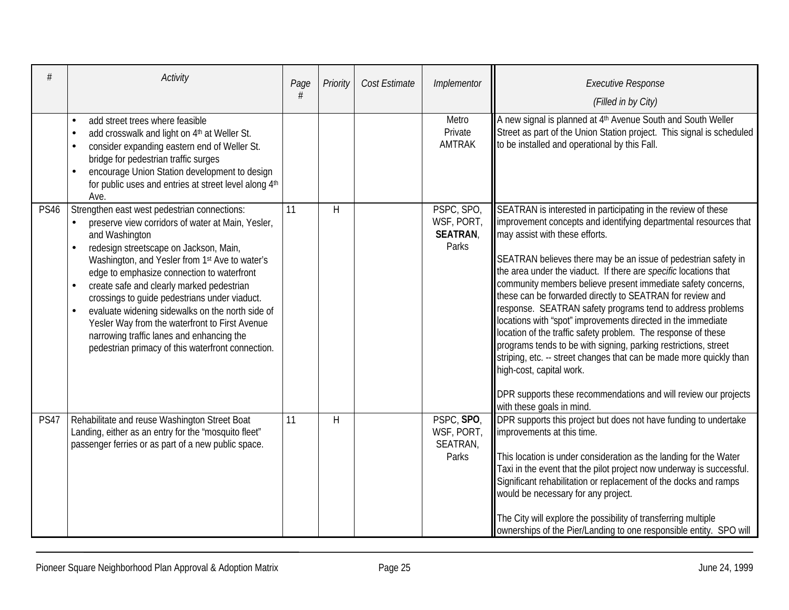| #           | <b>Activity</b>                                                                                                                                                                                                                                                                                                                                                                                                                                                                                                                                                                  | Page | Priority     | Cost Estimate | Implementor                                          | <b>Executive Response</b><br>(Filled in by City)                                                                                                                                                                                                                                                                                                                                                                                                                                                                                                                                                                                                                                                                                                                                                                                                                                                                   |
|-------------|----------------------------------------------------------------------------------------------------------------------------------------------------------------------------------------------------------------------------------------------------------------------------------------------------------------------------------------------------------------------------------------------------------------------------------------------------------------------------------------------------------------------------------------------------------------------------------|------|--------------|---------------|------------------------------------------------------|--------------------------------------------------------------------------------------------------------------------------------------------------------------------------------------------------------------------------------------------------------------------------------------------------------------------------------------------------------------------------------------------------------------------------------------------------------------------------------------------------------------------------------------------------------------------------------------------------------------------------------------------------------------------------------------------------------------------------------------------------------------------------------------------------------------------------------------------------------------------------------------------------------------------|
|             | add street trees where feasible<br>$\bullet$<br>add crosswalk and light on 4th at Weller St.<br>consider expanding eastern end of Weller St.<br>bridge for pedestrian traffic surges<br>encourage Union Station development to design<br>for public uses and entries at street level along 4th<br>Ave.                                                                                                                                                                                                                                                                           |      |              |               | Metro<br>Private<br><b>AMTRAK</b>                    | A new signal is planned at 4 <sup>th</sup> Avenue South and South Weller<br>Street as part of the Union Station project. This signal is scheduled<br>to be installed and operational by this Fall.                                                                                                                                                                                                                                                                                                                                                                                                                                                                                                                                                                                                                                                                                                                 |
| <b>PS46</b> | Strengthen east west pedestrian connections:<br>preserve view corridors of water at Main, Yesler,<br>and Washington<br>redesign streetscape on Jackson, Main,<br>$\bullet$<br>Washington, and Yesler from 1st Ave to water's<br>edge to emphasize connection to waterfront<br>create safe and clearly marked pedestrian<br>crossings to guide pedestrians under viaduct.<br>evaluate widening sidewalks on the north side of<br>Yesler Way from the waterfront to First Avenue<br>narrowing traffic lanes and enhancing the<br>pedestrian primacy of this waterfront connection. | 11   | H            |               | PSPC, SPO,<br>WSF, PORT,<br><b>SEATRAN,</b><br>Parks | SEATRAN is interested in participating in the review of these<br>improvement concepts and identifying departmental resources that<br>may assist with these efforts.<br>SEATRAN believes there may be an issue of pedestrian safety in<br>the area under the viaduct. If there are <i>specific</i> locations that<br>community members believe present immediate safety concerns,<br>these can be forwarded directly to SEATRAN for review and<br>response. SEATRAN safety programs tend to address problems<br>locations with "spot" improvements directed in the immediate<br>location of the traffic safety problem. The response of these<br>programs tends to be with signing, parking restrictions, street<br>striping, etc. -- street changes that can be made more quickly than<br>high-cost, capital work.<br>DPR supports these recommendations and will review our projects<br>with these goals in mind. |
| <b>PS47</b> | Rehabilitate and reuse Washington Street Boat<br>Landing, either as an entry for the "mosquito fleet"<br>passenger ferries or as part of a new public space.                                                                                                                                                                                                                                                                                                                                                                                                                     | 11   | $\mathsf{H}$ |               | PSPC, SPO,<br>WSF, PORT,<br>SEATRAN,<br>Parks        | DPR supports this project but does not have funding to undertake<br>improvements at this time.<br>This location is under consideration as the landing for the Water<br>Taxi in the event that the pilot project now underway is successful.<br>Significant rehabilitation or replacement of the docks and ramps<br>would be necessary for any project.<br>The City will explore the possibility of transferring multiple<br>ownerships of the Pier/Landing to one responsible entity. SPO will                                                                                                                                                                                                                                                                                                                                                                                                                     |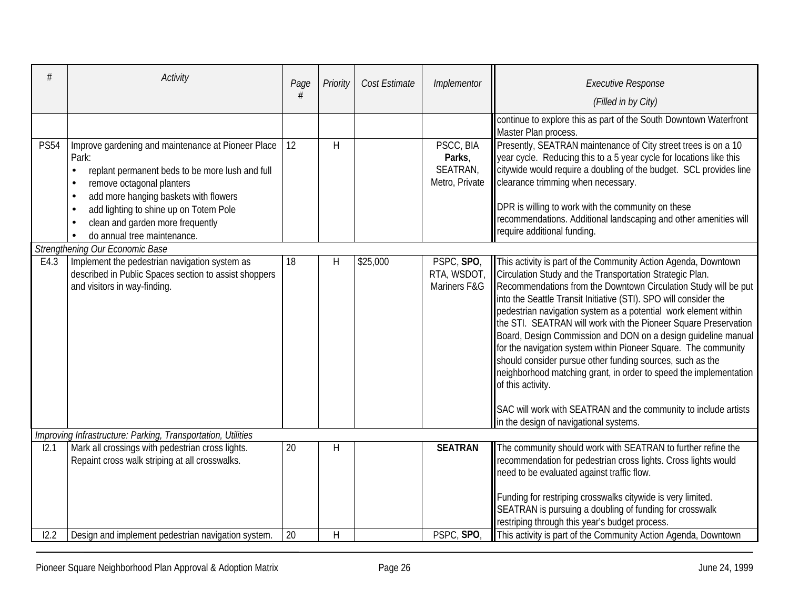|             | Activity                                                                                                                                                                                                                                                                                                                                              | Page | Priority     | Cost Estimate | Implementor                                       | <b>Executive Response</b><br>(Filled in by City)                                                                                                                                                                                                                                                                                                                                                                                                                                                                                                                                                                                                                                                                                                                                                                           |
|-------------|-------------------------------------------------------------------------------------------------------------------------------------------------------------------------------------------------------------------------------------------------------------------------------------------------------------------------------------------------------|------|--------------|---------------|---------------------------------------------------|----------------------------------------------------------------------------------------------------------------------------------------------------------------------------------------------------------------------------------------------------------------------------------------------------------------------------------------------------------------------------------------------------------------------------------------------------------------------------------------------------------------------------------------------------------------------------------------------------------------------------------------------------------------------------------------------------------------------------------------------------------------------------------------------------------------------------|
|             |                                                                                                                                                                                                                                                                                                                                                       |      |              |               |                                                   | continue to explore this as part of the South Downtown Waterfront<br>Master Plan process.                                                                                                                                                                                                                                                                                                                                                                                                                                                                                                                                                                                                                                                                                                                                  |
| <b>PS54</b> | Improve gardening and maintenance at Pioneer Place<br>Park:<br>replant permanent beds to be more lush and full<br>$\bullet$<br>remove octagonal planters<br>$\bullet$<br>add more hanging baskets with flowers<br>$\bullet$<br>add lighting to shine up on Totem Pole<br>$\bullet$<br>clean and garden more frequently<br>do annual tree maintenance. | 12   | H            |               | PSCC, BIA<br>Parks,<br>SEATRAN,<br>Metro, Private | Presently, SEATRAN maintenance of City street trees is on a 10<br>year cycle. Reducing this to a 5 year cycle for locations like this<br>citywide would require a doubling of the budget. SCL provides line<br>clearance trimming when necessary.<br>DPR is willing to work with the community on these<br>recommendations. Additional landscaping and other amenities will<br>require additional funding.                                                                                                                                                                                                                                                                                                                                                                                                                 |
|             | Strengthening Our Economic Base                                                                                                                                                                                                                                                                                                                       |      |              |               |                                                   |                                                                                                                                                                                                                                                                                                                                                                                                                                                                                                                                                                                                                                                                                                                                                                                                                            |
| E4.3        | Implement the pedestrian navigation system as<br>described in Public Spaces section to assist shoppers<br>and visitors in way-finding.                                                                                                                                                                                                                | 18   | H            | \$25,000      | PSPC, SPO,<br>Mariners F&G                        | This activity is part of the Community Action Agenda, Downtown<br>RTA, WSDOT, Circulation Study and the Transportation Strategic Plan.<br>Recommendations from the Downtown Circulation Study will be put<br>into the Seattle Transit Initiative (STI). SPO will consider the<br>pedestrian navigation system as a potential work element within<br>the STI. SEATRAN will work with the Pioneer Square Preservation<br>Board, Design Commission and DON on a design guideline manual<br>for the navigation system within Pioneer Square. The community<br>should consider pursue other funding sources, such as the<br>neighborhood matching grant, in order to speed the implementation<br>of this activity.<br>SAC will work with SEATRAN and the community to include artists<br>in the design of navigational systems. |
|             | Improving Infrastructure: Parking, Transportation, Utilities                                                                                                                                                                                                                                                                                          |      |              |               |                                                   |                                                                                                                                                                                                                                                                                                                                                                                                                                                                                                                                                                                                                                                                                                                                                                                                                            |
| 12.1        | Mark all crossings with pedestrian cross lights.<br>Repaint cross walk striping at all crosswalks.                                                                                                                                                                                                                                                    | 20   | Η            |               | <b>SEATRAN</b>                                    | The community should work with SEATRAN to further refine the<br>recommendation for pedestrian cross lights. Cross lights would<br>need to be evaluated against traffic flow.<br>Funding for restriping crosswalks citywide is very limited.<br>SEATRAN is pursuing a doubling of funding for crosswalk<br>restriping through this year's budget process.                                                                                                                                                                                                                                                                                                                                                                                                                                                                   |
| 12.2        | Design and implement pedestrian navigation system.                                                                                                                                                                                                                                                                                                    | 20   | $\mathsf{H}$ |               | PSPC, SPO                                         | This activity is part of the Community Action Agenda, Downtown                                                                                                                                                                                                                                                                                                                                                                                                                                                                                                                                                                                                                                                                                                                                                             |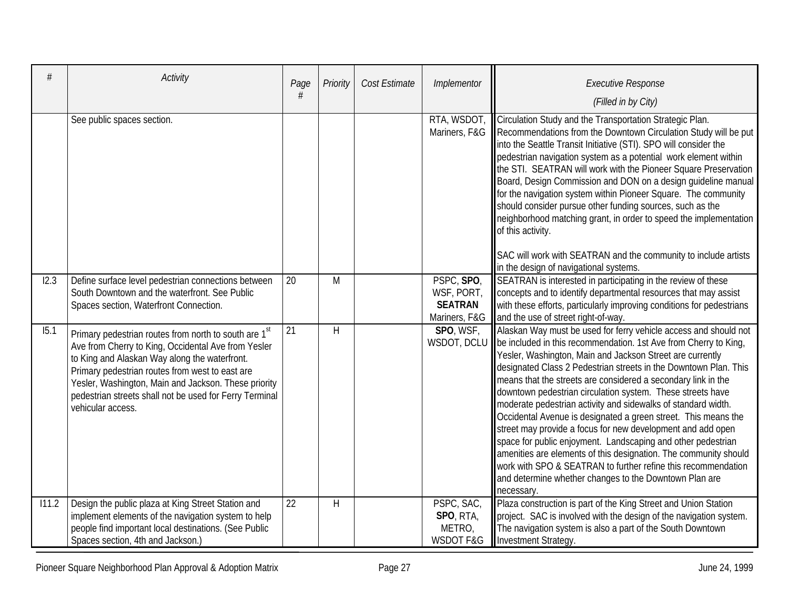| #     | Activity                                                                                                                                                                                                                                                                                                                                                             | Page<br># | Priority     | Cost Estimate | Implementor                                                 | <b>Executive Response</b><br>(Filled in by City)                                                                                                                                                                                                                                                                                                                                                                                                                                                                                                                                                                                                                                                                                                                                                                                                                                                  |
|-------|----------------------------------------------------------------------------------------------------------------------------------------------------------------------------------------------------------------------------------------------------------------------------------------------------------------------------------------------------------------------|-----------|--------------|---------------|-------------------------------------------------------------|---------------------------------------------------------------------------------------------------------------------------------------------------------------------------------------------------------------------------------------------------------------------------------------------------------------------------------------------------------------------------------------------------------------------------------------------------------------------------------------------------------------------------------------------------------------------------------------------------------------------------------------------------------------------------------------------------------------------------------------------------------------------------------------------------------------------------------------------------------------------------------------------------|
|       | See public spaces section.                                                                                                                                                                                                                                                                                                                                           |           |              |               | RTA, WSDOT,<br>Mariners, F&G                                | Circulation Study and the Transportation Strategic Plan.<br>Recommendations from the Downtown Circulation Study will be put<br>into the Seattle Transit Initiative (STI). SPO will consider the<br>pedestrian navigation system as a potential work element within<br>the STI. SEATRAN will work with the Pioneer Square Preservation<br>Board, Design Commission and DON on a design guideline manual<br>for the navigation system within Pioneer Square. The community<br>should consider pursue other funding sources, such as the<br>neighborhood matching grant, in order to speed the implementation<br>of this activity.<br>SAC will work with SEATRAN and the community to include artists<br>in the design of navigational systems.                                                                                                                                                      |
| 12.3  | Define surface level pedestrian connections between<br>South Downtown and the waterfront. See Public<br>Spaces section, Waterfront Connection.                                                                                                                                                                                                                       | 20        | M            |               | PSPC, SPO,<br>WSF, PORT,<br><b>SEATRAN</b><br>Mariners, F&G | SEATRAN is interested in participating in the review of these<br>concepts and to identify departmental resources that may assist<br>with these efforts, particularly improving conditions for pedestrians<br>and the use of street right-of-way.                                                                                                                                                                                                                                                                                                                                                                                                                                                                                                                                                                                                                                                  |
| 15.1  | Primary pedestrian routes from north to south are 1 <sup>st</sup><br>Ave from Cherry to King, Occidental Ave from Yesler<br>to King and Alaskan Way along the waterfront.<br>Primary pedestrian routes from west to east are<br>Yesler, Washington, Main and Jackson. These priority<br>pedestrian streets shall not be used for Ferry Terminal<br>vehicular access. | 21        | $\mathsf{H}$ |               | SPO, WSF,                                                   | Alaskan Way must be used for ferry vehicle access and should not<br>WSDOT, DCLU   be included in this recommendation. 1st Ave from Cherry to King,<br>Yesler, Washington, Main and Jackson Street are currently<br>designated Class 2 Pedestrian streets in the Downtown Plan. This<br>means that the streets are considered a secondary link in the<br>downtown pedestrian circulation system. These streets have<br>moderate pedestrian activity and sidewalks of standard width.<br>Occidental Avenue is designated a green street. This means the<br>street may provide a focus for new development and add open<br>space for public enjoyment. Landscaping and other pedestrian<br>amenities are elements of this designation. The community should<br>work with SPO & SEATRAN to further refine this recommendation<br>and determine whether changes to the Downtown Plan are<br>necessary. |
| 111.2 | Design the public plaza at King Street Station and<br>implement elements of the navigation system to help<br>people find important local destinations. (See Public<br>Spaces section, 4th and Jackson.)                                                                                                                                                              | 22        | H            |               | PSPC, SAC,<br>SPO, RTA,<br>METRO,<br><b>WSDOT F&amp;G</b>   | Plaza construction is part of the King Street and Union Station<br>project. SAC is involved with the design of the navigation system.<br>The navigation system is also a part of the South Downtown<br>Investment Strategy.                                                                                                                                                                                                                                                                                                                                                                                                                                                                                                                                                                                                                                                                       |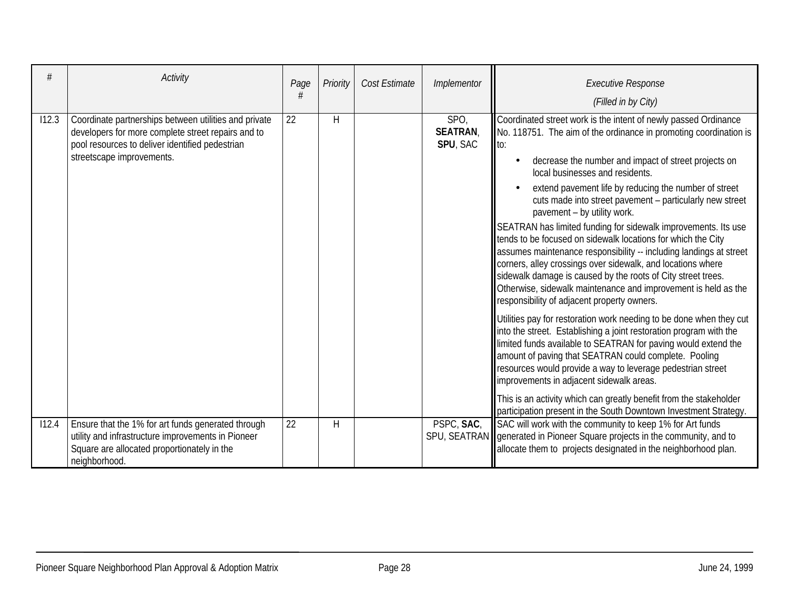|       | Activity                                                                                                                                                                                    | Page | Priority | Cost Estimate | Implementor                               | <b>Executive Response</b><br>(Filled in by City)                                                                                                                                                                                                                                                                                                                                                                                                                                                                                                                                                                                                                                                                                                                                                                                                                                                                                                                                                                                                                                                                                                                                                                                                                                                                                                                                  |
|-------|---------------------------------------------------------------------------------------------------------------------------------------------------------------------------------------------|------|----------|---------------|-------------------------------------------|-----------------------------------------------------------------------------------------------------------------------------------------------------------------------------------------------------------------------------------------------------------------------------------------------------------------------------------------------------------------------------------------------------------------------------------------------------------------------------------------------------------------------------------------------------------------------------------------------------------------------------------------------------------------------------------------------------------------------------------------------------------------------------------------------------------------------------------------------------------------------------------------------------------------------------------------------------------------------------------------------------------------------------------------------------------------------------------------------------------------------------------------------------------------------------------------------------------------------------------------------------------------------------------------------------------------------------------------------------------------------------------|
| 112.3 | Coordinate partnerships between utilities and private<br>developers for more complete street repairs and to<br>pool resources to deliver identified pedestrian<br>streetscape improvements. | 22   | Н        |               | SPO,<br><b>SEATRAN</b><br><b>SPU, SAC</b> | Coordinated street work is the intent of newly passed Ordinance<br>No. 118751. The aim of the ordinance in promoting coordination is<br>llto:<br>decrease the number and impact of street projects on<br>local businesses and residents.<br>extend pavement life by reducing the number of street<br>cuts made into street pavement - particularly new street<br>pavement - by utility work.<br>SEATRAN has limited funding for sidewalk improvements. Its use<br>tends to be focused on sidewalk locations for which the City<br>assumes maintenance responsibility -- including landings at street<br>corners, alley crossings over sidewalk, and locations where<br>sidewalk damage is caused by the roots of City street trees.<br>Otherwise, sidewalk maintenance and improvement is held as the<br>responsibility of adjacent property owners.<br>Utilities pay for restoration work needing to be done when they cut<br>into the street. Establishing a joint restoration program with the<br>limited funds available to SEATRAN for paving would extend the<br>amount of paving that SEATRAN could complete. Pooling<br>resources would provide a way to leverage pedestrian street<br>improvements in adjacent sidewalk areas.<br>This is an activity which can greatly benefit from the stakeholder<br>participation present in the South Downtown Investment Strategy. |
| 112.4 | Ensure that the 1% for art funds generated through<br>utility and infrastructure improvements in Pioneer<br>Square are allocated proportionately in the<br>neighborhood.                    | 22   | H        |               | PSPC, SAC,                                | SAC will work with the community to keep 1% for Art funds<br>SPU, SEATRAN    generated in Pioneer Square projects in the community, and to<br>allocate them to projects designated in the neighborhood plan.                                                                                                                                                                                                                                                                                                                                                                                                                                                                                                                                                                                                                                                                                                                                                                                                                                                                                                                                                                                                                                                                                                                                                                      |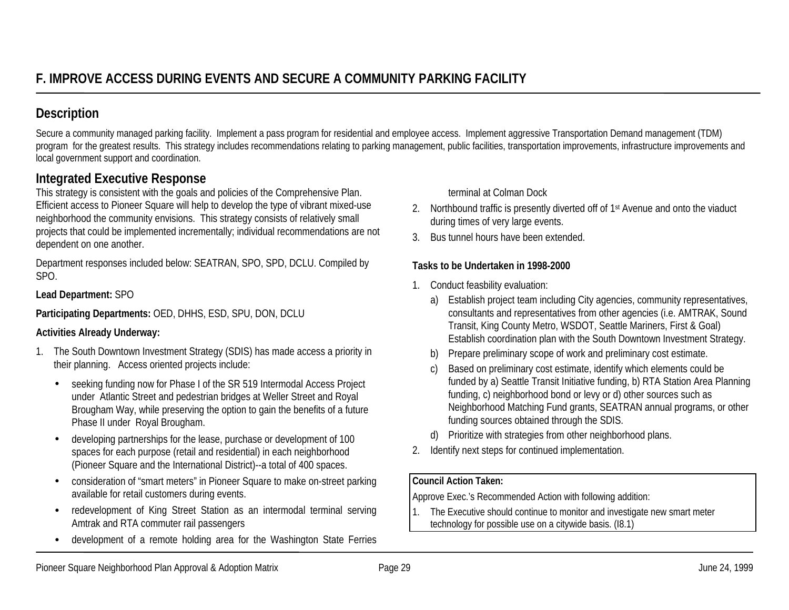Secure a community managed parking facility. Implement a pass program for residential and employee access. Implement aggressive Transportation Demand management (TDM) program for the greatest results. This strategy includes recommendations relating to parking management, public facilities, transportation improvements, infrastructure improvements and local government support and coordination.

## **Integrated Executive Response**

This strategy is consistent with the goals and policies of the Comprehensive Plan. Efficient access to Pioneer Square will help to develop the type of vibrant mixed-use neighborhood the community envisions. This strategy consists of relatively small projects that could be implemented incrementally; individual recommendations are not dependent on one another.

Department responses included below: SEATRAN, SPO, SPD, DCLU. Compiled by SPO.

## **Lead Department:** SPO

**Participating Departments:** OED, DHHS, ESD, SPU, DON, DCLU

## **Activities Already Underway:**

- 1. The South Downtown Investment Strategy (SDIS) has made access a priority in their planning. Access oriented projects include:
	- • seeking funding now for Phase I of the SR 519 Intermodal Access Project under Atlantic Street and pedestrian bridges at Weller Street and Royal Brougham Way, while preserving the option to gain the benefits of a future Phase II under Royal Brougham.
	- • developing partnerships for the lease, purchase or development of 100 spaces for each purpose (retail and residential) in each neighborhood (Pioneer Square and the International District)--a total of 400 spaces.
	- • consideration of "smart meters" in Pioneer Square to make on-street parking available for retail customers during events.
	- • redevelopment of King Street Station as an intermodal terminal serving Amtrak and RTA commuter rail passengers
	- •development of a remote holding area for the Washington State Ferries

terminal at Colman Dock

- 2. Northbound traffic is presently diverted off of 1<sup>st</sup> Avenue and onto the viaduct during times of very large events.
- 3. Bus tunnel hours have been extended.

## **Tasks to be Undertaken in 1998-2000**

- 1. Conduct feasbility evaluation:
	- a) Establish project team including City agencies, community representatives, consultants and representatives from other agencies (i.e. AMTRAK, Sound Transit, King County Metro, WSDOT, Seattle Mariners, First & Goal) Establish coordination plan with the South Downtown Investment Strategy.
	- b) Prepare preliminary scope of work and preliminary cost estimate.
	- c) Based on preliminary cost estimate, identify which elements could be funded by a) Seattle Transit Initiative funding, b) RTA Station Area Planning funding, c) neighborhood bond or levy or d) other sources such as Neighborhood Matching Fund grants, SEATRAN annual programs, or other funding sources obtained through the SDIS.
	- d) Prioritize with strategies from other neighborhood plans.
- 2. Identify next steps for continued implementation.

## **Council Action Taken:**

Approve Exec.'s Recommended Action with following addition:

1. The Executive should continue to monitor and investigate new smart meter technology for possible use on a citywide basis. (I8.1)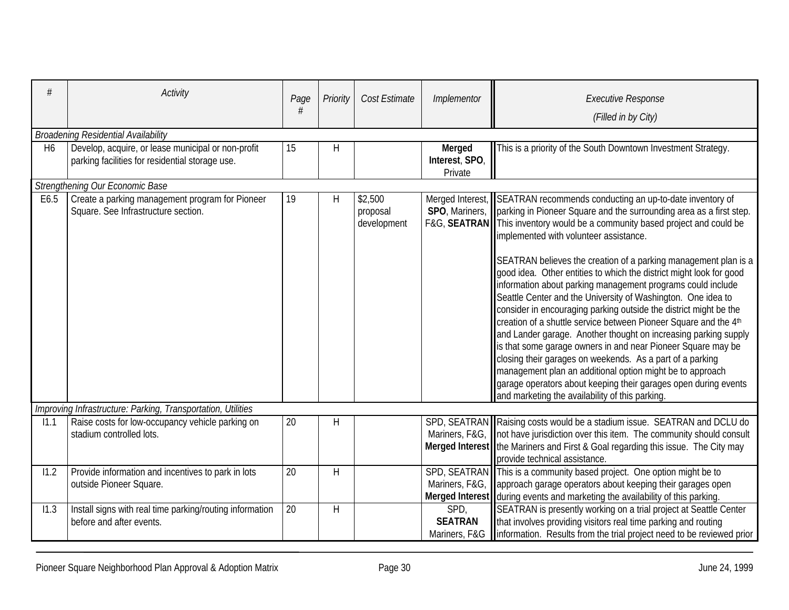| H <sub>6</sub> | <b>Activity</b><br><b>Broadening Residential Availability</b><br>Develop, acquire, or lease municipal or non-profit | Page<br>15 | Priority<br>Н | Cost Estimate                      | Implementor<br><b>Merged</b> | <b>Executive Response</b><br>(Filled in by City)<br>This is a priority of the South Downtown Investment Strategy.                                                                                                                                                                                                                                                                                                                                                                                                                                                                                                                                                                                                                                                                                                                                                                                                                                                                                                                                                                                |  |  |  |  |  |
|----------------|---------------------------------------------------------------------------------------------------------------------|------------|---------------|------------------------------------|------------------------------|--------------------------------------------------------------------------------------------------------------------------------------------------------------------------------------------------------------------------------------------------------------------------------------------------------------------------------------------------------------------------------------------------------------------------------------------------------------------------------------------------------------------------------------------------------------------------------------------------------------------------------------------------------------------------------------------------------------------------------------------------------------------------------------------------------------------------------------------------------------------------------------------------------------------------------------------------------------------------------------------------------------------------------------------------------------------------------------------------|--|--|--|--|--|
|                | parking facilities for residential storage use.                                                                     |            |               |                                    | Interest, SPO,<br>Private    |                                                                                                                                                                                                                                                                                                                                                                                                                                                                                                                                                                                                                                                                                                                                                                                                                                                                                                                                                                                                                                                                                                  |  |  |  |  |  |
|                | Strengthening Our Economic Base                                                                                     |            |               |                                    |                              |                                                                                                                                                                                                                                                                                                                                                                                                                                                                                                                                                                                                                                                                                                                                                                                                                                                                                                                                                                                                                                                                                                  |  |  |  |  |  |
| E6.5           | Create a parking management program for Pioneer<br>Square. See Infrastructure section.                              | 19         | Η             | \$2,500<br>proposal<br>development |                              | Merged Interest, SEATRAN recommends conducting an up-to-date inventory of<br>SPO, Mariners,   parking in Pioneer Square and the surrounding area as a first step.<br>F&G, SEATRAN  This inventory would be a community based project and could be<br>implemented with volunteer assistance.<br>SEATRAN believes the creation of a parking management plan is a<br>good idea. Other entities to which the district might look for good<br>information about parking management programs could include<br>Seattle Center and the University of Washington. One idea to<br>consider in encouraging parking outside the district might be the<br>creation of a shuttle service between Pioneer Square and the 4th<br>and Lander garage. Another thought on increasing parking supply<br>is that some garage owners in and near Pioneer Square may be<br>closing their garages on weekends. As a part of a parking<br>management plan an additional option might be to approach<br>garage operators about keeping their garages open during events<br>and marketing the availability of this parking. |  |  |  |  |  |
|                | Improving Infrastructure: Parking, Transportation, Utilities                                                        |            |               |                                    |                              |                                                                                                                                                                                                                                                                                                                                                                                                                                                                                                                                                                                                                                                                                                                                                                                                                                                                                                                                                                                                                                                                                                  |  |  |  |  |  |
| 11.1           | Raise costs for low-occupancy vehicle parking on<br>stadium controlled lots.                                        | 20         | Η             |                                    |                              | SPD, SEATRAN Raising costs would be a stadium issue. SEATRAN and DCLU do<br>Mariners, F&G, not have jurisdiction over this item. The community should consult<br>Merged Interest   the Mariners and First & Goal regarding this issue. The City may<br>provide technical assistance.                                                                                                                                                                                                                                                                                                                                                                                                                                                                                                                                                                                                                                                                                                                                                                                                             |  |  |  |  |  |
| 11.2           | Provide information and incentives to park in lots<br>outside Pioneer Square.                                       | 20         | H             |                                    |                              | SPD, SEATRAN This is a community based project. One option might be to<br>Mariners, F&G,   approach garage operators about keeping their garages open<br>Merged Interest during events and marketing the availability of this parking.                                                                                                                                                                                                                                                                                                                                                                                                                                                                                                                                                                                                                                                                                                                                                                                                                                                           |  |  |  |  |  |
| 11.3           | Install signs with real time parking/routing information<br>before and after events.                                | 20         | H             |                                    | SPD,<br><b>SEATRAN</b>       | SEATRAN is presently working on a trial project at Seattle Center<br>that involves providing visitors real time parking and routing<br>Mariners, F&G linformation. Results from the trial project need to be reviewed prior                                                                                                                                                                                                                                                                                                                                                                                                                                                                                                                                                                                                                                                                                                                                                                                                                                                                      |  |  |  |  |  |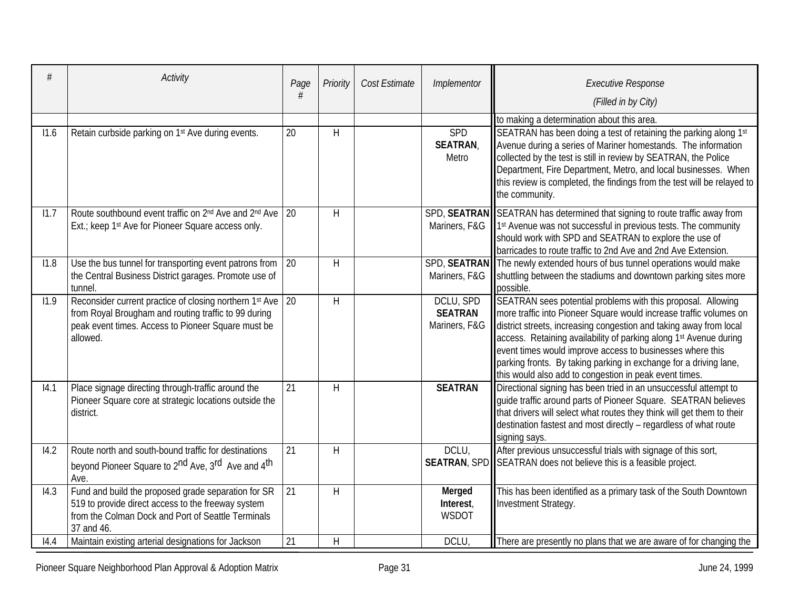| #    | Activity                                                                                                                                                                                         | Page | Priority    | Cost Estimate | Implementor                                  | <b>Executive Response</b><br>(Filled in by City)                                                                                                                                                                                                                                                                                                                                                                                                                          |
|------|--------------------------------------------------------------------------------------------------------------------------------------------------------------------------------------------------|------|-------------|---------------|----------------------------------------------|---------------------------------------------------------------------------------------------------------------------------------------------------------------------------------------------------------------------------------------------------------------------------------------------------------------------------------------------------------------------------------------------------------------------------------------------------------------------------|
|      |                                                                                                                                                                                                  |      |             |               |                                              |                                                                                                                                                                                                                                                                                                                                                                                                                                                                           |
| 11.6 | Retain curbside parking on 1st Ave during events.                                                                                                                                                | 20   | H           |               | SPD<br><b>SEATRAN</b><br>Metro               | to making a determination about this area.<br>SEATRAN has been doing a test of retaining the parking along 1st<br>Avenue during a series of Mariner homestands. The information<br>collected by the test is still in review by SEATRAN, the Police<br>Department, Fire Department, Metro, and local businesses. When<br>this review is completed, the findings from the test will be relayed to<br>the community.                                                         |
| 11.7 | Route southbound event traffic on 2 <sup>nd</sup> Ave and 2 <sup>nd</sup> Ave 20<br>Ext.; keep 1st Ave for Pioneer Square access only.                                                           |      | H           |               |                                              | SPD, SEATRAN SEATRAN has determined that signing to route traffic away from<br>Mariners, F&G   1 <sup>st</sup> Avenue was not successful in previous tests. The community<br>should work with SPD and SEATRAN to explore the use of<br>barricades to route traffic to 2nd Ave and 2nd Ave Extension.                                                                                                                                                                      |
| 11.8 | Use the bus tunnel for transporting event patrons from<br>the Central Business District garages. Promote use of<br>tunnel.                                                                       | 20   | H           |               |                                              | SPD, SEATRAN The newly extended hours of bus tunnel operations would make<br>Mariners, F&G Shuttling between the stadiums and downtown parking sites more<br>possible.                                                                                                                                                                                                                                                                                                    |
| 11.9 | Reconsider current practice of closing northern 1 <sup>st</sup> Ave 20<br>from Royal Brougham and routing traffic to 99 during<br>peak event times. Access to Pioneer Square must be<br>allowed. |      | H           |               | DCLU, SPD<br><b>SEATRAN</b><br>Mariners, F&G | SEATRAN sees potential problems with this proposal. Allowing<br>more traffic into Pioneer Square would increase traffic volumes on<br>district streets, increasing congestion and taking away from local<br>access. Retaining availability of parking along 1st Avenue during<br>event times would improve access to businesses where this<br>parking fronts. By taking parking in exchange for a driving lane,<br>this would also add to congestion in peak event times. |
| 14.1 | Place signage directing through-traffic around the<br>Pioneer Square core at strategic locations outside the<br>district.                                                                        | 21   | H           |               | <b>SEATRAN</b>                               | Directional signing has been tried in an unsuccessful attempt to<br>quide traffic around parts of Pioneer Square. SEATRAN believes<br>that drivers will select what routes they think will get them to their<br>destination fastest and most directly - regardless of what route<br>signing says.                                                                                                                                                                         |
| 14.2 | Route north and south-bound traffic for destinations<br>beyond Pioneer Square to 2 <sup>nd</sup> Ave, 3 <sup>rd</sup> Ave and 4 <sup>th</sup><br>Ave.                                            | 21   | H           |               | DCLU,                                        | After previous unsuccessful trials with signage of this sort,<br><b>SEATRAN, SPD SEATRAN</b> does not believe this is a feasible project.                                                                                                                                                                                                                                                                                                                                 |
| 14.3 | Fund and build the proposed grade separation for SR<br>519 to provide direct access to the freeway system<br>from the Colman Dock and Port of Seattle Terminals<br>37 and 46.                    | 21   | H           |               | Merged<br>Interest,<br><b>WSDOT</b>          | This has been identified as a primary task of the South Downtown<br>Investment Strategy.                                                                                                                                                                                                                                                                                                                                                                                  |
| 14.4 | Maintain existing arterial designations for Jackson                                                                                                                                              | 21   | $\mathsf H$ |               | <b>DCLU</b>                                  | There are presently no plans that we are aware of for changing the                                                                                                                                                                                                                                                                                                                                                                                                        |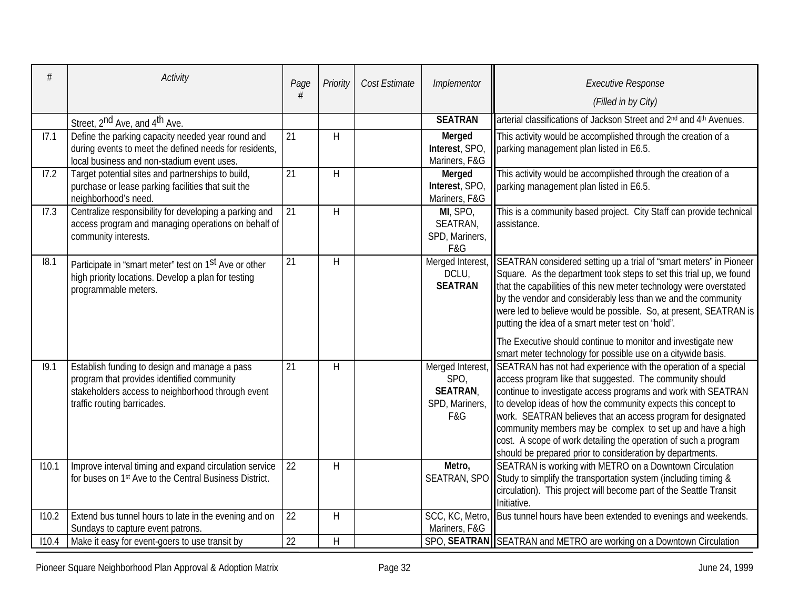| #     | <b>Activity</b>                                                                                                                                                                 | Page<br># | Priority | Cost Estimate | Implementor                                      | <b>Executive Response</b><br>(Filled in by City)                                                                                                                                                                                                                                                                                                                                                                                                                                                                                                             |
|-------|---------------------------------------------------------------------------------------------------------------------------------------------------------------------------------|-----------|----------|---------------|--------------------------------------------------|--------------------------------------------------------------------------------------------------------------------------------------------------------------------------------------------------------------------------------------------------------------------------------------------------------------------------------------------------------------------------------------------------------------------------------------------------------------------------------------------------------------------------------------------------------------|
|       | Street, 2 <sup>nd</sup> Ave, and 4 <sup>th</sup> Ave.                                                                                                                           |           |          |               | <b>SEATRAN</b>                                   | arterial classifications of Jackson Street and 2 <sup>nd</sup> and 4 <sup>th</sup> Avenues.                                                                                                                                                                                                                                                                                                                                                                                                                                                                  |
| 17.1  | Define the parking capacity needed year round and<br>during events to meet the defined needs for residents,<br>local business and non-stadium event uses.                       | 21        | H        |               | <b>Merged</b><br>Interest, SPO,<br>Mariners, F&G | This activity would be accomplished through the creation of a<br>parking management plan listed in E6.5.                                                                                                                                                                                                                                                                                                                                                                                                                                                     |
| 17.2  | Target potential sites and partnerships to build,<br>purchase or lease parking facilities that suit the<br>neighborhood's need.                                                 | 21        | H        |               | Merged<br>Interest, SPO,<br>Mariners, F&G        | This activity would be accomplished through the creation of a<br>parking management plan listed in E6.5.                                                                                                                                                                                                                                                                                                                                                                                                                                                     |
| 17.3  | Centralize responsibility for developing a parking and<br>access program and managing operations on behalf of<br>community interests.                                           | 21        | H        |               | MI, SPO,<br>SEATRAN,<br>SPD, Mariners,<br>F&G    | This is a community based project. City Staff can provide technical<br>assistance.                                                                                                                                                                                                                                                                                                                                                                                                                                                                           |
| 18.1  | Participate in "smart meter" test on 1 <sup>st</sup> Ave or other<br>high priority locations. Develop a plan for testing<br>programmable meters.                                | 21        | H        |               | DCLU,<br><b>SEATRAN</b>                          | Merged Interest, SEATRAN considered setting up a trial of "smart meters" in Pioneer<br>Square. As the department took steps to set this trial up, we found<br>that the capabilities of this new meter technology were overstated<br>by the vendor and considerably less than we and the community<br>were led to believe would be possible. So, at present, SEATRAN is<br>putting the idea of a smart meter test on "hold".<br>The Executive should continue to monitor and investigate new<br>smart meter technology for possible use on a citywide basis.  |
| 19.1  | Establish funding to design and manage a pass<br>program that provides identified community<br>stakeholders access to neighborhood through event<br>traffic routing barricades. | 21        | H        |               | SPO,<br><b>SEATRAN,</b><br>F&G                   | Merged Interest, SEATRAN has not had experience with the operation of a special<br>access program like that suggested. The community should<br>continue to investigate access programs and work with SEATRAN<br>SPD, Mariners, I to develop ideas of how the community expects this concept to<br>work. SEATRAN believes that an access program for designated<br>community members may be complex to set up and have a high<br>cost. A scope of work detailing the operation of such a program<br>should be prepared prior to consideration by departments. |
| 110.1 | Improve interval timing and expand circulation service<br>for buses on 1st Ave to the Central Business District.                                                                | 22        | H        |               | Metro,                                           | SEATRAN is working with METRO on a Downtown Circulation<br>SEATRAN, SPO Study to simplify the transportation system (including timing &<br>circulation). This project will become part of the Seattle Transit<br>Initiative.                                                                                                                                                                                                                                                                                                                                 |
| 110.2 | Extend bus tunnel hours to late in the evening and on<br>Sundays to capture event patrons.                                                                                      | 22        | H        |               | Mariners, F&G                                    | SCC, KC, Metro, Bus tunnel hours have been extended to evenings and weekends.                                                                                                                                                                                                                                                                                                                                                                                                                                                                                |
| 110.4 | Make it easy for event-goers to use transit by                                                                                                                                  | 22        | H        |               |                                                  | SPO, SEATRAN SEATRAN and METRO are working on a Downtown Circulation                                                                                                                                                                                                                                                                                                                                                                                                                                                                                         |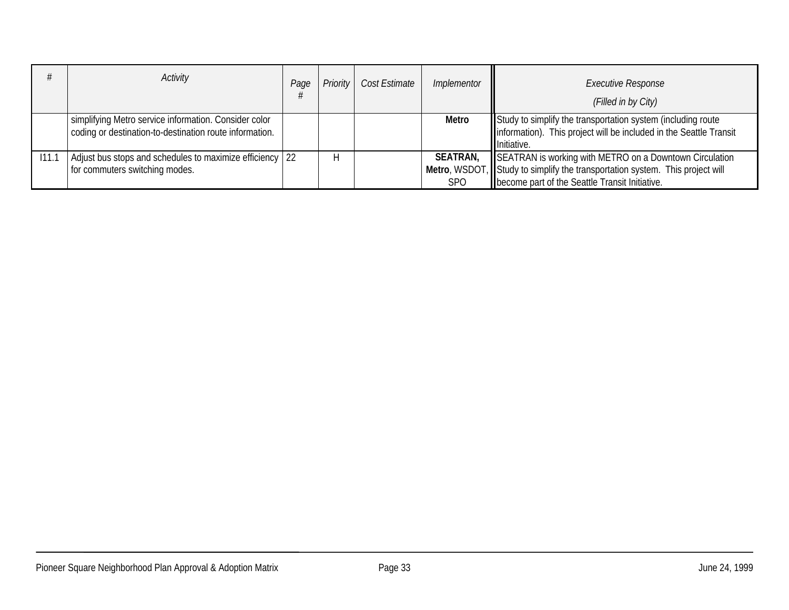|       | Activity                                                                                                         | Page | <b>Priority</b> | Cost Estimate | Implementor                   | <b>Executive Response</b><br>(Filled in by City)                                                                                                                                          |
|-------|------------------------------------------------------------------------------------------------------------------|------|-----------------|---------------|-------------------------------|-------------------------------------------------------------------------------------------------------------------------------------------------------------------------------------------|
|       | simplifying Metro service information. Consider color<br>coding or destination-to-destination route information. |      |                 |               | Metro                         | Study to simplify the transportation system (including route)<br>Information). This project will be included in the Seattle Transit<br>Initiative.                                        |
| 111.1 | Adjust bus stops and schedules to maximize efficiency 22<br>for commuters switching modes.                       |      |                 |               | <b>SEATRAN,</b><br><b>SPO</b> | SEATRAN is working with METRO on a Downtown Circulation<br>Metro, WSDOT, Study to simplify the transportation system. This project will<br>become part of the Seattle Transit Initiative. |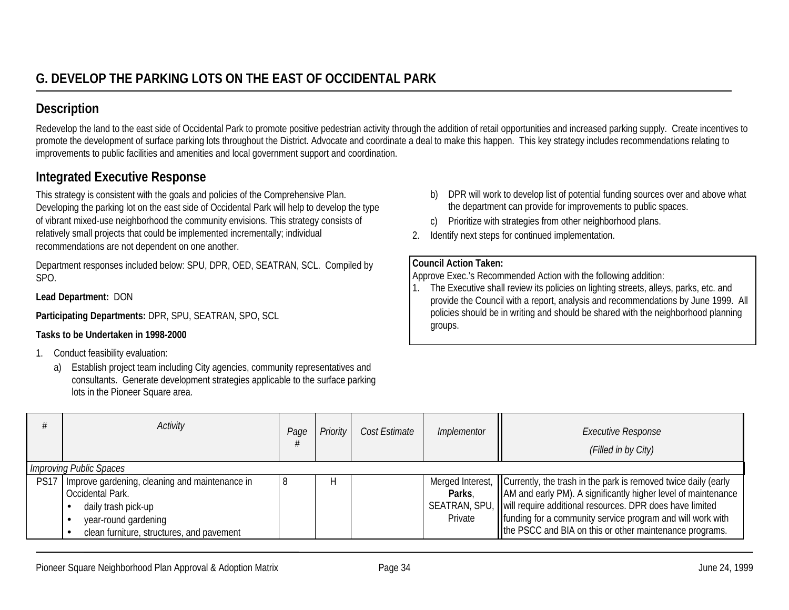Redevelop the land to the east side of Occidental Park to promote positive pedestrian activity through the addition of retail opportunities and increased parking supply. Create incentives to promote the development of surface parking lots throughout the District. Advocate and coordinate a deal to make this happen. This key strategy includes recommendations relating to improvements to public facilities and amenities and local government support and coordination.

## **Integrated Executive Response**

This strategy is consistent with the goals and policies of the Comprehensive Plan. Developing the parking lot on the east side of Occidental Park will help to develop the type of vibrant mixed-use neighborhood the community envisions. This strategy consists of relatively small projects that could be implemented incrementally; individual recommendations are not dependent on one another.

Department responses included below: SPU, DPR, OED, SEATRAN, SCL. Compiled by SPO.

**Lead Department:** DON

**Participating Departments:** DPR, SPU, SEATRAN, SPO, SCL

## **Tasks to be Undertaken in 1998-2000**

- 1. Conduct feasibility evaluation:
	- a) Establish project team including City agencies, community representatives and consultants. Generate development strategies applicable to the surface parking lots in the Pioneer Square area.
- b) DPR will work to develop list of potential funding sources over and above what the department can provide for improvements to public spaces.
- c) Prioritize with strategies from other neighborhood plans.
- 2. Identify next steps for continued implementation.

#### **Council Action Taken:**

Approve Exec.'s Recommended Action with the following addition:

1. The Executive shall review its policies on lighting streets, alleys, parks, etc. and provide the Council with a report, analysis and recommendations by June 1999. All policies should be in writing and should be shared with the neighborhood planning groups.

|             | Activity                                                                                                                                                       | Page | Priority | Cost Estimate | Implementor       | <b>Executive Response</b><br>(Filled in by City)                                                                                                                                                                                                                                                                                                    |
|-------------|----------------------------------------------------------------------------------------------------------------------------------------------------------------|------|----------|---------------|-------------------|-----------------------------------------------------------------------------------------------------------------------------------------------------------------------------------------------------------------------------------------------------------------------------------------------------------------------------------------------------|
|             | <b>Improving Public Spaces</b>                                                                                                                                 |      |          |               |                   |                                                                                                                                                                                                                                                                                                                                                     |
| <b>PS17</b> | Improve gardening, cleaning and maintenance in<br>Occidental Park.<br>daily trash pick-up<br>year-round gardening<br>clean furniture, structures, and pavement |      | H        |               | Parks,<br>Private | Merged Interest, Currently, the trash in the park is removed twice daily (early<br>AM and early PM). A significantly higher level of maintenance<br>SEATRAN, SPU, will require additional resources. DPR does have limited<br>funding for a community service program and will work with<br>the PSCC and BIA on this or other maintenance programs. |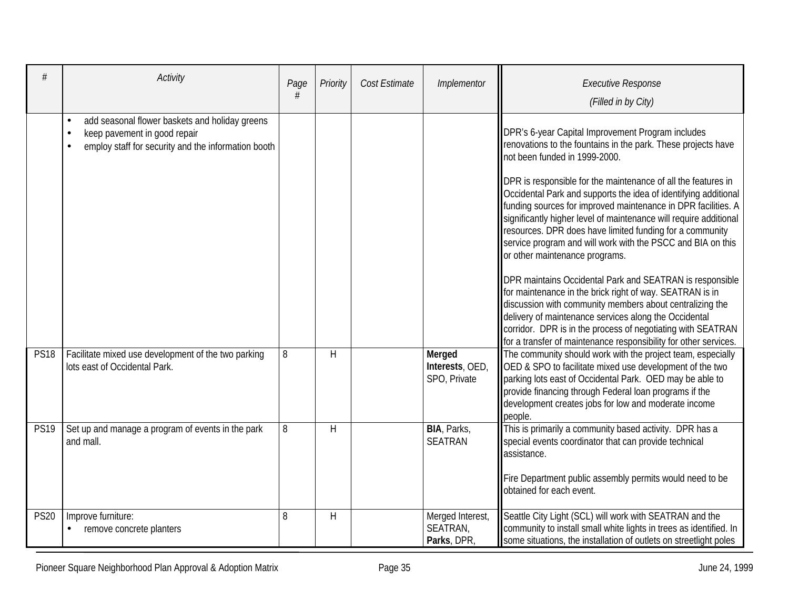|             | Activity                                                                                                                                           | Page<br># | Priority | Cost Estimate | Implementor                                 | <b>Executive Response</b><br>(Filled in by City)                                                                                                                                                                                                                                                                                                                                                                                                                                                                                                                                                                                                                                                                                                                                                                                                                                                                                                                           |
|-------------|----------------------------------------------------------------------------------------------------------------------------------------------------|-----------|----------|---------------|---------------------------------------------|----------------------------------------------------------------------------------------------------------------------------------------------------------------------------------------------------------------------------------------------------------------------------------------------------------------------------------------------------------------------------------------------------------------------------------------------------------------------------------------------------------------------------------------------------------------------------------------------------------------------------------------------------------------------------------------------------------------------------------------------------------------------------------------------------------------------------------------------------------------------------------------------------------------------------------------------------------------------------|
|             | add seasonal flower baskets and holiday greens<br>$\bullet$<br>keep pavement in good repair<br>employ staff for security and the information booth |           |          |               |                                             | DPR's 6-year Capital Improvement Program includes<br>renovations to the fountains in the park. These projects have<br>not been funded in 1999-2000.<br>DPR is responsible for the maintenance of all the features in<br>Occidental Park and supports the idea of identifying additional<br>funding sources for improved maintenance in DPR facilities. A<br>significantly higher level of maintenance will require additional<br>resources. DPR does have limited funding for a community<br>service program and will work with the PSCC and BIA on this<br>or other maintenance programs.<br>DPR maintains Occidental Park and SEATRAN is responsible<br>for maintenance in the brick right of way. SEATRAN is in<br>discussion with community members about centralizing the<br>delivery of maintenance services along the Occidental<br>corridor. DPR is in the process of negotiating with SEATRAN<br>for a transfer of maintenance responsibility for other services. |
| <b>PS18</b> | Facilitate mixed use development of the two parking<br>lots east of Occidental Park.                                                               | 8         | H        |               | Merged<br>Interests, OED,<br>SPO, Private   | The community should work with the project team, especially<br>OED & SPO to facilitate mixed use development of the two<br>parking lots east of Occidental Park. OED may be able to<br>provide financing through Federal loan programs if the<br>development creates jobs for low and moderate income<br>people.                                                                                                                                                                                                                                                                                                                                                                                                                                                                                                                                                                                                                                                           |
| <b>PS19</b> | Set up and manage a program of events in the park<br>and mall.                                                                                     | 8         | H        |               | BIA, Parks,<br><b>SEATRAN</b>               | This is primarily a community based activity. DPR has a<br>special events coordinator that can provide technical<br>assistance.<br>Fire Department public assembly permits would need to be<br>obtained for each event.                                                                                                                                                                                                                                                                                                                                                                                                                                                                                                                                                                                                                                                                                                                                                    |
| <b>PS20</b> | Improve furniture:<br>remove concrete planters                                                                                                     | 8         | H        |               | Merged Interest,<br>SEATRAN,<br>Parks, DPR, | Seattle City Light (SCL) will work with SEATRAN and the<br>community to install small white lights in trees as identified. In<br>some situations, the installation of outlets on streetlight poles                                                                                                                                                                                                                                                                                                                                                                                                                                                                                                                                                                                                                                                                                                                                                                         |

Pioneer Square Neighborhood Plan Approval & Adoption Matrix Page 35 Page 35 June 24, 1999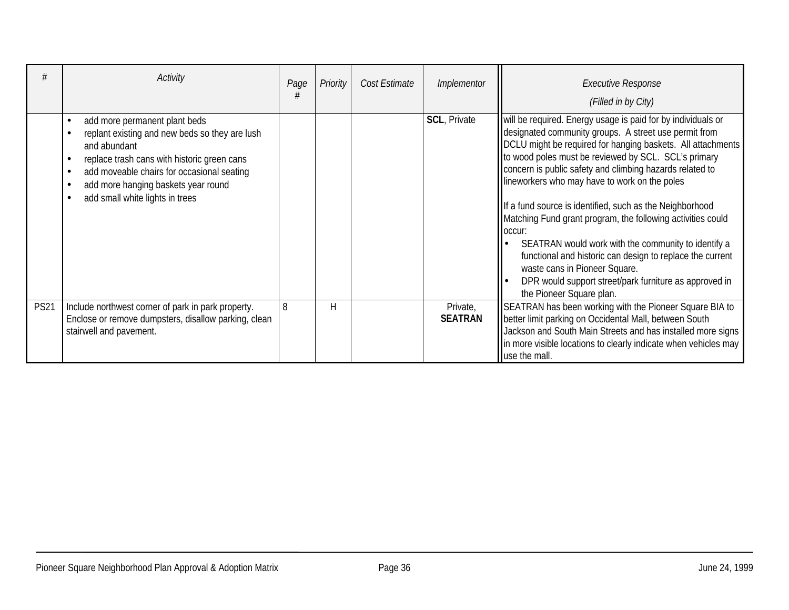|             | Activity                                                                                                                                                                                                                                                                             | Page<br># | Priority | Cost Estimate | Implementor                | <b>Executive Response</b><br>(Filled in by City)                                                                                                                                                                                                                                                                                                                                                                                                                                                                                                                                                                                                                                                                                           |
|-------------|--------------------------------------------------------------------------------------------------------------------------------------------------------------------------------------------------------------------------------------------------------------------------------------|-----------|----------|---------------|----------------------------|--------------------------------------------------------------------------------------------------------------------------------------------------------------------------------------------------------------------------------------------------------------------------------------------------------------------------------------------------------------------------------------------------------------------------------------------------------------------------------------------------------------------------------------------------------------------------------------------------------------------------------------------------------------------------------------------------------------------------------------------|
|             | add more permanent plant beds<br>replant existing and new beds so they are lush<br>and abundant<br>replace trash cans with historic green cans<br>$\epsilon$<br>add moveable chairs for occasional seating<br>add more hanging baskets year round<br>add small white lights in trees |           |          |               | <b>SCL, Private</b>        | will be required. Energy usage is paid for by individuals or<br>designated community groups. A street use permit from<br>DCLU might be required for hanging baskets. All attachments<br>to wood poles must be reviewed by SCL. SCL's primary<br>concern is public safety and climbing hazards related to<br>lineworkers who may have to work on the poles<br>If a fund source is identified, such as the Neighborhood<br>Matching Fund grant program, the following activities could<br>loccur:<br>SEATRAN would work with the community to identify a<br>functional and historic can design to replace the current<br>waste cans in Pioneer Square.<br>DPR would support street/park furniture as approved in<br>the Pioneer Square plan. |
| <b>PS21</b> | Include northwest corner of park in park property.<br>Enclose or remove dumpsters, disallow parking, clean<br>stairwell and pavement.                                                                                                                                                | 8         | Η        |               | Private,<br><b>SEATRAN</b> | SEATRAN has been working with the Pioneer Square BIA to<br>better limit parking on Occidental Mall, between South<br>Jackson and South Main Streets and has installed more signs<br>In more visible locations to clearly indicate when vehicles may<br>luse the mall.                                                                                                                                                                                                                                                                                                                                                                                                                                                                      |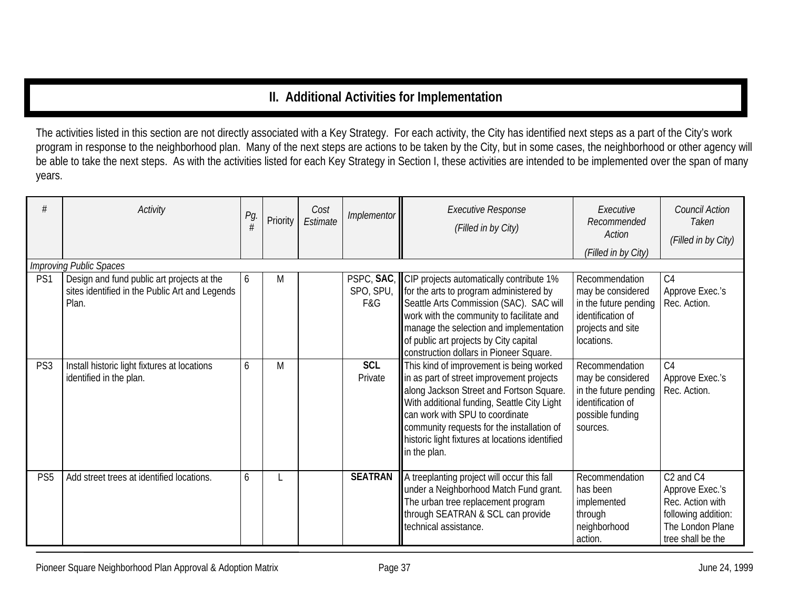## **II. Additional Activities for Implementation**

The activities listed in this section are not directly associated with a Key Strategy. For each activity, the City has identified next steps as a part of the City's work program in response to the neighborhood plan. Many of the next steps are actions to be taken by the City, but in some cases, the neighborhood or other agency will be able to take the next steps. As with the activities listed for each Key Strategy in Section I, these activities are intended to be implemented over the span of many years.

|                 | Activity                                                                                              | Pg.<br># | Priority | Cost<br>Estimate | Implementor           | <b>Executive Response</b><br>(Filled in by City)                                                                                                                                                                                                                                                                                     | Executive<br>Recommended<br>Action<br>(Filled in by City)                                                            | <b>Council Action</b><br>Taken<br>(Filled in by City)                                                                                    |
|-----------------|-------------------------------------------------------------------------------------------------------|----------|----------|------------------|-----------------------|--------------------------------------------------------------------------------------------------------------------------------------------------------------------------------------------------------------------------------------------------------------------------------------------------------------------------------------|----------------------------------------------------------------------------------------------------------------------|------------------------------------------------------------------------------------------------------------------------------------------|
|                 | <b>Improving Public Spaces</b>                                                                        |          |          |                  |                       |                                                                                                                                                                                                                                                                                                                                      |                                                                                                                      |                                                                                                                                          |
| PS1             | Design and fund public art projects at the<br>sites identified in the Public Art and Legends<br>Plan. | h.       | M        |                  | SPO, SPU,<br>F&G      | PSPC, SAC, CIP projects automatically contribute 1%<br>for the arts to program administered by<br>Seattle Arts Commission (SAC). SAC will<br>work with the community to facilitate and<br>manage the selection and implementation<br>of public art projects by City capital<br>construction dollars in Pioneer Square.               | Recommendation<br>may be considered<br>in the future pending<br>identification of<br>projects and site<br>locations. | C <sub>4</sub><br>Approve Exec.'s<br>Rec. Action.                                                                                        |
| PS <sub>3</sub> | Install historic light fixtures at locations<br>identified in the plan.                               | 6        | M        |                  | <b>SCL</b><br>Private | This kind of improvement is being worked<br>in as part of street improvement projects<br>along Jackson Street and Fortson Square.<br>With additional funding, Seattle City Light<br>can work with SPU to coordinate<br>community requests for the installation of<br>historic light fixtures at locations identified<br>in the plan. | Recommendation<br>may be considered<br>in the future pending<br>identification of<br>possible funding<br>sources.    | C <sub>4</sub><br>Approve Exec.'s<br>Rec. Action.                                                                                        |
| PS <sub>5</sub> | Add street trees at identified locations.                                                             | 6        |          |                  | <b>SEATRAN</b>        | A treeplanting project will occur this fall<br>under a Neighborhood Match Fund grant.<br>The urban tree replacement program<br>through SEATRAN & SCL can provide<br>technical assistance.                                                                                                                                            | Recommendation<br>has been<br>implemented<br>through<br>neighborhood<br>action.                                      | C <sub>2</sub> and C <sub>4</sub><br>Approve Exec.'s<br>Rec. Action with<br>following addition:<br>The London Plane<br>tree shall be the |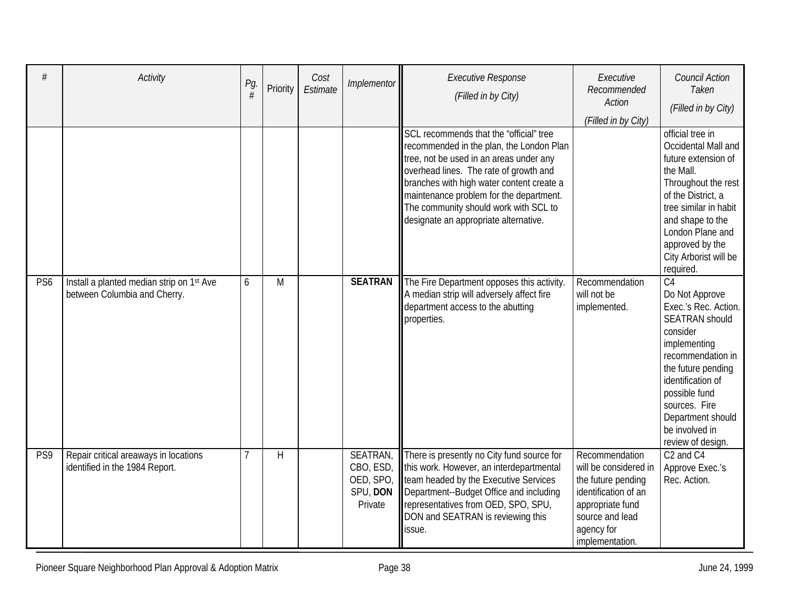| #               | Activity                                                                  | Pg.<br># | Priority | Cost<br>Estimate | Implementor                                               | <b>Executive Response</b><br>(Filled in by City)                                                                                                                                                                                                                                                                                                   | Executive<br>Recommended<br><b>Action</b><br>(Filled in by City)                                                                                              | <b>Council Action</b><br>Taken<br>(Filled in by City)                                                                                                                                                                                                                        |
|-----------------|---------------------------------------------------------------------------|----------|----------|------------------|-----------------------------------------------------------|----------------------------------------------------------------------------------------------------------------------------------------------------------------------------------------------------------------------------------------------------------------------------------------------------------------------------------------------------|---------------------------------------------------------------------------------------------------------------------------------------------------------------|------------------------------------------------------------------------------------------------------------------------------------------------------------------------------------------------------------------------------------------------------------------------------|
|                 |                                                                           |          |          |                  |                                                           | SCL recommends that the "official" tree<br>recommended in the plan, the London Plan<br>tree, not be used in an areas under any<br>overhead lines. The rate of growth and<br>branches with high water content create a<br>maintenance problem for the department.<br>The community should work with SCL to<br>designate an appropriate alternative. |                                                                                                                                                               | official tree in<br>Occidental Mall and<br>future extension of<br>the Mall.<br>Throughout the rest<br>of the District, a<br>tree similar in habit<br>and shape to the<br>London Plane and<br>approved by the<br>City Arborist will be<br>required.                           |
| PS <sub>6</sub> | Install a planted median strip on 1st Ave<br>between Columbia and Cherry. | 6        | M        |                  | <b>SEATRAN</b>                                            | The Fire Department opposes this activity.<br>A median strip will adversely affect fire<br>department access to the abutting<br>properties.                                                                                                                                                                                                        | Recommendation<br>will not be<br>implemented.                                                                                                                 | $\overline{C4}$<br>Do Not Approve<br>Exec.'s Rec. Action.<br><b>SEATRAN should</b><br>consider<br>implementing<br>recommendation in<br>the future pending<br>identification of<br>possible fund<br>sources. Fire<br>Department should<br>be involved in<br>review of design. |
| PS9             | Repair critical areaways in locations<br>identified in the 1984 Report.   |          | H        |                  | SEATRAN,<br>CBO, ESD,<br>OED, SPO,<br>SPU, DON<br>Private | There is presently no City fund source for<br>this work. However, an interdepartmental<br>team headed by the Executive Services<br>Department--Budget Office and including<br>representatives from OED, SPO, SPU,<br>DON and SEATRAN is reviewing this<br>issue.                                                                                   | Recommendation<br>will be considered in<br>the future pending<br>identification of an<br>appropriate fund<br>source and lead<br>agency for<br>implementation. | C <sub>2</sub> and C <sub>4</sub><br>Approve Exec.'s<br>Rec. Action.                                                                                                                                                                                                         |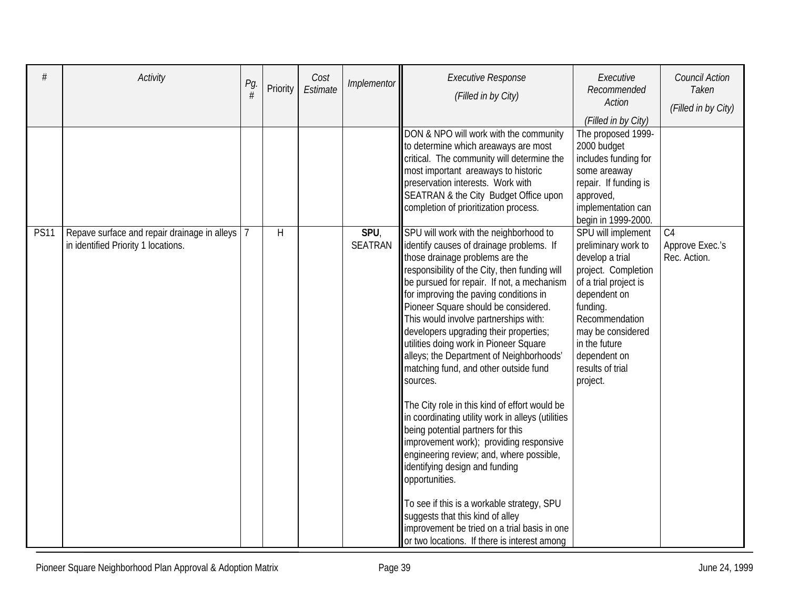| #           | Activity                                                                            | Pg. | Priority     | Cost<br>Estimate | Implementor            | <b>Executive Response</b><br>(Filled in by City)                                                                                                                                                                                                                                                                                                                                                                                                                                                                                                                                                                                                                                                                                                                                                                                                                                                                                                                                                             | Executive<br>Recommended<br>Action<br>(Filled in by City)                                                                                                                                                                                        | Council Action<br>Taken<br>(Filled in by City)    |
|-------------|-------------------------------------------------------------------------------------|-----|--------------|------------------|------------------------|--------------------------------------------------------------------------------------------------------------------------------------------------------------------------------------------------------------------------------------------------------------------------------------------------------------------------------------------------------------------------------------------------------------------------------------------------------------------------------------------------------------------------------------------------------------------------------------------------------------------------------------------------------------------------------------------------------------------------------------------------------------------------------------------------------------------------------------------------------------------------------------------------------------------------------------------------------------------------------------------------------------|--------------------------------------------------------------------------------------------------------------------------------------------------------------------------------------------------------------------------------------------------|---------------------------------------------------|
|             |                                                                                     |     |              |                  |                        | DON & NPO will work with the community<br>to determine which areaways are most<br>critical. The community will determine the<br>most important areaways to historic<br>preservation interests. Work with<br>SEATRAN & the City Budget Office upon<br>completion of prioritization process.                                                                                                                                                                                                                                                                                                                                                                                                                                                                                                                                                                                                                                                                                                                   | The proposed 1999-<br>2000 budget<br>includes funding for<br>some areaway<br>repair. If funding is<br>approved,<br>implementation can<br>begin in 1999-2000.                                                                                     |                                                   |
| <b>PS11</b> | Repave surface and repair drainage in alleys<br>in identified Priority 1 locations. |     | $\mathsf{H}$ |                  | SPU,<br><b>SEATRAN</b> | SPU will work with the neighborhood to<br>identify causes of drainage problems. If<br>those drainage problems are the<br>responsibility of the City, then funding will<br>be pursued for repair. If not, a mechanism<br>for improving the paving conditions in<br>Pioneer Square should be considered.<br>This would involve partnerships with:<br>developers upgrading their properties;<br>utilities doing work in Pioneer Square<br>alleys; the Department of Neighborhoods'<br>matching fund, and other outside fund<br>sources.<br>The City role in this kind of effort would be<br>in coordinating utility work in alleys (utilities<br>being potential partners for this<br>improvement work); providing responsive<br>engineering review; and, where possible,<br>identifying design and funding<br>opportunities.<br>To see if this is a workable strategy, SPU<br>suggests that this kind of alley<br>improvement be tried on a trial basis in one<br>or two locations. If there is interest among | SPU will implement<br>preliminary work to<br>develop a trial<br>project. Completion<br>of a trial project is<br>dependent on<br>funding.<br>Recommendation<br>may be considered<br>in the future<br>dependent on<br>results of trial<br>project. | C <sub>4</sub><br>Approve Exec.'s<br>Rec. Action. |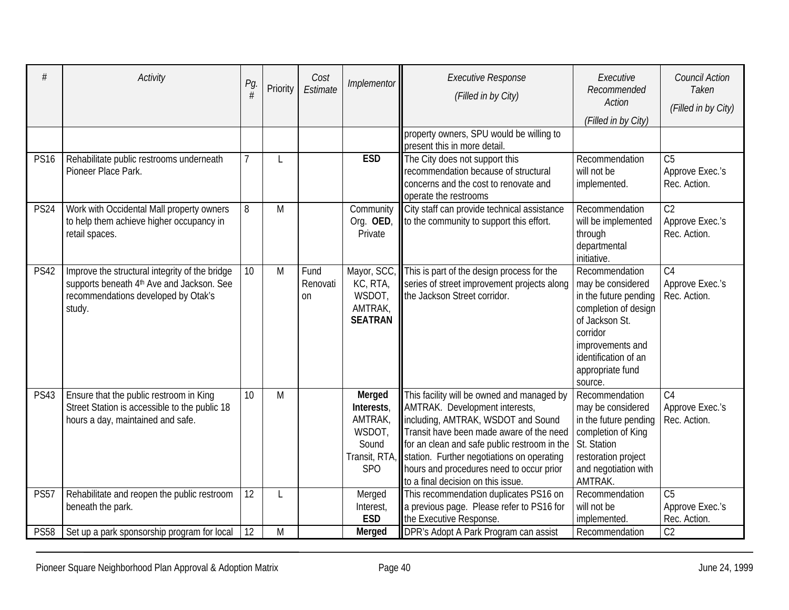| #           | Activity                                                                                                                                     | Pg.<br>#       | Priority | Cost<br>Estimate              | Implementor                                                                           | <b>Executive Response</b><br>(Filled in by City)                                                                                                                                                                                                                                                                                               | Executive<br>Recommended<br><b>Action</b><br>(Filled in by City)                                                                                                                              | <b>Council Action</b><br>Taken<br>(Filled in by City) |
|-------------|----------------------------------------------------------------------------------------------------------------------------------------------|----------------|----------|-------------------------------|---------------------------------------------------------------------------------------|------------------------------------------------------------------------------------------------------------------------------------------------------------------------------------------------------------------------------------------------------------------------------------------------------------------------------------------------|-----------------------------------------------------------------------------------------------------------------------------------------------------------------------------------------------|-------------------------------------------------------|
|             |                                                                                                                                              |                |          |                               |                                                                                       | property owners, SPU would be willing to<br>present this in more detail.                                                                                                                                                                                                                                                                       |                                                                                                                                                                                               |                                                       |
| <b>PS16</b> | Rehabilitate public restrooms underneath<br>Pioneer Place Park.                                                                              | $\overline{7}$ | L        |                               | <b>ESD</b>                                                                            | The City does not support this<br>recommendation because of structural<br>concerns and the cost to renovate and<br>operate the restrooms                                                                                                                                                                                                       | Recommendation<br>will not be<br>implemented.                                                                                                                                                 | C <sub>5</sub><br>Approve Exec.'s<br>Rec. Action.     |
| <b>PS24</b> | Work with Occidental Mall property owners<br>to help them achieve higher occupancy in<br>retail spaces.                                      | 8              | M        |                               | Community<br>Org. OED<br>Private                                                      | City staff can provide technical assistance<br>to the community to support this effort.                                                                                                                                                                                                                                                        | Recommendation<br>will be implemented<br>through<br>departmental<br>initiative.                                                                                                               | C <sub>2</sub><br>Approve Exec.'s<br>Rec. Action.     |
| <b>PS42</b> | Improve the structural integrity of the bridge<br>supports beneath 4th Ave and Jackson. See<br>recommendations developed by Otak's<br>study. | 10             | M        | Fund<br>Renovati<br><b>on</b> | Mayor, SCC<br>KC, RTA,<br>WSDOT,<br>AMTRAK,<br><b>SEATRAN</b>                         | This is part of the design process for the<br>series of street improvement projects along<br>the Jackson Street corridor.                                                                                                                                                                                                                      | Recommendation<br>may be considered<br>in the future pending<br>completion of design<br>of Jackson St.<br>corridor<br>improvements and<br>identification of an<br>appropriate fund<br>source. | C <sub>4</sub><br>Approve Exec.'s<br>Rec. Action.     |
| <b>PS43</b> | Ensure that the public restroom in King<br>Street Station is accessible to the public 18<br>hours a day, maintained and safe.                | 10             | M        |                               | Merged<br>Interests,<br>AMTRAK,<br>WSDOT,<br>Sound<br>Transit, RTA<br>SP <sub>O</sub> | This facility will be owned and managed by<br>AMTRAK. Development interests,<br>including, AMTRAK, WSDOT and Sound<br>Transit have been made aware of the need<br>for an clean and safe public restroom in the<br>station. Further negotiations on operating<br>hours and procedures need to occur prior<br>to a final decision on this issue. | Recommendation<br>may be considered<br>in the future pending<br>completion of King<br>St. Station<br>restoration project<br>and negotiation with<br>AMTRAK.                                   | C <sub>4</sub><br>Approve Exec.'s<br>Rec. Action.     |
| <b>PS57</b> | Rehabilitate and reopen the public restroom<br>beneath the park.                                                                             | 12             | L        |                               | Merged<br>Interest,<br><b>ESD</b>                                                     | This recommendation duplicates PS16 on<br>a previous page. Please refer to PS16 for<br>the Executive Response.                                                                                                                                                                                                                                 | Recommendation<br>will not be<br>implemented.                                                                                                                                                 | C <sub>5</sub><br>Approve Exec.'s<br>Rec. Action.     |
| <b>PS58</b> | Set up a park sponsorship program for local                                                                                                  | 12             | M        |                               | Merged                                                                                | DPR's Adopt A Park Program can assist                                                                                                                                                                                                                                                                                                          | Recommendation                                                                                                                                                                                | C <sub>2</sub>                                        |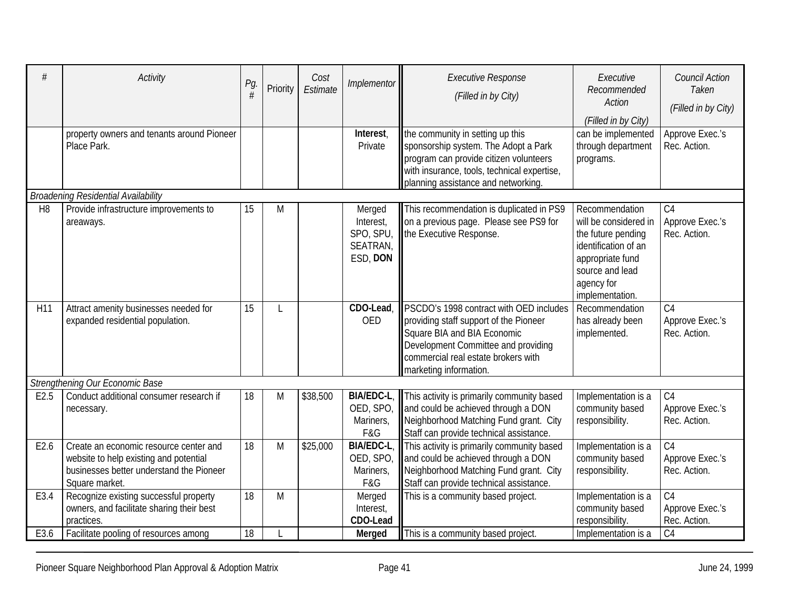| #              | <b>Activity</b>                                                                                                                                | Pg.<br># | Priority | Cost<br>Estimate | Implementor                                              | <b>Executive Response</b><br>(Filled in by City)                                                                                                                                                                         | Executive<br>Recommended<br>Action<br>(Filled in by City)                                                                                                     | <b>Council Action</b><br>Taken<br>(Filled in by City) |
|----------------|------------------------------------------------------------------------------------------------------------------------------------------------|----------|----------|------------------|----------------------------------------------------------|--------------------------------------------------------------------------------------------------------------------------------------------------------------------------------------------------------------------------|---------------------------------------------------------------------------------------------------------------------------------------------------------------|-------------------------------------------------------|
|                | property owners and tenants around Pioneer<br>Place Park.                                                                                      |          |          |                  | Interest,<br>Private                                     | the community in setting up this<br>sponsorship system. The Adopt a Park<br>program can provide citizen volunteers<br>with insurance, tools, technical expertise,<br>planning assistance and networking.                 | can be implemented<br>through department<br>programs.                                                                                                         | Approve Exec.'s<br>Rec. Action.                       |
|                | <b>Broadening Residential Availability</b>                                                                                                     |          |          |                  |                                                          |                                                                                                                                                                                                                          |                                                                                                                                                               |                                                       |
| H <sub>8</sub> | Provide infrastructure improvements to<br>areaways.                                                                                            | 15       | M        |                  | Merged<br>Interest,<br>SPO, SPU,<br>SEATRAN,<br>ESD, DON | This recommendation is duplicated in PS9<br>on a previous page. Please see PS9 for<br>the Executive Response.                                                                                                            | Recommendation<br>will be considered in<br>the future pending<br>identification of an<br>appropriate fund<br>source and lead<br>agency for<br>implementation. | C <sub>4</sub><br>Approve Exec.'s<br>Rec. Action.     |
| H11            | Attract amenity businesses needed for<br>expanded residential population.                                                                      | 15       | L        |                  | CDO-Lead,<br><b>OED</b>                                  | PSCDO's 1998 contract with OED includes<br>providing staff support of the Pioneer<br>Square BIA and BIA Economic<br>Development Committee and providing<br>commercial real estate brokers with<br>marketing information. | Recommendation<br>has already been<br>implemented.                                                                                                            | C <sub>4</sub><br>Approve Exec.'s<br>Rec. Action.     |
|                | Strengthening Our Economic Base                                                                                                                |          |          |                  |                                                          |                                                                                                                                                                                                                          |                                                                                                                                                               |                                                       |
| E2.5           | Conduct additional consumer research if<br>necessary.                                                                                          | 18       | M        | \$38,500         | BIA/EDC-L,<br>OED, SPO,<br>Mariners,<br>F&G              | This activity is primarily community based<br>and could be achieved through a DON<br>Neighborhood Matching Fund grant. City<br>Staff can provide technical assistance.                                                   | Implementation is a<br>community based<br>responsibility.                                                                                                     | C <sub>4</sub><br>Approve Exec.'s<br>Rec. Action.     |
| E2.6           | Create an economic resource center and<br>website to help existing and potential<br>businesses better understand the Pioneer<br>Square market. | 18       | M        | \$25,000         | <b>BIA/EDC-L</b><br>OED, SPO,<br>Mariners,<br>F&G        | This activity is primarily community based<br>and could be achieved through a DON<br>Neighborhood Matching Fund grant. City<br>Staff can provide technical assistance.                                                   | Implementation is a<br>community based<br>responsibility.                                                                                                     | $\overline{C4}$<br>Approve Exec.'s<br>Rec. Action.    |
| E3.4           | Recognize existing successful property<br>owners, and facilitate sharing their best<br>practices.                                              | 18       | M        |                  | Merged<br>Interest,<br>CDO-Lead                          | This is a community based project.                                                                                                                                                                                       | Implementation is a<br>community based<br>responsibility.                                                                                                     | C <sub>4</sub><br>Approve Exec.'s<br>Rec. Action.     |
| E3.6           | Facilitate pooling of resources among                                                                                                          | 18       |          |                  | <b>Merged</b>                                            | This is a community based project.                                                                                                                                                                                       | Implementation is a                                                                                                                                           | C <sub>4</sub>                                        |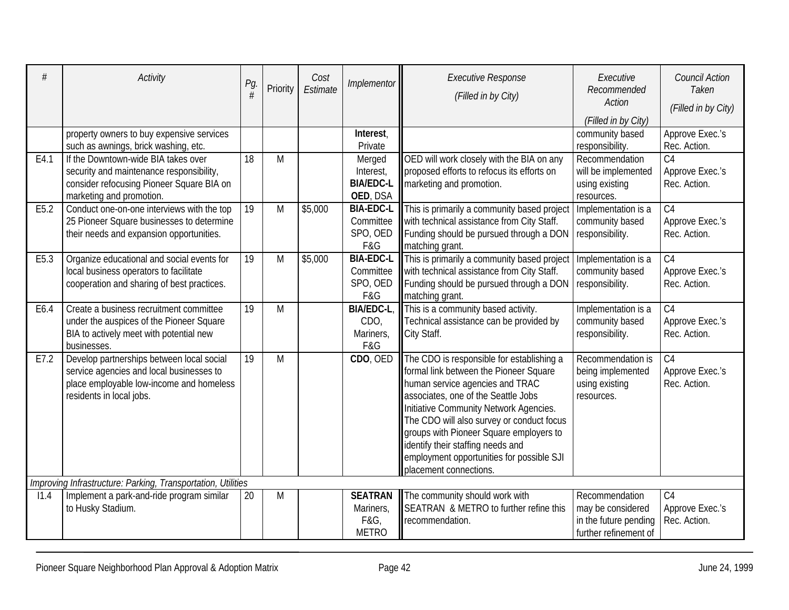| #                | <b>Activity</b>                                                        | Pg.<br>#        | Priority | Cost<br>Estimate | Implementor                  | <b>Executive Response</b><br>(Filled in by City)                                    | Executive<br>Recommended<br>Action<br>(Filled in by City) | <b>Council Action</b><br>Taken<br>(Filled in by City) |
|------------------|------------------------------------------------------------------------|-----------------|----------|------------------|------------------------------|-------------------------------------------------------------------------------------|-----------------------------------------------------------|-------------------------------------------------------|
|                  | property owners to buy expensive services                              |                 |          |                  | Interest,                    |                                                                                     | community based                                           | Approve Exec.'s                                       |
|                  | such as awnings, brick washing, etc.                                   |                 |          |                  | Private                      |                                                                                     | responsibility.                                           | Rec. Action.                                          |
| E4.1             | If the Downtown-wide BIA takes over                                    | 18              | M        |                  | Merged                       | OED will work closely with the BIA on any                                           | Recommendation                                            | C <sub>4</sub>                                        |
|                  | security and maintenance responsibility,                               |                 |          |                  | Interest,                    | proposed efforts to refocus its efforts on                                          | will be implemented                                       | Approve Exec.'s                                       |
|                  | consider refocusing Pioneer Square BIA on                              |                 |          |                  | <b>BIA/EDC-L</b><br>OED, DSA | marketing and promotion.                                                            | using existing<br>resources.                              | Rec. Action.                                          |
| E <sub>5.2</sub> | marketing and promotion.<br>Conduct one-on-one interviews with the top | $\overline{19}$ | M        | \$5,000          | <b>BIA-EDC-L</b>             | This is primarily a community based project                                         | Implementation is a                                       | $\overline{C4}$                                       |
|                  | 25 Pioneer Square businesses to determine                              |                 |          |                  | Committee                    | with technical assistance from City Staff.                                          | community based                                           | Approve Exec.'s                                       |
|                  | their needs and expansion opportunities.                               |                 |          |                  | SPO, OED                     | Funding should be pursued through a DON                                             | responsibility.                                           | Rec. Action.                                          |
|                  |                                                                        |                 |          |                  | F&G                          | matching grant.                                                                     |                                                           |                                                       |
| E5.3             | Organize educational and social events for                             | 19              | M        | \$5,000          | <b>BIA-EDC-L</b>             | This is primarily a community based project                                         | Implementation is a                                       | C <sub>4</sub>                                        |
|                  | local business operators to facilitate                                 |                 |          |                  | Committee                    | with technical assistance from City Staff.                                          | community based                                           | Approve Exec.'s                                       |
|                  | cooperation and sharing of best practices.                             |                 |          |                  | SPO, OED                     | Funding should be pursued through a DON                                             | responsibility.                                           | Rec. Action.                                          |
|                  |                                                                        |                 |          |                  | F&G                          | matching grant.                                                                     |                                                           |                                                       |
| E6.4             | Create a business recruitment committee                                | 19              | M        |                  | <b>BIA/EDC-L,</b>            | This is a community based activity.                                                 | Implementation is a                                       | C <sub>4</sub>                                        |
|                  | under the auspices of the Pioneer Square                               |                 |          |                  | CDO.                         | Technical assistance can be provided by                                             | community based                                           | Approve Exec.'s                                       |
|                  | BIA to actively meet with potential new                                |                 |          |                  | Mariners,                    | City Staff.                                                                         | responsibility.                                           | Rec. Action.                                          |
|                  | businesses.                                                            |                 |          |                  | F&G                          |                                                                                     |                                                           |                                                       |
| E7.2             | Develop partnerships between local social                              | 19              | M        |                  | CDO, OED                     | The CDO is responsible for establishing a                                           | Recommendation is                                         | C <sub>4</sub>                                        |
|                  | service agencies and local businesses to                               |                 |          |                  |                              | formal link between the Pioneer Square                                              | being implemented                                         | Approve Exec.'s                                       |
|                  | place employable low-income and homeless                               |                 |          |                  |                              | human service agencies and TRAC                                                     | using existing                                            | Rec. Action.                                          |
|                  | residents in local jobs.                                               |                 |          |                  |                              | associates, one of the Seattle Jobs                                                 | resources.                                                |                                                       |
|                  |                                                                        |                 |          |                  |                              | Initiative Community Network Agencies.<br>The CDO will also survey or conduct focus |                                                           |                                                       |
|                  |                                                                        |                 |          |                  |                              | groups with Pioneer Square employers to                                             |                                                           |                                                       |
|                  |                                                                        |                 |          |                  |                              | identify their staffing needs and                                                   |                                                           |                                                       |
|                  |                                                                        |                 |          |                  |                              | employment opportunities for possible SJI                                           |                                                           |                                                       |
|                  |                                                                        |                 |          |                  |                              | placement connections.                                                              |                                                           |                                                       |
|                  | Improving Infrastructure: Parking, Transportation, Utilities           |                 |          |                  |                              |                                                                                     |                                                           |                                                       |
| 11.4             | Implement a park-and-ride program similar                              | 20              | M        |                  | <b>SEATRAN</b>               | The community should work with                                                      | Recommendation                                            | C <sub>4</sub>                                        |
|                  | to Husky Stadium.                                                      |                 |          |                  | Mariners,                    | <b>SEATRAN &amp; METRO to further refine this</b>                                   | may be considered                                         | Approve Exec.'s                                       |
|                  |                                                                        |                 |          |                  | F&G,                         | recommendation.                                                                     | in the future pending                                     | Rec. Action.                                          |
|                  |                                                                        |                 |          |                  | <b>METRO</b>                 |                                                                                     | further refinement of                                     |                                                       |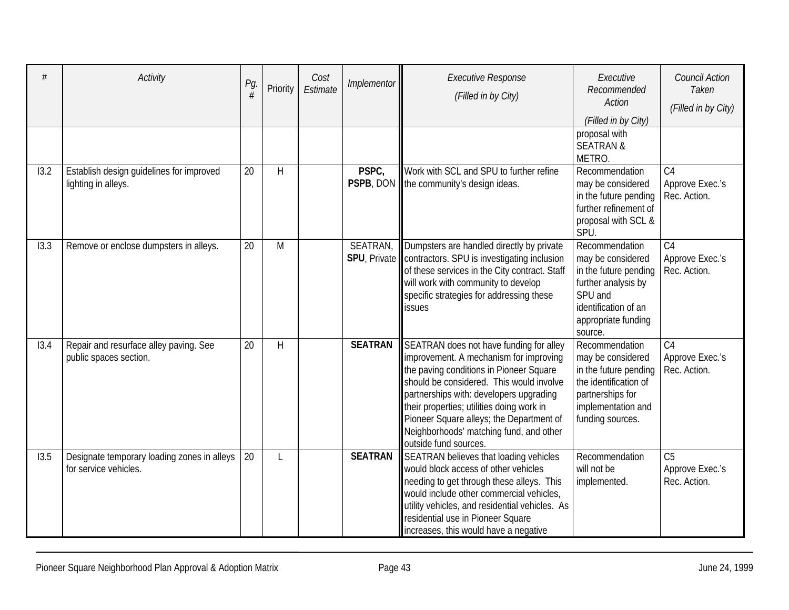| #    | Activity                                                             | Pg.<br># | Priority | Cost<br>Estimate | Implementor    | <b>Executive Response</b><br>(Filled in by City)                                                                                                                                                                                                                                                                                                                                 | Executive<br>Recommended<br>Action<br>(Filled in by City)                                                                                                | <b>Council Action</b><br>Taken<br>(Filled in by City) |
|------|----------------------------------------------------------------------|----------|----------|------------------|----------------|----------------------------------------------------------------------------------------------------------------------------------------------------------------------------------------------------------------------------------------------------------------------------------------------------------------------------------------------------------------------------------|----------------------------------------------------------------------------------------------------------------------------------------------------------|-------------------------------------------------------|
|      |                                                                      |          |          |                  |                |                                                                                                                                                                                                                                                                                                                                                                                  | proposal with<br><b>SEATRAN &amp;</b><br>METRO.                                                                                                          |                                                       |
| 13.2 | Establish design guidelines for improved<br>lighting in alleys.      | 20       | H        |                  | PSPC,          | Work with SCL and SPU to further refine<br>PSPB, DON   the community's design ideas.                                                                                                                                                                                                                                                                                             | Recommendation<br>may be considered<br>in the future pending<br>further refinement of<br>proposal with SCL &<br>SPU.                                     | C <sub>4</sub><br>Approve Exec.'s<br>Rec. Action.     |
| 13.3 | Remove or enclose dumpsters in alleys.                               | 20       | M        |                  | SEATRAN,       | Dumpsters are handled directly by private<br>SPU, Private   contractors. SPU is investigating inclusion<br>of these services in the City contract. Staff<br>will work with community to develop<br>specific strategies for addressing these<br>issues                                                                                                                            | Recommendation<br>may be considered<br>in the future pending<br>further analysis by<br>SPU and<br>identification of an<br>appropriate funding<br>source. | $\overline{C4}$<br>Approve Exec.'s<br>Rec. Action.    |
| 13.4 | Repair and resurface alley paving. See<br>public spaces section.     | 20       | H        |                  | <b>SEATRAN</b> | SEATRAN does not have funding for alley<br>improvement. A mechanism for improving<br>the paving conditions in Pioneer Square<br>should be considered. This would involve<br>partnerships with: developers upgrading<br>their properties; utilities doing work in<br>Pioneer Square alleys; the Department of<br>Neighborhoods' matching fund, and other<br>outside fund sources. | Recommendation<br>may be considered<br>in the future pending<br>the identification of<br>partnerships for<br>implementation and<br>funding sources.      | C <sub>4</sub><br>Approve Exec.'s<br>Rec. Action.     |
| 13.5 | Designate temporary loading zones in alleys<br>for service vehicles. | 20       | L        |                  | <b>SEATRAN</b> | SEATRAN believes that loading vehicles<br>would block access of other vehicles<br>needing to get through these alleys. This<br>would include other commercial vehicles,<br>utility vehicles, and residential vehicles. As<br>residential use in Pioneer Square<br>increases, this would have a negative                                                                          | Recommendation<br>will not be<br>implemented.                                                                                                            | C <sub>5</sub><br>Approve Exec.'s<br>Rec. Action.     |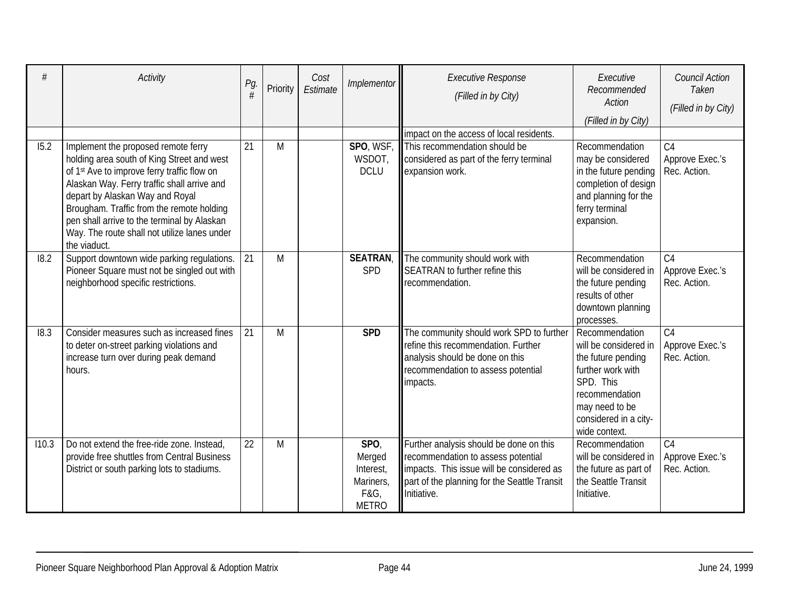|       | Activity                                                                                                                                                                                                                                                                                                                                                                                   | Pg.<br># | Priority | Cost<br>Estimate | Implementor                                                      | <b>Executive Response</b><br>(Filled in by City)                                                                                                                                          | Executive<br>Recommended<br><b>Action</b><br>(Filled in by City)                                                                                                              | <b>Council Action</b><br>Taken<br>(Filled in by City) |
|-------|--------------------------------------------------------------------------------------------------------------------------------------------------------------------------------------------------------------------------------------------------------------------------------------------------------------------------------------------------------------------------------------------|----------|----------|------------------|------------------------------------------------------------------|-------------------------------------------------------------------------------------------------------------------------------------------------------------------------------------------|-------------------------------------------------------------------------------------------------------------------------------------------------------------------------------|-------------------------------------------------------|
|       |                                                                                                                                                                                                                                                                                                                                                                                            |          |          |                  |                                                                  | impact on the access of local residents.                                                                                                                                                  |                                                                                                                                                                               |                                                       |
| 15.2  | Implement the proposed remote ferry<br>holding area south of King Street and west<br>of 1 <sup>st</sup> Ave to improve ferry traffic flow on<br>Alaskan Way. Ferry traffic shall arrive and<br>depart by Alaskan Way and Royal<br>Brougham. Traffic from the remote holding<br>pen shall arrive to the terminal by Alaskan<br>Way. The route shall not utilize lanes under<br>the viaduct. | 21       | M        |                  | SPO, WSF,<br>WSDOT,<br><b>DCLU</b>                               | This recommendation should be<br>considered as part of the ferry terminal<br>expansion work.                                                                                              | Recommendation<br>may be considered<br>in the future pending<br>completion of design<br>and planning for the<br>ferry terminal<br>expansion.                                  | C <sub>4</sub><br>Approve Exec.'s<br>Rec. Action.     |
| 18.2  | Support downtown wide parking regulations.<br>Pioneer Square must not be singled out with<br>neighborhood specific restrictions.                                                                                                                                                                                                                                                           | 21       | M        |                  | <b>SEATRAN</b><br><b>SPD</b>                                     | The community should work with<br>SEATRAN to further refine this<br>recommendation.                                                                                                       | Recommendation<br>will be considered in<br>the future pending<br>results of other<br>downtown planning<br>processes.                                                          | C <sub>4</sub><br>Approve Exec.'s<br>Rec. Action.     |
| 18.3  | Consider measures such as increased fines<br>to deter on-street parking violations and<br>increase turn over during peak demand<br>hours.                                                                                                                                                                                                                                                  | 21       | M        |                  | <b>SPD</b>                                                       | The community should work SPD to further<br>refine this recommendation. Further<br>analysis should be done on this<br>recommendation to assess potential<br>impacts.                      | Recommendation<br>will be considered in<br>the future pending<br>further work with<br>SPD. This<br>recommendation<br>may need to be<br>considered in a city-<br>wide context. | C <sub>4</sub><br>Approve Exec.'s<br>Rec. Action.     |
| 110.3 | Do not extend the free-ride zone. Instead,<br>provide free shuttles from Central Business<br>District or south parking lots to stadiums.                                                                                                                                                                                                                                                   | 22       | M        |                  | SPO,<br>Merged<br>Interest,<br>Mariners,<br>F&G,<br><b>METRO</b> | Further analysis should be done on this<br>recommendation to assess potential<br>impacts. This issue will be considered as<br>part of the planning for the Seattle Transit<br>Initiative. | Recommendation<br>will be considered in<br>the future as part of<br>the Seattle Transit<br>Initiative.                                                                        | C <sub>4</sub><br>Approve Exec.'s<br>Rec. Action.     |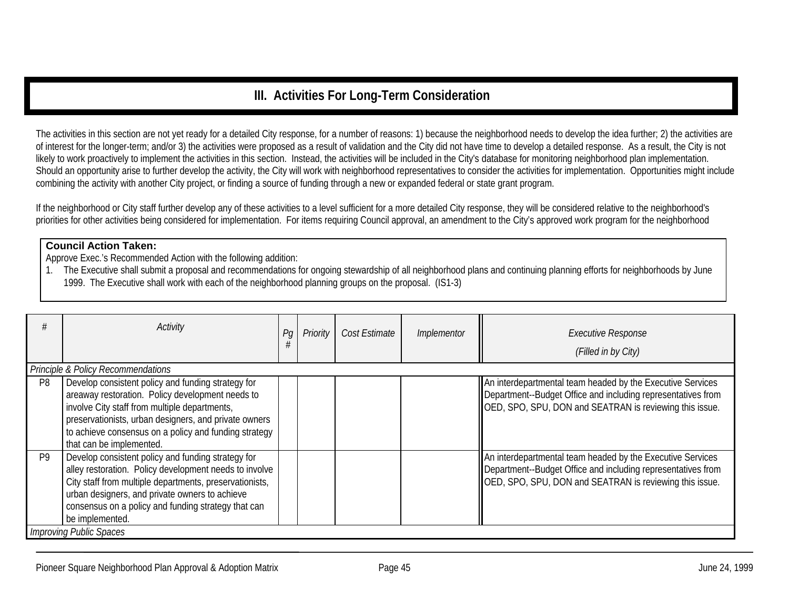# **III. Activities For Long-Term Consideration**

The activities in this section are not yet ready for a detailed City response, for a number of reasons: 1) because the neighborhood needs to develop the idea further; 2) the activities are of interest for the longer-term; and/or 3) the activities were proposed as a result of validation and the City did not have time to develop a detailed response. As a result, the City is not likely to work proactively to implement the activities in this section. Instead, the activities will be included in the City's database for monitoring neighborhood plan implementation. Should an opportunity arise to further develop the activity, the City will work with neighborhood representatives to consider the activities for implementation. Opportunities might include combining the activity with another City project, or finding a source of funding through a new or expanded federal or state grant program.

If the neighborhood or City staff further develop any of these activities to a level sufficient for a more detailed City response, they will be considered relative to the neighborhood's priorities for other activities being considered for implementation. For items requiring Council approval, an amendment to the City's approved work program for the neighborhood

#### **Council Action Taken:**

Approve Exec.'s Recommended Action with the following addition:

1. The Executive shall submit a proposal and recommendations for ongoing stewardship of all neighborhood plans and continuing planning efforts for neighborhoods by June 1999. The Executive shall work with each of the neighborhood planning groups on the proposal. (IS1-3)

|                | Activity                                                                                                                                                                                                                                                                                              | Pq | Priority | Cost Estimate | Implementor | <b>Executive Response</b><br>(Filled in by City)                                                                                                                                      |
|----------------|-------------------------------------------------------------------------------------------------------------------------------------------------------------------------------------------------------------------------------------------------------------------------------------------------------|----|----------|---------------|-------------|---------------------------------------------------------------------------------------------------------------------------------------------------------------------------------------|
|                | Principle & Policy Recommendations                                                                                                                                                                                                                                                                    |    |          |               |             |                                                                                                                                                                                       |
| P <sub>8</sub> | Develop consistent policy and funding strategy for<br>areaway restoration. Policy development needs to<br>involve City staff from multiple departments,<br>preservationists, urban designers, and private owners<br>to achieve consensus on a policy and funding strategy<br>that can be implemented. |    |          |               |             | An interdepartmental team headed by the Executive Services<br>Department--Budget Office and including representatives from<br>OED, SPO, SPU, DON and SEATRAN is reviewing this issue. |
| P <sub>9</sub> | Develop consistent policy and funding strategy for<br>alley restoration. Policy development needs to involve<br>City staff from multiple departments, preservationists,<br>urban designers, and private owners to achieve<br>consensus on a policy and funding strategy that can<br>be implemented.   |    |          |               |             | An interdepartmental team headed by the Executive Services<br>Department--Budget Office and including representatives from<br>OED, SPO, SPU, DON and SEATRAN is reviewing this issue. |
|                | <b>Improving Public Spaces</b>                                                                                                                                                                                                                                                                        |    |          |               |             |                                                                                                                                                                                       |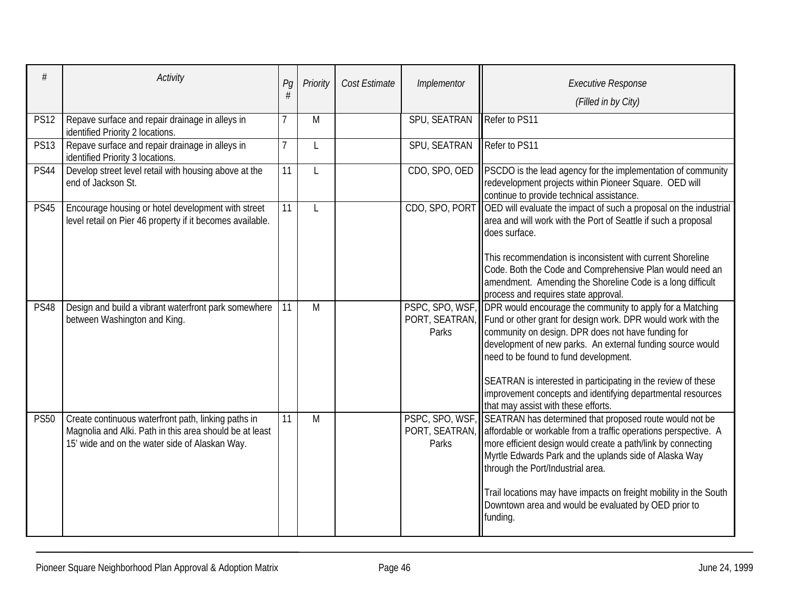|             | Activity                                                                                                                                                         | Pg | Priority | Cost Estimate | Implementor   | <b>Executive Response</b><br>(Filled in by City)                                                                                                                                                                                                                                                                                                                                                                                                                                             |
|-------------|------------------------------------------------------------------------------------------------------------------------------------------------------------------|----|----------|---------------|---------------|----------------------------------------------------------------------------------------------------------------------------------------------------------------------------------------------------------------------------------------------------------------------------------------------------------------------------------------------------------------------------------------------------------------------------------------------------------------------------------------------|
| <b>PS12</b> | Repave surface and repair drainage in alleys in<br>identified Priority 2 locations.                                                                              |    | M        |               | SPU, SEATRAN  | Refer to PS11                                                                                                                                                                                                                                                                                                                                                                                                                                                                                |
| <b>PS13</b> | Repave surface and repair drainage in alleys in<br>identified Priority 3 locations.                                                                              |    | L        |               | SPU, SEATRAN  | Refer to PS11                                                                                                                                                                                                                                                                                                                                                                                                                                                                                |
| <b>PS44</b> | Develop street level retail with housing above at the<br>end of Jackson St.                                                                                      | 11 | L        |               | CDO, SPO, OED | PSCDO is the lead agency for the implementation of community<br>redevelopment projects within Pioneer Square. OED will<br>continue to provide technical assistance.                                                                                                                                                                                                                                                                                                                          |
| <b>PS45</b> | Encourage housing or hotel development with street<br>level retail on Pier 46 property if it becomes available.                                                  | 11 | L        |               |               | CDO, SPO, PORT OED will evaluate the impact of such a proposal on the industrial<br>area and will work with the Port of Seattle if such a proposal<br>does surface.<br>This recommendation is inconsistent with current Shoreline<br>Code. Both the Code and Comprehensive Plan would need an<br>amendment. Amending the Shoreline Code is a long difficult<br>process and requires state approval.                                                                                          |
| <b>PS48</b> | Design and build a vibrant waterfront park somewhere<br>between Washington and King.                                                                             | 11 | M        |               | Parks         | PSPC, SPO, WSF, DPR would encourage the community to apply for a Matching<br>PORT, SEATRAN, Fund or other grant for design work. DPR would work with the<br>community on design. DPR does not have funding for<br>development of new parks. An external funding source would<br>need to be found to fund development.<br>SEATRAN is interested in participating in the review of these<br>improvement concepts and identifying departmental resources<br>that may assist with these efforts. |
| <b>PS50</b> | Create continuous waterfront path, linking paths in<br>Magnolia and Alki. Path in this area should be at least<br>15' wide and on the water side of Alaskan Way. | 11 | M        |               | Parks         | PSPC, SPO, WSF, SEATRAN has determined that proposed route would not be<br>PORT, SEATRAN, affordable or workable from a traffic operations perspective. A<br>more efficient design would create a path/link by connecting<br>Myrtle Edwards Park and the uplands side of Alaska Way<br>through the Port/Industrial area.<br>Trail locations may have impacts on freight mobility in the South<br>Downtown area and would be evaluated by OED prior to<br>funding.                            |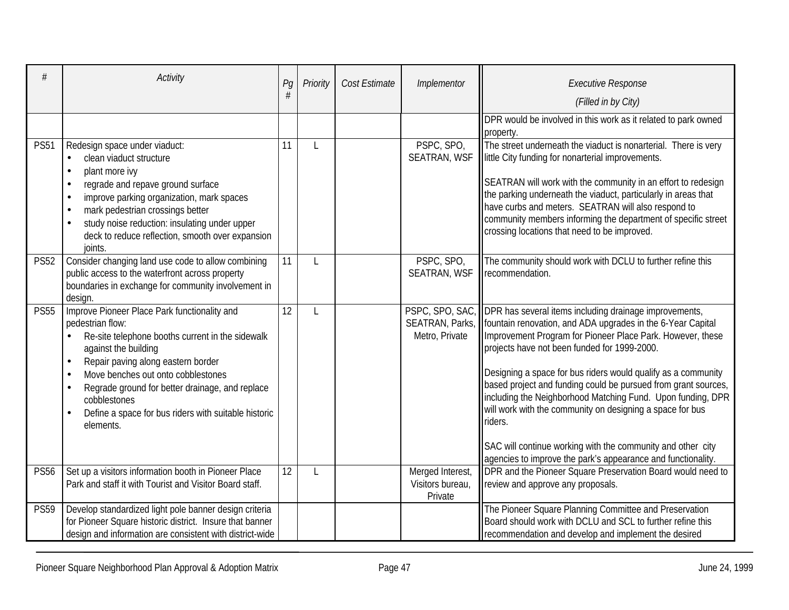|             | Activity                                                                                                                                                                                                                                                                                                                                                                                                | Pg | Priority     | Cost Estimate | Implementor                                     | <b>Executive Response</b><br>(Filled in by City)                                                                                                                                                                                                                                                                                                                                                                                                                                                                                                                                                                                                                               |
|-------------|---------------------------------------------------------------------------------------------------------------------------------------------------------------------------------------------------------------------------------------------------------------------------------------------------------------------------------------------------------------------------------------------------------|----|--------------|---------------|-------------------------------------------------|--------------------------------------------------------------------------------------------------------------------------------------------------------------------------------------------------------------------------------------------------------------------------------------------------------------------------------------------------------------------------------------------------------------------------------------------------------------------------------------------------------------------------------------------------------------------------------------------------------------------------------------------------------------------------------|
|             |                                                                                                                                                                                                                                                                                                                                                                                                         |    |              |               |                                                 | DPR would be involved in this work as it related to park owned<br>property.                                                                                                                                                                                                                                                                                                                                                                                                                                                                                                                                                                                                    |
| <b>PS51</b> | Redesign space under viaduct:<br>clean viaduct structure<br>$\bullet$<br>plant more ivy<br>$\bullet$<br>regrade and repave ground surface<br>$\bullet$<br>improve parking organization, mark spaces<br>$\bullet$<br>mark pedestrian crossings better<br>$\bullet$<br>study noise reduction: insulating under upper<br>deck to reduce reflection, smooth over expansion<br>joints.                       | 11 |              |               | PSPC, SPO,<br><b>SEATRAN, WSF</b>               | The street underneath the viaduct is nonarterial. There is very<br>little City funding for nonarterial improvements.<br>SEATRAN will work with the community in an effort to redesign<br>the parking underneath the viaduct, particularly in areas that<br>have curbs and meters. SEATRAN will also respond to<br>community members informing the department of specific street<br>crossing locations that need to be improved.                                                                                                                                                                                                                                                |
| <b>PS52</b> | Consider changing land use code to allow combining<br>public access to the waterfront across property<br>boundaries in exchange for community involvement in<br>design.                                                                                                                                                                                                                                 | 11 | $\mathbf{I}$ |               | PSPC, SPO,<br><b>SEATRAN, WSF</b>               | The community should work with DCLU to further refine this<br>recommendation.                                                                                                                                                                                                                                                                                                                                                                                                                                                                                                                                                                                                  |
| <b>PS55</b> | Improve Pioneer Place Park functionality and<br>pedestrian flow:<br>Re-site telephone booths current in the sidewalk<br>against the building<br>Repair paving along eastern border<br>$\bullet$<br>Move benches out onto cobblestones<br>$\bullet$<br>Regrade ground for better drainage, and replace<br>$\bullet$<br>cobblestones<br>Define a space for bus riders with suitable historic<br>elements. | 12 | $\mathbf{I}$ |               | Metro, Private                                  | PSPC, SPO, SAC, DPR has several items including drainage improvements,<br>SEATRAN, Parks,   fountain renovation, and ADA upgrades in the 6-Year Capital<br>Improvement Program for Pioneer Place Park. However, these<br>projects have not been funded for 1999-2000.<br>Designing a space for bus riders would qualify as a community<br>based project and funding could be pursued from grant sources,<br>including the Neighborhood Matching Fund. Upon funding, DPR<br>will work with the community on designing a space for bus<br>riders.<br>SAC will continue working with the community and other city<br>agencies to improve the park's appearance and functionality. |
| <b>PS56</b> | Set up a visitors information booth in Pioneer Place<br>Park and staff it with Tourist and Visitor Board staff.                                                                                                                                                                                                                                                                                         | 12 |              |               | Merged Interest,<br>Visitors bureau,<br>Private | DPR and the Pioneer Square Preservation Board would need to<br>review and approve any proposals.                                                                                                                                                                                                                                                                                                                                                                                                                                                                                                                                                                               |
| <b>PS59</b> | Develop standardized light pole banner design criteria<br>for Pioneer Square historic district. Insure that banner<br>design and information are consistent with district-wide                                                                                                                                                                                                                          |    |              |               |                                                 | The Pioneer Square Planning Committee and Preservation<br>Board should work with DCLU and SCL to further refine this<br>recommendation and develop and implement the desired                                                                                                                                                                                                                                                                                                                                                                                                                                                                                                   |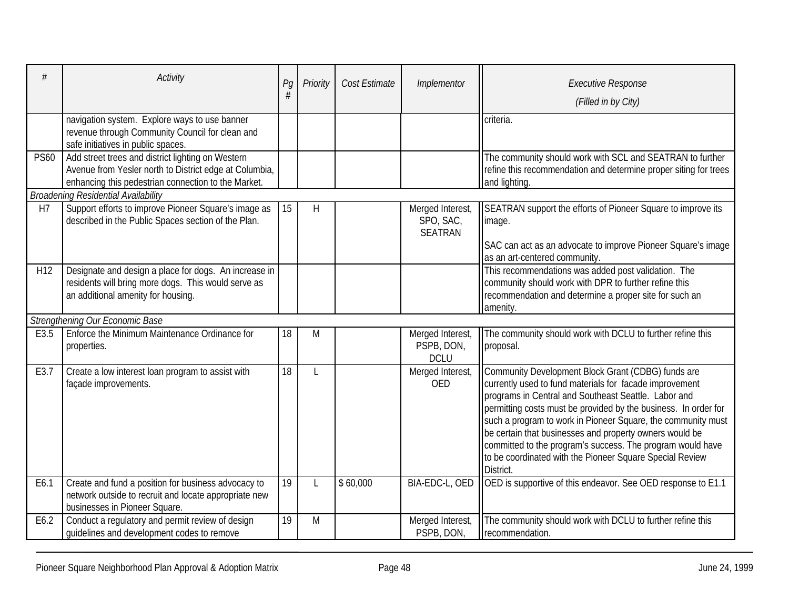|                 | Activity                                                                                                                                                           | Pg | Priority     | Cost Estimate | Implementor                                     | <b>Executive Response</b><br>(Filled in by City)                                                                                                                                                                                                                                                                                                                                                                                                                                                           |
|-----------------|--------------------------------------------------------------------------------------------------------------------------------------------------------------------|----|--------------|---------------|-------------------------------------------------|------------------------------------------------------------------------------------------------------------------------------------------------------------------------------------------------------------------------------------------------------------------------------------------------------------------------------------------------------------------------------------------------------------------------------------------------------------------------------------------------------------|
|                 | navigation system. Explore ways to use banner<br>revenue through Community Council for clean and<br>safe initiatives in public spaces.                             |    |              |               |                                                 | criteria.                                                                                                                                                                                                                                                                                                                                                                                                                                                                                                  |
| <b>PS60</b>     | Add street trees and district lighting on Western<br>Avenue from Yesler north to District edge at Columbia,<br>enhancing this pedestrian connection to the Market. |    |              |               |                                                 | The community should work with SCL and SEATRAN to further<br>refine this recommendation and determine proper siting for trees<br>and lighting.                                                                                                                                                                                                                                                                                                                                                             |
|                 | <b>Broadening Residential Availability</b>                                                                                                                         |    |              |               |                                                 |                                                                                                                                                                                                                                                                                                                                                                                                                                                                                                            |
| H7              | Support efforts to improve Pioneer Square's image as<br>described in the Public Spaces section of the Plan.                                                        | 15 | $\mathsf{H}$ |               | Merged Interest,<br>SPO, SAC,<br><b>SEATRAN</b> | SEATRAN support the efforts of Pioneer Square to improve its<br>image.<br>SAC can act as an advocate to improve Pioneer Square's image                                                                                                                                                                                                                                                                                                                                                                     |
|                 |                                                                                                                                                                    |    |              |               |                                                 | as an art-centered community.                                                                                                                                                                                                                                                                                                                                                                                                                                                                              |
| H <sub>12</sub> | Designate and design a place for dogs. An increase in<br>residents will bring more dogs. This would serve as<br>an additional amenity for housing.                 |    |              |               |                                                 | This recommendations was added post validation. The<br>community should work with DPR to further refine this<br>recommendation and determine a proper site for such an<br>amenity.                                                                                                                                                                                                                                                                                                                         |
|                 | Strengthening Our Economic Base                                                                                                                                    |    |              |               |                                                 |                                                                                                                                                                                                                                                                                                                                                                                                                                                                                                            |
| E3.5            | Enforce the Minimum Maintenance Ordinance for<br>properties.                                                                                                       | 18 | M            |               | Merged Interest,<br>PSPB, DON,<br><b>DCLU</b>   | The community should work with DCLU to further refine this<br>proposal.                                                                                                                                                                                                                                                                                                                                                                                                                                    |
| E3.7            | Create a low interest loan program to assist with<br>façade improvements.                                                                                          | 18 |              |               | Merged Interest,<br><b>OED</b>                  | Community Development Block Grant (CDBG) funds are<br>currently used to fund materials for facade improvement<br>programs in Central and Southeast Seattle. Labor and<br>permitting costs must be provided by the business. In order for<br>such a program to work in Pioneer Square, the community must<br>be certain that businesses and property owners would be<br>committed to the program's success. The program would have<br>to be coordinated with the Pioneer Square Special Review<br>District. |
| E6.1            | Create and fund a position for business advocacy to<br>network outside to recruit and locate appropriate new<br>businesses in Pioneer Square.                      | 19 |              | \$60,000      | BIA-EDC-L, OED                                  | OED is supportive of this endeavor. See OED response to E1.1                                                                                                                                                                                                                                                                                                                                                                                                                                               |
| E6.2            | Conduct a regulatory and permit review of design<br>quidelines and development codes to remove                                                                     | 19 | M            |               | Merged Interest,<br>PSPB, DON,                  | The community should work with DCLU to further refine this<br>recommendation.                                                                                                                                                                                                                                                                                                                                                                                                                              |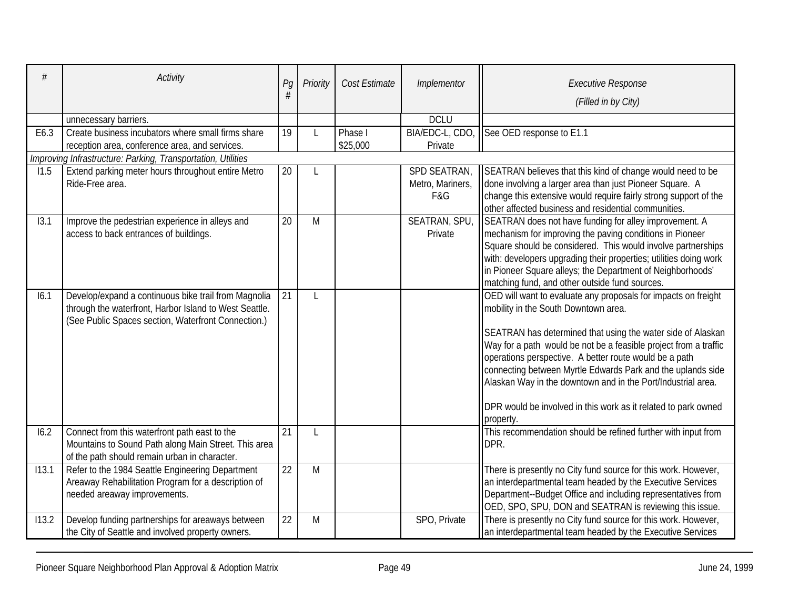| $\#$  | Activity                                                                                                                                                              | Pg | Priority | Cost Estimate | Implementor                             | <b>Executive Response</b><br>(Filled in by City)                                                                                                                                                                                                                                                                                                                                                                                                                                                                  |
|-------|-----------------------------------------------------------------------------------------------------------------------------------------------------------------------|----|----------|---------------|-----------------------------------------|-------------------------------------------------------------------------------------------------------------------------------------------------------------------------------------------------------------------------------------------------------------------------------------------------------------------------------------------------------------------------------------------------------------------------------------------------------------------------------------------------------------------|
|       | unnecessary barriers.                                                                                                                                                 |    |          |               | <b>DCLU</b>                             |                                                                                                                                                                                                                                                                                                                                                                                                                                                                                                                   |
| E6.3  | Create business incubators where small firms share                                                                                                                    | 19 |          | Phase I       | BIA/EDC-L, CDO,                         | See OED response to E1.1                                                                                                                                                                                                                                                                                                                                                                                                                                                                                          |
|       | reception area, conference area, and services.                                                                                                                        |    |          | \$25,000      | Private                                 |                                                                                                                                                                                                                                                                                                                                                                                                                                                                                                                   |
|       | Improving Infrastructure: Parking, Transportation, Utilities                                                                                                          |    |          |               |                                         |                                                                                                                                                                                                                                                                                                                                                                                                                                                                                                                   |
| 11.5  | Extend parking meter hours throughout entire Metro<br>Ride-Free area.                                                                                                 | 20 |          |               | SPD SEATRAN,<br>Metro, Mariners,<br>F&G | SEATRAN believes that this kind of change would need to be<br>done involving a larger area than just Pioneer Square. A<br>change this extensive would require fairly strong support of the<br>other affected business and residential communities.                                                                                                                                                                                                                                                                |
| 13.1  | Improve the pedestrian experience in alleys and<br>access to back entrances of buildings.                                                                             | 20 | M        |               | SEATRAN, SPU,<br>Private                | SEATRAN does not have funding for alley improvement. A<br>mechanism for improving the paving conditions in Pioneer<br>Square should be considered. This would involve partnerships<br>with: developers upgrading their properties; utilities doing work<br>in Pioneer Square alleys; the Department of Neighborhoods'<br>matching fund, and other outside fund sources.                                                                                                                                           |
| 16.1  | Develop/expand a continuous bike trail from Magnolia<br>through the waterfront, Harbor Island to West Seattle.<br>(See Public Spaces section, Waterfront Connection.) | 21 | L        |               |                                         | OED will want to evaluate any proposals for impacts on freight<br>mobility in the South Downtown area.<br>SEATRAN has determined that using the water side of Alaskan<br>Way for a path would be not be a feasible project from a traffic<br>operations perspective. A better route would be a path<br>connecting between Myrtle Edwards Park and the uplands side<br>Alaskan Way in the downtown and in the Port/Industrial area.<br>DPR would be involved in this work as it related to park owned<br>property. |
| 16.2  | Connect from this waterfront path east to the<br>Mountains to Sound Path along Main Street. This area<br>of the path should remain urban in character.                | 21 | L        |               |                                         | This recommendation should be refined further with input from<br>DPR.                                                                                                                                                                                                                                                                                                                                                                                                                                             |
| 113.1 | Refer to the 1984 Seattle Engineering Department<br>Areaway Rehabilitation Program for a description of<br>needed areaway improvements.                               | 22 | M        |               |                                         | There is presently no City fund source for this work. However,<br>an interdepartmental team headed by the Executive Services<br>Department--Budget Office and including representatives from<br>OED, SPO, SPU, DON and SEATRAN is reviewing this issue.                                                                                                                                                                                                                                                           |
| 113.2 | Develop funding partnerships for areaways between<br>the City of Seattle and involved property owners.                                                                | 22 | M        |               | SPO, Private                            | There is presently no City fund source for this work. However,<br>an interdepartmental team headed by the Executive Services                                                                                                                                                                                                                                                                                                                                                                                      |